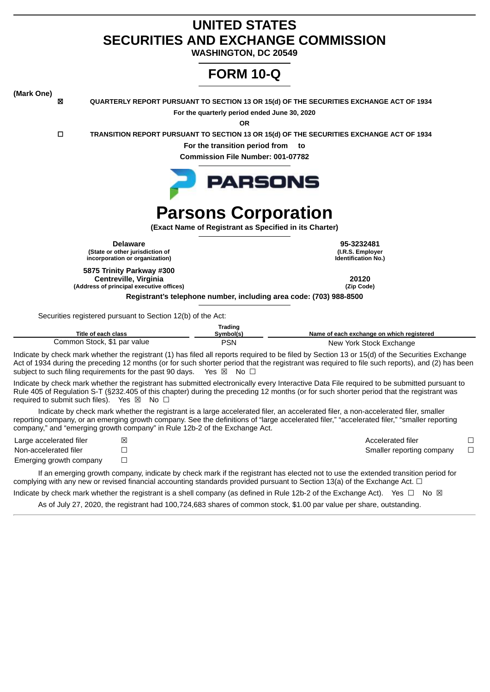## **UNITED STATES SECURITIES AND EXCHANGE COMMISSION**

**WASHINGTON, DC 20549**

# **FORM 10-Q**

**(Mark One)**

☒ **QUARTERLY REPORT PURSUANT TO SECTION 13 OR 15(d) OF THE SECURITIES EXCHANGE ACT OF 1934**

**For the quarterly period ended June 30, 2020**

**OR**

☐ **TRANSITION REPORT PURSUANT TO SECTION 13 OR 15(d) OF THE SECURITIES EXCHANGE ACT OF 1934**

**For the transition period from to**

**Commission File Number: 001-07782**



# **Parsons Corporation**

**(Exact Name of Registrant as Specified in its Charter)**

**Delaware 95-3232481 (State or other jurisdiction of incorporation or organization)**

**5875 Trinity Parkway #300 Centreville, Virginia 20120 (Address of principal executive offices) (Zip Code)**

**(I.R.S. Employer Identification No.)**

**Registrant's telephone number, including area code: (703) 988-8500**

Securities registered pursuant to Section 12(b) of the Act:

| Title of each class         | Trading<br>Svmbol(s) | Name of each exchange on which registered |
|-----------------------------|----------------------|-------------------------------------------|
|                             |                      |                                           |
| Common Stock, \$1 par value | PSN                  | New York Stock Exchange                   |

Indicate by check mark whether the registrant (1) has filed all reports required to be filed by Section 13 or 15(d) of the Securities Exchange Act of 1934 during the preceding 12 months (or for such shorter period that the registrant was required to file such reports), and (2) has been subject to such filing requirements for the past 90 days. Yes  $\boxtimes$  No  $\Box$ 

Indicate by check mark whether the registrant has submitted electronically every Interactive Data File required to be submitted pursuant to Rule 405 of Regulation S-T (§232.405 of this chapter) during the preceding 12 months (or for such shorter period that the registrant was required to submit such files). Yes  $\boxtimes$  No  $\Box$ 

Indicate by check mark whether the registrant is a large accelerated filer, an accelerated filer, a non-accelerated filer, smaller reporting company, or an emerging growth company. See the definitions of "large accelerated filer," "accelerated filer," "smaller reporting company," and "emerging growth company" in Rule 12b-2 of the Exchange Act.

| Large accelerated filer | ⊠ | Accelerated filer         |  |
|-------------------------|---|---------------------------|--|
| Non-accelerated filer   |   | Smaller reporting company |  |
| Emerging growth company |   |                           |  |

If an emerging growth company, indicate by check mark if the registrant has elected not to use the extended transition period for complying with any new or revised financial accounting standards provided pursuant to Section 13(a) of the Exchange Act.  $\Box$ 

Indicate by check mark whether the registrant is a shell company (as defined in Rule 12b-2 of the Exchange Act). Yes  $\Box$  No  $\boxtimes$ 

As of July 27, 2020, the registrant had 100,724,683 shares of common stock, \$1.00 par value per share, outstanding.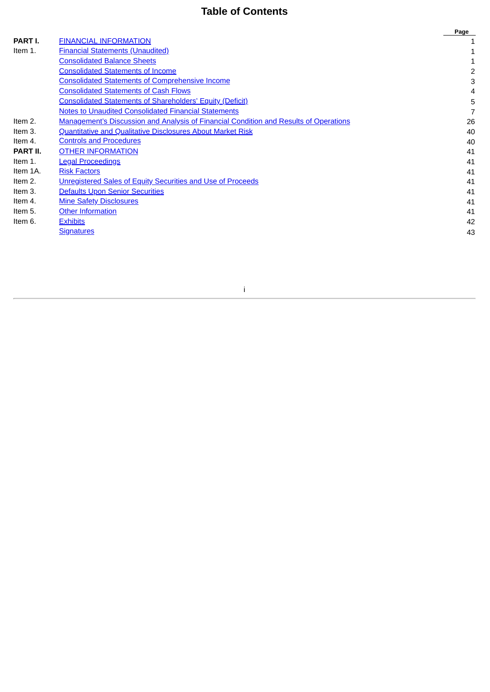## **Table of Contents**

|            |                                                                                              | Page |
|------------|----------------------------------------------------------------------------------------------|------|
| PART I.    | <b>FINANCIAL INFORMATION</b>                                                                 |      |
| Item $1$ . | <b>Financial Statements (Unaudited)</b>                                                      |      |
|            | <b>Consolidated Balance Sheets</b>                                                           |      |
|            | <b>Consolidated Statements of Income</b>                                                     | 2    |
|            | <b>Consolidated Statements of Comprehensive Income</b>                                       | 3    |
|            | <b>Consolidated Statements of Cash Flows</b>                                                 |      |
|            | <b>Consolidated Statements of Shareholders' Equity (Deficit)</b>                             | 5    |
|            | <b>Notes to Unaudited Consolidated Financial Statements</b>                                  | 7    |
| Item 2.    | <b>Management's Discussion and Analysis of Financial Condition and Results of Operations</b> | 26   |
| Item 3.    | <b>Quantitative and Qualitative Disclosures About Market Risk</b>                            | 40   |
| Item 4.    | <b>Controls and Procedures</b>                                                               | 40   |
| PART II.   | <b>OTHER INFORMATION</b>                                                                     | 41   |
| Item 1.    | <b>Legal Proceedings</b>                                                                     | 41   |
| Item 1A.   | <b>Risk Factors</b>                                                                          | 41   |
| Item 2.    | Unregistered Sales of Equity Securities and Use of Proceeds                                  | 41   |
| Item 3.    | <b>Defaults Upon Senior Securities</b>                                                       | 41   |
| Item 4.    | <b>Mine Safety Disclosures</b>                                                               | 41   |
| Item 5.    | <b>Other Information</b>                                                                     | 41   |
| Item 6.    | <b>Exhibits</b>                                                                              | 42   |
|            | <b>Signatures</b>                                                                            | 43   |
|            |                                                                                              |      |

i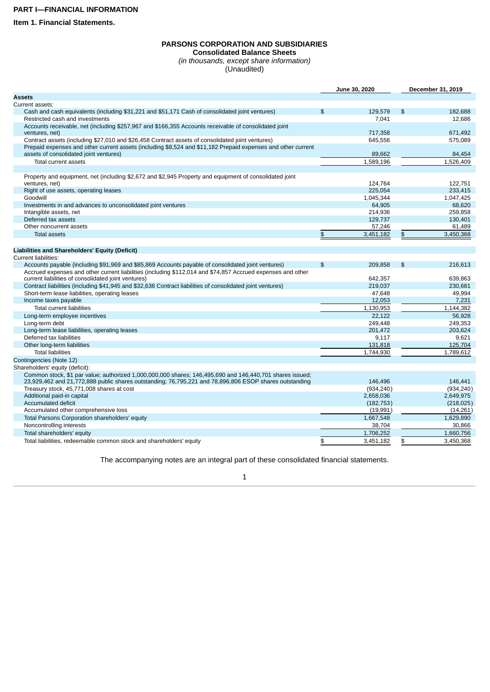<span id="page-2-2"></span><span id="page-2-1"></span><span id="page-2-0"></span>**Item 1. Financial Statements.**

#### **PARSONS CORPORATION AND SUBSIDIARIES Consolidated Balance Sheets**

*(in thousands, except share information)*

(Unaudited)

|                                                                                                              |                | June 30, 2020 |                | December 31, 2019 |
|--------------------------------------------------------------------------------------------------------------|----------------|---------------|----------------|-------------------|
| <b>Assets</b>                                                                                                |                |               |                |                   |
| Current assets:                                                                                              |                |               |                |                   |
| Cash and cash equivalents (including \$31,221 and \$51,171 Cash of consolidated joint ventures)              | $\mathfrak{S}$ | 129,579       | $\mathfrak{S}$ | 182,688           |
| Restricted cash and investments                                                                              |                | 7,041         |                | 12,686            |
| Accounts receivable, net (including \$257,967 and \$166,355 Accounts receivable of consolidated joint        |                |               |                |                   |
| ventures, net)                                                                                               |                | 717.358       |                | 671.492           |
| Contract assets (including \$27,010 and \$26,458 Contract assets of consolidated joint ventures)             |                | 645,556       |                | 575,089           |
| Prepaid expenses and other current assets (including \$8,524 and \$11,182 Prepaid expenses and other current |                |               |                |                   |
| assets of consolidated joint ventures)                                                                       |                | 89,662        |                | 84,454            |
| Total current assets                                                                                         |                | 1,589,196     |                | 1,526,409         |
|                                                                                                              |                |               |                |                   |
| Property and equipment, net (including \$2,672 and \$2,945 Property and equipment of consolidated joint      |                |               |                |                   |
| ventures, net)                                                                                               |                | 124,764       |                | 122,751           |
| Right of use assets, operating leases                                                                        |                | 225,054       |                | 233,415           |
| Goodwill                                                                                                     |                | 1,045,344     |                | 1,047,425         |
| Investments in and advances to unconsolidated joint ventures                                                 |                | 64,905        |                | 68.620            |
| Intangible assets, net                                                                                       |                | 214,936       |                | 259,858           |
| Deferred tax assets                                                                                          |                | 129,737       |                | 130,401           |
| Other noncurrent assets                                                                                      |                | 57,246        |                | 61,489            |
| <b>Total assets</b>                                                                                          | \$             | 3,451,182     | $\mathfrak{S}$ | 3,450,368         |
|                                                                                                              |                |               |                |                   |
| Liabilities and Shareholders' Equity (Deficit)                                                               |                |               |                |                   |
| <b>Current liabilities:</b>                                                                                  |                |               |                |                   |
| Accounts payable (including \$91,969 and \$85,869 Accounts payable of consolidated joint ventures)           | $\mathfrak{S}$ | 209,858       | $\mathfrak{S}$ | 216,613           |
| Accrued expenses and other current liabilities (including \$112,014 and \$74,857 Accrued expenses and other  |                |               |                |                   |
| current liabilities of consolidated joint ventures)                                                          |                | 642.357       |                | 639.863           |
| Contract liabilities (including \$41,945 and \$32,638 Contract liabilities of consolidated joint ventures)   |                | 219,037       |                | 230,681           |
| Short-term lease liabilities, operating leases                                                               |                | 47,648        |                | 49,994            |
| Income taxes payable                                                                                         |                | 12,053        |                | 7,231             |
| <b>Total current liabilities</b>                                                                             |                | 1,130,953     |                | 1,144,382         |
| Long-term employee incentives                                                                                |                | 22,122        |                | 56,928            |
| Long-term debt                                                                                               |                | 249,448       |                | 249.353           |
| Long-term lease liabilities, operating leases                                                                |                | 201,472       |                | 203,624           |
| Deferred tax liabilities                                                                                     |                | 9,117         |                | 9,621             |
| Other long-term liabilities                                                                                  |                | 131,818       |                | 125,704           |
| <b>Total liabilities</b>                                                                                     |                | 1,744,930     |                | 1.789.612         |
| Contingencies (Note 12)                                                                                      |                |               |                |                   |
| Shareholders' equity (deficit):                                                                              |                |               |                |                   |
| Common stock, \$1 par value; authorized 1,000,000,000 shares; 146,495,690 and 146,440,701 shares issued;     |                |               |                |                   |
| 23,929,462 and 21,772,888 public shares outstanding; 76,795,221 and 78,896,806 ESOP shares outstanding       |                | 146,496       |                | 146,441           |
| Treasury stock, 45,771,008 shares at cost                                                                    |                | (934, 240)    |                | (934, 240)        |
| Additional paid-in capital                                                                                   |                | 2,658,036     |                | 2,649,975         |
| Accumulated deficit                                                                                          |                | (182, 753)    |                | (218, 025)        |
| Accumulated other comprehensive loss                                                                         |                | (19,991)      |                | (14, 261)         |
| Total Parsons Corporation shareholders' equity                                                               |                | 1,667,548     |                | 1,629,890         |
| Noncontrolling interests                                                                                     |                | 38,704        |                | 30,866            |
| Total shareholders' equity                                                                                   |                | 1,706,252     |                | 1,660,756         |
| Total liabilities, redeemable common stock and shareholders' equity                                          | \$             | 3,451,182     | \$             | 3,450,368         |

The accompanying notes are an integral part of these consolidated financial statements.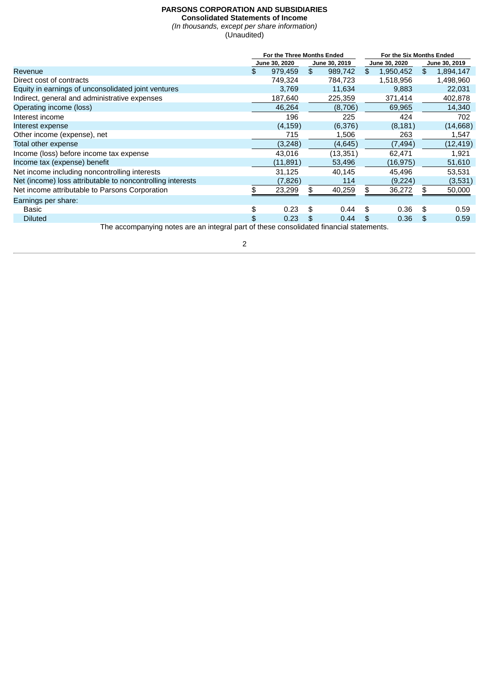## **PARSONS CORPORATION AND SUBSIDIARIES**

**Consolidated Statements of Income** *(In thousands, except per share information)*

(Unaudited)

<span id="page-3-0"></span>

|                                                                                         | For the Three Months Ended |                      |                | For the Six Months Ended |    |               |                |               |
|-----------------------------------------------------------------------------------------|----------------------------|----------------------|----------------|--------------------------|----|---------------|----------------|---------------|
|                                                                                         |                            | <b>June 30, 2020</b> |                | June 30, 2019            |    | June 30, 2020 |                | June 30, 2019 |
| Revenue                                                                                 | £                          | 979,459              | $\mathfrak{P}$ | 989,742                  | \$ | 1,950,452     | $\mathfrak{L}$ | 1,894,147     |
| Direct cost of contracts                                                                |                            | 749.324              |                | 784,723                  |    | 1,518,956     |                | 1,498,960     |
| Equity in earnings of unconsolidated joint ventures                                     |                            | 3,769                |                | 11,634                   |    | 9,883         |                | 22,031        |
| Indirect, general and administrative expenses                                           |                            | 187,640              |                | 225,359                  |    | 371,414       |                | 402,878       |
| Operating income (loss)                                                                 |                            | 46,264               |                | (8,706)                  |    | 69,965        |                | 14,340        |
| Interest income                                                                         |                            | 196                  |                | 225                      |    | 424           |                | 702           |
| Interest expense                                                                        |                            | (4, 159)             |                | (6,376)                  |    | (8, 181)      |                | (14, 668)     |
| Other income (expense), net                                                             |                            | 715                  |                | 1,506                    |    | 263           |                | 1,547         |
| Total other expense                                                                     |                            | (3, 248)             |                | (4,645)                  |    | (7, 494)      |                | (12, 419)     |
| Income (loss) before income tax expense                                                 |                            | 43,016               |                | (13, 351)                |    | 62,471        |                | 1,921         |
| Income tax (expense) benefit                                                            |                            | (11, 891)            |                | 53,496                   |    | (16, 975)     |                | 51,610        |
| Net income including noncontrolling interests                                           |                            | 31,125               |                | 40,145                   |    | 45,496        |                | 53,531        |
| Net (income) loss attributable to noncontrolling interests                              |                            | (7,826)              |                | 114                      |    | (9,224)       |                | (3,531)       |
| Net income attributable to Parsons Corporation                                          |                            | 23,299               | S              | 40,259                   |    | 36,272        |                | 50,000        |
| Earnings per share:                                                                     |                            |                      |                |                          |    |               |                |               |
| Basic                                                                                   | \$                         | 0.23                 | \$             | 0.44                     | \$ | 0.36          | \$             | 0.59          |
| <b>Diluted</b>                                                                          |                            | 0.23                 | \$             | 0.44                     | \$ | 0.36          | \$             | 0.59          |
| The accompanying notes are an integral part of these consolidated financial statements. |                            |                      |                |                          |    |               |                |               |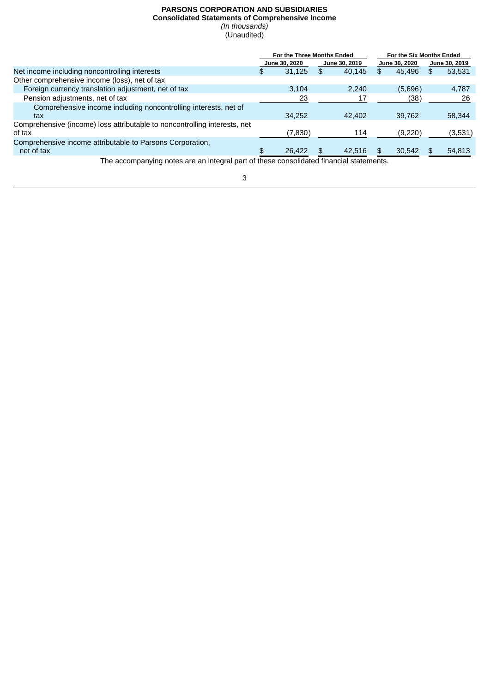#### **PARSONS CORPORATION AND SUBSIDIARIES Consolidated Statements of Comprehensive Income** *(In thousands)* (Unaudited)

<span id="page-4-0"></span>**For the Three Months Ended For the Six Months Ended June 30, 2020 June 30, 2019 June 30, 2020 June 30, 2019** Net income including noncontrolling interests  $\overline{\textbf{31.125}}$   $\overline{\textbf{33.1.125}}$   $\overline{\textbf{34.125}}$   $\overline{\textbf{35.45}}$   $\overline{\textbf{40.145}}$   $\overline{\textbf{35.4531}}$ Other comprehensive income (loss), net of tax Foreign currency translation adjustment, net of tax 3,104 2,240 (5,696) 4,787 Pension adjustments, net of tax and the set of tax and the set of tax and the set of tax and the set of tax and the set of tax and the set of tax and the set of tax and the set of tax and the set of tax and the set of tax Comprehensive income including noncontrolling interests, net of tax 34,252 42,402 39,762 58,344 Comprehensive (income) loss attributable to noncontrolling interests, net of tax (7,830) 114 (9,220) (3,531) Comprehensive income attributable to Parsons Corporation, net of tax \$ 26,422 \$ 42,516 \$ 30,542 \$ 54,813 The accompanying notes are an integral part of these consolidated financial statements.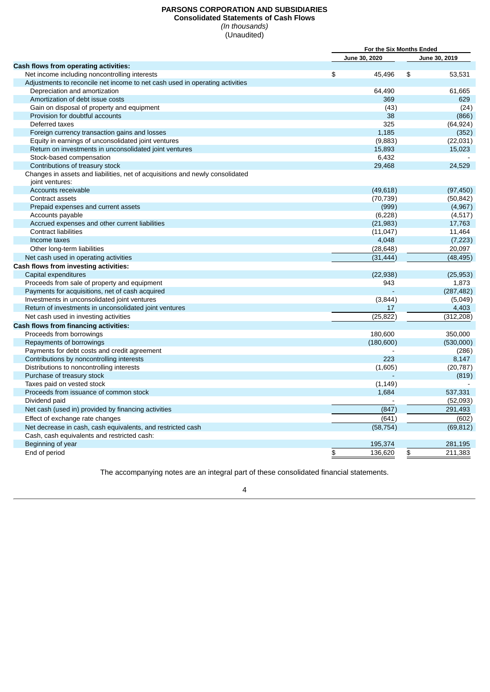## **PARSONS CORPORATION AND SUBSIDIARIES**

**Consolidated Statements of Cash Flows** *(In thousands)*

(Unaudited)

<span id="page-5-0"></span>

|                                                                                                  | For the Six Months Ended |               |            |  |
|--------------------------------------------------------------------------------------------------|--------------------------|---------------|------------|--|
|                                                                                                  | June 30, 2020            | June 30, 2019 |            |  |
| Cash flows from operating activities:                                                            |                          |               |            |  |
| Net income including noncontrolling interests                                                    | \$<br>45,496             | \$            | 53,531     |  |
| Adjustments to reconcile net income to net cash used in operating activities                     |                          |               |            |  |
| Depreciation and amortization                                                                    | 64,490                   |               | 61,665     |  |
| Amortization of debt issue costs                                                                 | 369                      |               | 629        |  |
| Gain on disposal of property and equipment                                                       | (43)                     |               | (24)       |  |
| Provision for doubtful accounts                                                                  | 38                       |               | (866)      |  |
| Deferred taxes                                                                                   | 325                      |               | (64, 924)  |  |
| Foreign currency transaction gains and losses                                                    | 1,185                    |               | (352)      |  |
| Equity in earnings of unconsolidated joint ventures                                              | (9,883)                  |               | (22, 031)  |  |
| Return on investments in unconsolidated joint ventures                                           | 15,893                   |               | 15,023     |  |
| Stock-based compensation                                                                         | 6,432                    |               |            |  |
| Contributions of treasury stock                                                                  | 29,468                   |               | 24,529     |  |
| Changes in assets and liabilities, net of acquisitions and newly consolidated<br>joint ventures: |                          |               |            |  |
| Accounts receivable                                                                              | (49, 618)                |               | (97, 450)  |  |
| Contract assets                                                                                  | (70, 739)                |               | (50, 842)  |  |
| Prepaid expenses and current assets                                                              | (999)                    |               | (4,967)    |  |
| Accounts payable                                                                                 | (6, 228)                 |               | (4, 517)   |  |
| Accrued expenses and other current liabilities                                                   | (21, 983)                |               | 17,763     |  |
| <b>Contract liabilities</b>                                                                      | (11, 047)                |               | 11,464     |  |
| Income taxes                                                                                     | 4,048                    |               | (7, 223)   |  |
| Other long-term liabilities                                                                      | (28, 648)                |               | 20,097     |  |
| Net cash used in operating activities                                                            | (31, 444)                |               | (48, 495)  |  |
| Cash flows from investing activities:                                                            |                          |               |            |  |
| Capital expenditures                                                                             | (22, 938)                |               | (25, 953)  |  |
| Proceeds from sale of property and equipment                                                     | 943                      |               | 1,873      |  |
| Payments for acquisitions, net of cash acquired                                                  |                          |               | (287, 482) |  |
| Investments in unconsolidated joint ventures                                                     | (3,844)                  |               | (5,049)    |  |
| Return of investments in unconsolidated joint ventures                                           | 17                       |               | 4,403      |  |
| Net cash used in investing activities                                                            | (25, 822)                |               | (312, 208) |  |
|                                                                                                  |                          |               |            |  |
| Cash flows from financing activities:                                                            | 180,600                  |               | 350,000    |  |
| Proceeds from borrowings                                                                         |                          |               | (530,000)  |  |
| Repayments of borrowings                                                                         | (180, 600)               |               | (286)      |  |
| Payments for debt costs and credit agreement                                                     | 223                      |               | 8,147      |  |
| Contributions by noncontrolling interests                                                        |                          |               |            |  |
| Distributions to noncontrolling interests                                                        | (1,605)                  |               | (20, 787)  |  |
| Purchase of treasury stock                                                                       |                          |               | (819)      |  |
| Taxes paid on vested stock                                                                       | (1, 149)                 |               |            |  |
| Proceeds from issuance of common stock                                                           | 1,684                    |               | 537,331    |  |
| Dividend paid                                                                                    |                          |               | (52,093)   |  |
| Net cash (used in) provided by financing activities                                              | (847)                    |               | 291,493    |  |
| Effect of exchange rate changes                                                                  | (641)                    |               | (602)      |  |
| Net decrease in cash, cash equivalents, and restricted cash                                      | (58, 754)                |               | (69, 812)  |  |
| Cash, cash equivalents and restricted cash:                                                      |                          |               |            |  |
| Beginning of year                                                                                | 195,374                  |               | 281,195    |  |
| End of period                                                                                    | \$<br>136,620            | \$            | 211,383    |  |

The accompanying notes are an integral part of these consolidated financial statements.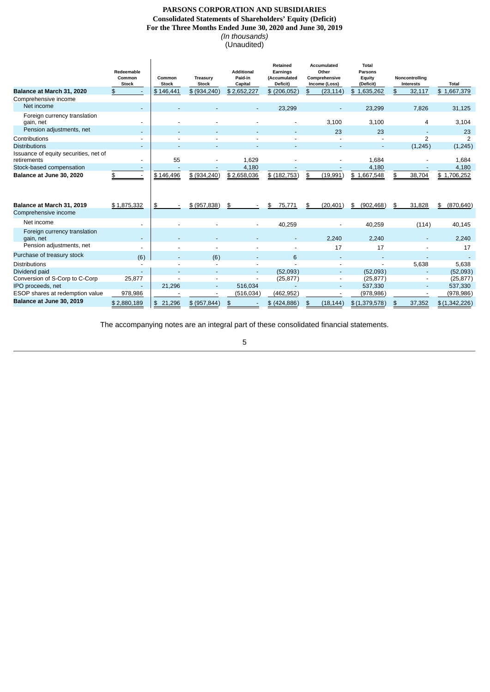#### **PARSONS CORPORATION AND SUBSIDIARIES Consolidated Statements of Shareholders' Equity (Deficit) For the Three Months Ended June 30, 2020 and June 30, 2019** *(In thousands)* (Unaudited)

<span id="page-6-0"></span>

| Balance at March 31, 2020<br>Comprehensive income    | Redeemable<br>Common<br><b>Stock</b><br>\$ | Common<br><b>Stock</b><br>\$146,441 | Treasury<br><b>Stock</b><br>\$ (934, 240) | <b>Additional</b><br>Paid-in<br>Capital<br>\$2,652,227 | Retained<br>Earnings<br>(Accumulated<br>Deficit)<br>\$ (206,052) | Accumulated<br>Other<br>Comprehensive<br>Income (Loss)<br>(23, 114)<br>\$. | <b>Total</b><br><b>Parsons</b><br>Equity<br>(Deficit)<br>\$1,635,262 | Noncontrolling<br><b>Interests</b><br>\$<br>32,117 | <b>Total</b><br>\$1,667,379 |
|------------------------------------------------------|--------------------------------------------|-------------------------------------|-------------------------------------------|--------------------------------------------------------|------------------------------------------------------------------|----------------------------------------------------------------------------|----------------------------------------------------------------------|----------------------------------------------------|-----------------------------|
| Net income                                           |                                            |                                     |                                           |                                                        | 23,299                                                           |                                                                            | 23,299                                                               | 7,826                                              | 31,125                      |
| Foreign currency translation<br>gain, net            |                                            |                                     |                                           |                                                        |                                                                  | 3,100                                                                      | 3,100                                                                | 4                                                  | 3,104                       |
| Pension adjustments, net                             | ٠                                          |                                     |                                           |                                                        |                                                                  | 23                                                                         | 23                                                                   |                                                    | 23                          |
| Contributions                                        |                                            |                                     |                                           |                                                        |                                                                  |                                                                            |                                                                      | $\overline{2}$                                     | 2                           |
| <b>Distributions</b>                                 |                                            |                                     |                                           |                                                        |                                                                  |                                                                            |                                                                      | (1, 245)                                           | (1, 245)                    |
| Issuance of equity securities, net of<br>retirements |                                            | 55                                  |                                           | 1,629                                                  |                                                                  |                                                                            | 1,684                                                                |                                                    | 1,684                       |
| Stock-based compensation                             |                                            |                                     |                                           | 4,180                                                  |                                                                  |                                                                            | 4,180                                                                |                                                    | 4,180                       |
| Balance at June 30, 2020                             |                                            | \$146,496                           | \$ (934, 240)                             | \$2,658,036                                            | \$ (182, 753)                                                    | (19, 991)<br>\$                                                            | \$1,667,548                                                          | 38,704<br>\$                                       | \$1,706,252                 |
| Balance at March 31, 2019                            | \$1,875,332                                | \$                                  | \$ (957, 838)                             | \$                                                     | 75,771<br>\$                                                     | (20, 401)<br>\$                                                            | (902, 468)<br>\$                                                     | 31,828<br>\$                                       | (870, 640)<br>\$            |
| Comprehensive income                                 |                                            |                                     |                                           |                                                        |                                                                  |                                                                            |                                                                      |                                                    |                             |
| Net income                                           |                                            |                                     |                                           |                                                        | 40,259                                                           |                                                                            | 40,259                                                               | (114)                                              | 40,145                      |
| Foreign currency translation<br>gain, net            |                                            |                                     |                                           |                                                        |                                                                  | 2,240                                                                      | 2,240                                                                |                                                    | 2,240                       |
| Pension adjustments, net                             | $\overline{a}$                             |                                     |                                           |                                                        |                                                                  | 17                                                                         | 17                                                                   |                                                    | 17                          |
| Purchase of treasury stock                           | (6)                                        |                                     | (6)                                       |                                                        | 6                                                                |                                                                            |                                                                      |                                                    |                             |
| <b>Distributions</b>                                 | ÷,                                         |                                     |                                           |                                                        |                                                                  |                                                                            |                                                                      | 5,638                                              | 5,638                       |
| Dividend paid                                        |                                            |                                     |                                           |                                                        | (52,093)                                                         |                                                                            | (52,093)                                                             |                                                    | (52,093)                    |
| Conversion of S-Corp to C-Corp                       | 25,877                                     |                                     |                                           |                                                        | (25, 877)                                                        |                                                                            | (25, 877)                                                            |                                                    | (25, 877)                   |
| IPO proceeds, net                                    |                                            | 21,296                              |                                           | 516,034                                                |                                                                  |                                                                            | 537,330                                                              |                                                    | 537,330                     |
| ESOP shares at redemption value                      | 978,986                                    |                                     |                                           | (516, 034)                                             | (462, 952)                                                       |                                                                            | (978, 986)                                                           |                                                    | (978, 986)                  |
| Balance at June 30, 2019                             | \$2.880.189                                | \$21.296                            | \$ (957, 844)                             | \$                                                     | \$ (424, 886)                                                    | \$<br>(18.144)                                                             | \$(1,379,578)                                                        | 37,352<br>\$                                       | \$ (1.342.226)              |

The accompanying notes are an integral part of these consolidated financial statements.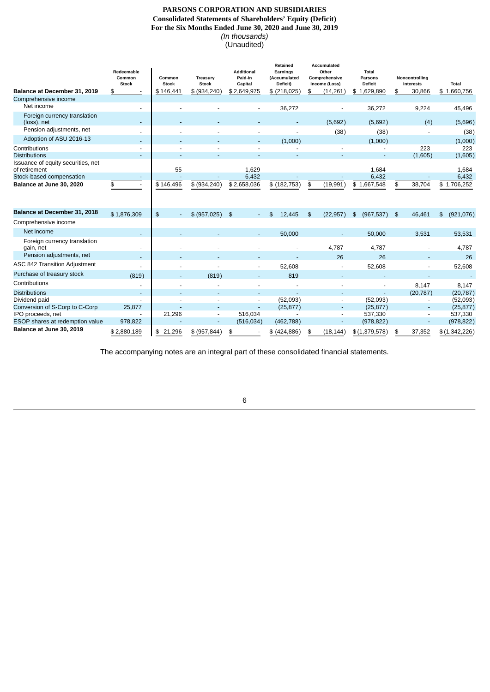#### **PARSONS CORPORATION AND SUBSIDIARIES Consolidated Statements of Shareholders' Equity (Deficit) For the Six Months Ended June 30, 2020 and June 30, 2019** *(In thousands)* (Unaudited)

|                                                     | Redeemable<br>Common<br><b>Stock</b> | Common<br><b>Stock</b> | <b>Treasury</b><br><b>Stock</b> | <b>Additional</b><br>Paid-in<br>Capital | Retained<br>Earnings<br>(Accumulated<br>Deficit) | <b>Accumulated</b><br>Other<br>Comprehensive<br>Income (Loss) | <b>Total</b><br><b>Parsons</b><br>Deficit | Noncontrolling<br><b>Interests</b> | <b>Total</b>     |
|-----------------------------------------------------|--------------------------------------|------------------------|---------------------------------|-----------------------------------------|--------------------------------------------------|---------------------------------------------------------------|-------------------------------------------|------------------------------------|------------------|
| Balance at December 31, 2019                        | \$                                   | \$146,441              | \$ (934, 240)                   | \$2,649,975                             | \$ (218,025)                                     | \$<br>(14, 261)                                               | \$1,629,890                               | \$<br>30,866                       | \$1,660,756      |
| Comprehensive income                                |                                      |                        |                                 |                                         |                                                  |                                                               |                                           |                                    |                  |
| Net income                                          |                                      |                        |                                 |                                         | 36,272                                           |                                                               | 36,272                                    | 9,224                              | 45,496           |
| Foreign currency translation<br>(loss), net         |                                      |                        |                                 |                                         |                                                  | (5,692)                                                       | (5,692)                                   | (4)                                | (5,696)          |
| Pension adjustments, net                            |                                      |                        |                                 |                                         |                                                  | (38)                                                          | (38)                                      |                                    | (38)             |
| Adoption of ASU 2016-13                             |                                      |                        |                                 |                                         | (1,000)                                          |                                                               | (1,000)                                   |                                    | (1,000)          |
| Contributions                                       |                                      |                        |                                 |                                         |                                                  |                                                               |                                           | 223                                | 223              |
| <b>Distributions</b>                                |                                      |                        |                                 |                                         |                                                  |                                                               |                                           | (1,605)                            | (1,605)          |
| Issuance of equity securities, net<br>of retirement |                                      | 55                     |                                 | 1.629                                   |                                                  |                                                               | 1.684                                     |                                    | 1,684            |
| Stock-based compensation                            |                                      |                        |                                 | 6,432                                   |                                                  |                                                               | 6,432                                     |                                    | 6,432            |
| Balance at June 30, 2020                            | \$                                   | \$146,496              | \$ (934, 240)                   | \$2,658,036                             | \$ (182, 753)                                    | \$<br>(19, 991)                                               | \$1,667,548                               | 38,704<br>\$                       | \$1,706,252      |
|                                                     |                                      |                        |                                 |                                         |                                                  |                                                               |                                           |                                    |                  |
| Balance at December 31, 2018                        | \$1,876,309                          | \$                     | \$ (957.025)                    | \$                                      | 12.445<br>\$.                                    | (22, 957)<br>\$                                               | \$<br>(967, 537)                          | \$<br>46,461                       | (921, 076)<br>\$ |
| Comprehensive income                                |                                      |                        |                                 |                                         |                                                  |                                                               |                                           |                                    |                  |
| Net income                                          |                                      |                        |                                 |                                         | 50,000                                           |                                                               | 50,000                                    | 3,531                              | 53,531           |
| Foreign currency translation                        |                                      |                        |                                 |                                         |                                                  |                                                               |                                           |                                    |                  |
| gain, net                                           |                                      |                        |                                 |                                         |                                                  | 4,787                                                         | 4,787                                     |                                    | 4,787            |
| Pension adjustments, net                            |                                      |                        |                                 |                                         |                                                  | 26                                                            | 26                                        |                                    | 26               |
| ASC 842 Transition Adjustment                       |                                      |                        |                                 |                                         | 52,608                                           |                                                               | 52,608                                    |                                    | 52,608           |
| Purchase of treasury stock                          | (819)                                |                        | (819)                           |                                         | 819                                              |                                                               |                                           |                                    |                  |
| Contributions                                       | ٠                                    |                        |                                 |                                         |                                                  |                                                               |                                           | 8.147                              | 8,147            |
| <b>Distributions</b>                                | $\overline{\phantom{a}}$             |                        |                                 |                                         |                                                  |                                                               |                                           | (20, 787)                          | (20, 787)        |
| Dividend paid                                       |                                      |                        |                                 |                                         | (52,093)                                         |                                                               | (52,093)                                  |                                    | (52,093)         |
| Conversion of S-Corp to C-Corp                      | 25,877                               |                        |                                 |                                         | (25, 877)                                        |                                                               | (25, 877)                                 |                                    | (25, 877)        |
| IPO proceeds, net                                   |                                      | 21,296                 |                                 | 516,034                                 |                                                  |                                                               | 537,330                                   |                                    | 537,330          |
| ESOP shares at redemption value                     | 978,822                              |                        |                                 | (516, 034)                              | (462, 788)                                       |                                                               | (978, 822)                                |                                    | (978, 822)       |
| Balance at June 30, 2019                            | \$2,880,189                          | 21,296<br>\$           | \$ (957, 844)                   |                                         | \$ (424, 886)                                    | (18, 144)<br>S                                                | \$(1,379,578)                             | 37,352<br>£.                       | \$(1,342,226)    |

The accompanying notes are an integral part of these consolidated financial statements.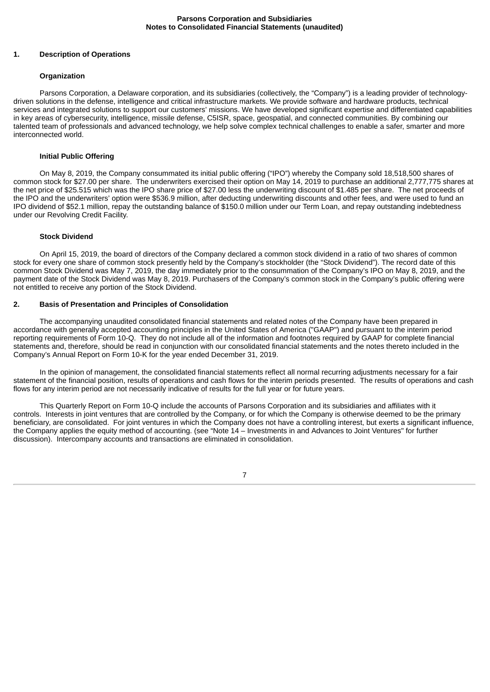#### <span id="page-8-0"></span>**1. Description of Operations**

#### **Organization**

Parsons Corporation, a Delaware corporation, and its subsidiaries (collectively, the "Company") is a leading provider of technologydriven solutions in the defense, intelligence and critical infrastructure markets. We provide software and hardware products, technical services and integrated solutions to support our customers' missions. We have developed significant expertise and differentiated capabilities in key areas of cybersecurity, intelligence, missile defense, C5ISR, space, geospatial, and connected communities. By combining our talented team of professionals and advanced technology, we help solve complex technical challenges to enable a safer, smarter and more interconnected world.

#### **Initial Public Offering**

On May 8, 2019, the Company consummated its initial public offering ("IPO") whereby the Company sold 18,518,500 shares of common stock for \$27.00 per share. The underwriters exercised their option on May 14, 2019 to purchase an additional 2,777,775 shares at the net price of \$25.515 which was the IPO share price of \$27.00 less the underwriting discount of \$1.485 per share. The net proceeds of the IPO and the underwriters' option were \$536.9 million, after deducting underwriting discounts and other fees, and were used to fund an IPO dividend of \$52.1 million, repay the outstanding balance of \$150.0 million under our Term Loan, and repay outstanding indebtedness under our Revolving Credit Facility.

#### **Stock Dividend**

On April 15, 2019, the board of directors of the Company declared a common stock dividend in a ratio of two shares of common stock for every one share of common stock presently held by the Company's stockholder (the "Stock Dividend"). The record date of this common Stock Dividend was May 7, 2019, the day immediately prior to the consummation of the Company's IPO on May 8, 2019, and the payment date of the Stock Dividend was May 8, 2019. Purchasers of the Company's common stock in the Company's public offering were not entitled to receive any portion of the Stock Dividend.

#### **2. Basis of Presentation and Principles of Consolidation**

The accompanying unaudited consolidated financial statements and related notes of the Company have been prepared in accordance with generally accepted accounting principles in the United States of America ("GAAP") and pursuant to the interim period reporting requirements of Form 10-Q. They do not include all of the information and footnotes required by GAAP for complete financial statements and, therefore, should be read in conjunction with our consolidated financial statements and the notes thereto included in the Company's Annual Report on Form 10-K for the year ended December 31, 2019.

In the opinion of management, the consolidated financial statements reflect all normal recurring adjustments necessary for a fair statement of the financial position, results of operations and cash flows for the interim periods presented. The results of operations and cash flows for any interim period are not necessarily indicative of results for the full year or for future years.

This Quarterly Report on Form 10-Q include the accounts of Parsons Corporation and its subsidiaries and affiliates with it controls. Interests in joint ventures that are controlled by the Company, or for which the Company is otherwise deemed to be the primary beneficiary, are consolidated. For joint ventures in which the Company does not have a controlling interest, but exerts a significant influence, the Company applies the equity method of accounting. (see "Note 14 – Investments in and Advances to Joint Ventures" for further discussion). Intercompany accounts and transactions are eliminated in consolidation.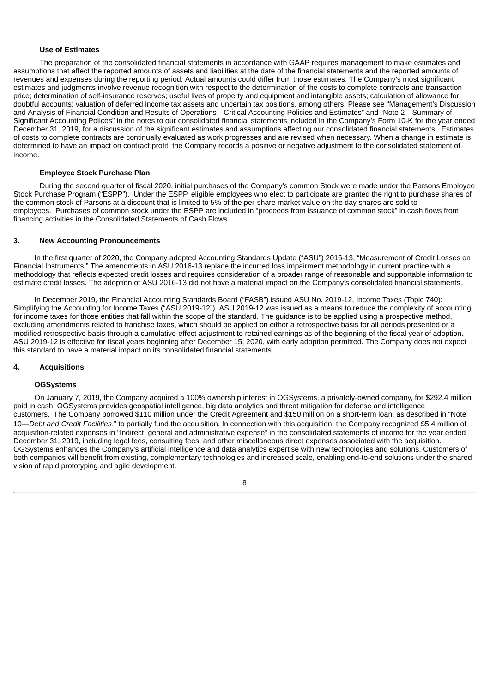#### **Use of Estimates**

The preparation of the consolidated financial statements in accordance with GAAP requires management to make estimates and assumptions that affect the reported amounts of assets and liabilities at the date of the financial statements and the reported amounts of revenues and expenses during the reporting period. Actual amounts could differ from those estimates. The Company's most significant estimates and judgments involve revenue recognition with respect to the determination of the costs to complete contracts and transaction price; determination of self-insurance reserves; useful lives of property and equipment and intangible assets; calculation of allowance for doubtful accounts; valuation of deferred income tax assets and uncertain tax positions, among others. Please see "Management's Discussion and Analysis of Financial Condition and Results of Operations—Critical Accounting Policies and Estimates" and "Note 2—Summary of Significant Accounting Polices" in the notes to our consolidated financial statements included in the Company's Form 10-K for the year ended December 31, 2019, for a discussion of the significant estimates and assumptions affecting our consolidated financial statements. Estimates of costs to complete contracts are continually evaluated as work progresses and are revised when necessary. When a change in estimate is determined to have an impact on contract profit, the Company records a positive or negative adjustment to the consolidated statement of income.

#### **Employee Stock Purchase Plan**

During the second quarter of fiscal 2020, initial purchases of the Company's common Stock were made under the Parsons Employee Stock Purchase Program ("ESPP"). Under the ESPP, eligible employees who elect to participate are granted the right to purchase shares of the common stock of Parsons at a discount that is limited to 5% of the per-share market value on the day shares are sold to employees. Purchases of common stock under the ESPP are included in "proceeds from issuance of common stock" in cash flows from financing activities in the Consolidated Statements of Cash Flows.

#### **3. New Accounting Pronouncements**

In the first quarter of 2020, the Company adopted Accounting Standards Update ("ASU") 2016-13, "Measurement of Credit Losses on Financial Instruments." The amendments in ASU 2016-13 replace the incurred loss impairment methodology in current practice with a methodology that reflects expected credit losses and requires consideration of a broader range of reasonable and supportable information to estimate credit losses. The adoption of ASU 2016-13 did not have a material impact on the Company's consolidated financial statements.

In December 2019, the Financial Accounting Standards Board ("FASB") issued ASU No. 2019-12, Income Taxes (Topic 740): Simplifying the Accounting for Income Taxes ("ASU 2019-12"). ASU 2019-12 was issued as a means to reduce the complexity of accounting for income taxes for those entities that fall within the scope of the standard. The guidance is to be applied using a prospective method, excluding amendments related to franchise taxes, which should be applied on either a retrospective basis for all periods presented or a modified retrospective basis through a cumulative-effect adjustment to retained earnings as of the beginning of the fiscal year of adoption. ASU 2019-12 is effective for fiscal years beginning after December 15, 2020, with early adoption permitted. The Company does not expect this standard to have a material impact on its consolidated financial statements.

#### **4. Acquisitions**

#### **OGSystems**

On January 7, 2019, the Company acquired a 100% ownership interest in OGSystems, a privately-owned company, for \$292.4 million paid in cash. OGSystems provides geospatial intelligence, big data analytics and threat mitigation for defense and intelligence customers. The Company borrowed \$110 million under the Credit Agreement and \$150 million on a short-term loan, as described in "Note 10—*Debt and Credit Facilities*," to partially fund the acquisition. In connection with this acquisition, the Company recognized \$5.4 million of acquisition-related expenses in "Indirect, general and administrative expense" in the consolidated statements of income for the year ended December 31, 2019, including legal fees, consulting fees, and other miscellaneous direct expenses associated with the acquisition. OGSystems enhances the Company's artificial intelligence and data analytics expertise with new technologies and solutions. Customers of both companies will benefit from existing, complementary technologies and increased scale, enabling end-to-end solutions under the shared vision of rapid prototyping and agile development.

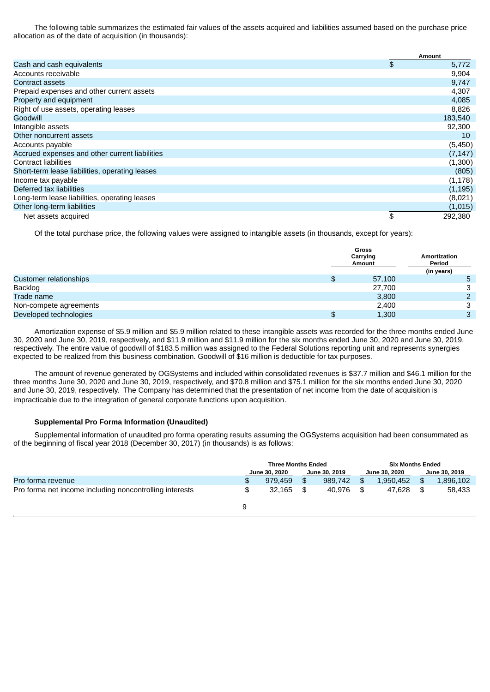The following table summarizes the estimated fair values of the assets acquired and liabilities assumed based on the purchase price allocation as of the date of acquisition (in thousands):

|                                                | <b>Amount</b> |
|------------------------------------------------|---------------|
| Cash and cash equivalents                      | \$<br>5,772   |
| Accounts receivable                            | 9,904         |
| Contract assets                                | 9,747         |
| Prepaid expenses and other current assets      | 4,307         |
| Property and equipment                         | 4,085         |
| Right of use assets, operating leases          | 8,826         |
| Goodwill                                       | 183,540       |
| Intangible assets                              | 92,300        |
| Other noncurrent assets                        | 10            |
| Accounts payable                               | (5,450)       |
| Accrued expenses and other current liabilities | (7, 147)      |
| <b>Contract liabilities</b>                    | (1,300)       |
| Short-term lease liabilities, operating leases | (805)         |
| Income tax payable                             | (1, 178)      |
| Deferred tax liabilities                       | (1, 195)      |
| Long-term lease liabilities, operating leases  | (8,021)       |
| Other long-term liabilities                    | (1,015)       |
| Net assets acquired                            | \$<br>292.380 |

Of the total purchase price, the following values were assigned to intangible assets (in thousands, except for years):

|                        |     | Gross<br>Carrying<br>Amount | Amortization<br>Period |
|------------------------|-----|-----------------------------|------------------------|
|                        |     |                             | (in years)             |
| Customer relationships | \$. | 57,100                      | 5                      |
| Backlog                |     | 27.700                      | 3                      |
| Trade name             |     | 3,800                       |                        |
| Non-compete agreements |     | 2.400                       | 3                      |
| Developed technologies | ۰D  | 1,300                       | 3                      |

Amortization expense of \$5.9 million and \$5.9 million related to these intangible assets was recorded for the three months ended June 30, 2020 and June 30, 2019, respectively, and \$11.9 million and \$11.9 million for the six months ended June 30, 2020 and June 30, 2019, respectively. The entire value of goodwill of \$183.5 million was assigned to the Federal Solutions reporting unit and represents synergies expected to be realized from this business combination. Goodwill of \$16 million is deductible for tax purposes.

The amount of revenue generated by OGSystems and included within consolidated revenues is \$37.7 million and \$46.1 million for the three months June 30, 2020 and June 30, 2019, respectively, and \$70.8 million and \$75.1 million for the six months ended June 30, 2020 and June 30, 2019, respectively. The Company has determined that the presentation of net income from the date of acquisition is impracticable due to the integration of general corporate functions upon acquisition.

#### **Supplemental Pro Forma Information (Unaudited)**

Supplemental information of unaudited pro forma operating results assuming the OGSystems acquisition had been consummated as of the beginning of fiscal year 2018 (December 30, 2017) (in thousands) is as follows:

|                                                         | <b>Three Months Ended</b> |  |               | <b>Six Months Ended</b> |           |               |           |
|---------------------------------------------------------|---------------------------|--|---------------|-------------------------|-----------|---------------|-----------|
|                                                         | June 30, 2020             |  | June 30, 2019 | June 30, 2020           |           | June 30, 2019 |           |
| Pro forma revenue                                       | 979.459                   |  | 989.742       |                         | 1.950.452 |               | 1.896.102 |
| Pro forma net income including noncontrolling interests | 32.165                    |  | 40.976        |                         | 47.628    |               | 58.433    |
|                                                         |                           |  |               |                         |           |               |           |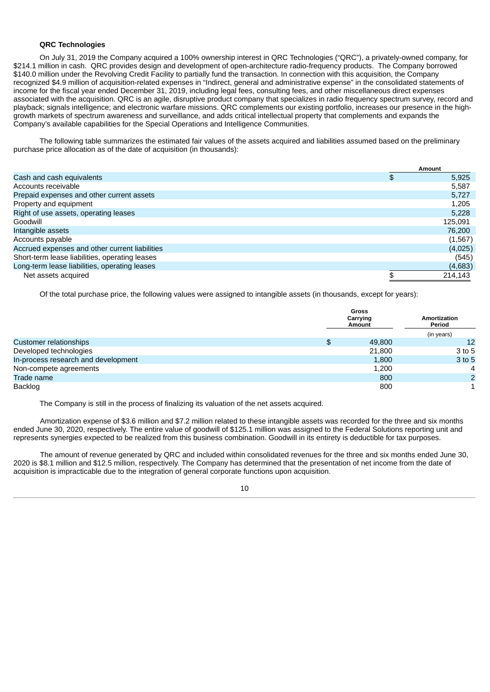#### **QRC Technologies**

On July 31, 2019 the Company acquired a 100% ownership interest in QRC Technologies ("QRC"), a privately-owned company, for \$214.1 million in cash. QRC provides design and development of open-architecture radio-frequency products. The Company borrowed \$140.0 million under the Revolving Credit Facility to partially fund the transaction. In connection with this acquisition, the Company recognized \$4.9 million of acquisition-related expenses in "Indirect, general and administrative expense" in the consolidated statements of income for the fiscal year ended December 31, 2019, including legal fees, consulting fees, and other miscellaneous direct expenses associated with the acquisition. QRC is an agile, disruptive product company that specializes in radio frequency spectrum survey, record and playback; signals intelligence; and electronic warfare missions. QRC complements our existing portfolio, increases our presence in the highgrowth markets of spectrum awareness and surveillance, and adds critical intellectual property that complements and expands the Company's available capabilities for the Special Operations and Intelligence Communities.

The following table summarizes the estimated fair values of the assets acquired and liabilities assumed based on the preliminary purchase price allocation as of the date of acquisition (in thousands):

|                                                | Amount   |
|------------------------------------------------|----------|
| Cash and cash equivalents                      | 5.925    |
| Accounts receivable                            | 5,587    |
| Prepaid expenses and other current assets      | 5,727    |
| Property and equipment                         | 1.205    |
| Right of use assets, operating leases          | 5.228    |
| Goodwill                                       | 125.091  |
| Intangible assets                              | 76.200   |
| Accounts payable                               | (1, 567) |
| Accrued expenses and other current liabilities | (4,025)  |
| Short-term lease liabilities, operating leases | (545)    |
| Long-term lease liabilities, operating leases  | (4,683)  |
| Net assets acquired                            | 214,143  |

Of the total purchase price, the following values were assigned to intangible assets (in thousands, except for years):

|                                     | <b>Gross</b><br>Carrying<br>Amount | Amortization<br>Period |
|-------------------------------------|------------------------------------|------------------------|
|                                     |                                    | (in years)             |
| Customer relationships              | \$<br>49.800                       | 12                     |
| Developed technologies              | 21,800                             | 3 to 5                 |
| In-process research and development | 1,800                              | 3 to 5                 |
| Non-compete agreements              | 1,200                              | 4                      |
| Trade name                          | 800                                | $\overline{2}$         |
| Backlog                             | 800                                |                        |

The Company is still in the process of finalizing its valuation of the net assets acquired.

Amortization expense of \$3.6 million and \$7.2 million related to these intangible assets was recorded for the three and six months ended June 30, 2020, respectively. The entire value of goodwill of \$125.1 million was assigned to the Federal Solutions reporting unit and represents synergies expected to be realized from this business combination. Goodwill in its entirety is deductible for tax purposes.

The amount of revenue generated by QRC and included within consolidated revenues for the three and six months ended June 30, 2020 is \$8.1 million and \$12.5 million, respectively. The Company has determined that the presentation of net income from the date of acquisition is impracticable due to the integration of general corporate functions upon acquisition.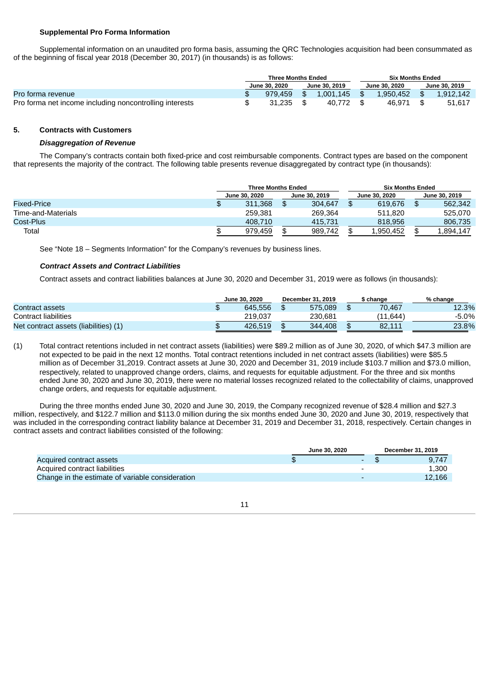#### **Supplemental Pro Forma Information**

Supplemental information on an unaudited pro forma basis, assuming the QRC Technologies acquisition had been consummated as of the beginning of fiscal year 2018 (December 30, 2017) (in thousands) is as follows:

|                                                         | <b>Three Months Ended</b>             |         |    |                      |                      | <b>Six Months Ended</b> |           |
|---------------------------------------------------------|---------------------------------------|---------|----|----------------------|----------------------|-------------------------|-----------|
|                                                         | June 30, 2019<br><b>June 30, 2020</b> |         |    | <b>June 30, 2020</b> | <b>June 30, 2019</b> |                         |           |
| Pro forma revenue                                       |                                       | 979.459 | \$ | 1.001.145            | 1.950.452            |                         | 1.912.142 |
| Pro forma net income including noncontrolling interests |                                       | 31.235  |    | 40.772               | 46.971               |                         | 51.617    |

#### **5. Contracts with Customers**

#### *Disaggregation of Revenue*

The Company's contracts contain both fixed-price and cost reimbursable components. Contract types are based on the component that represents the majority of the contract. The following table presents revenue disaggregated by contract type (in thousands):

|                    | <b>Three Months Ended</b>      |    |               |  | <b>Six Months Ended</b> |    |           |  |
|--------------------|--------------------------------|----|---------------|--|-------------------------|----|-----------|--|
|                    | June 30, 2020<br>June 30, 2019 |    | June 30, 2020 |  | June 30, 2019           |    |           |  |
| Fixed-Price        | 311,368                        | \$ | 304.647       |  | 619,676                 | \$ | 562.342   |  |
| Time-and-Materials | 259.381                        |    | 269.364       |  | 511.820                 |    | 525,070   |  |
| Cost-Plus          | 408.710                        |    | 415.731       |  | 818.956                 |    | 806,735   |  |
| Total              | 979.459                        |    | 989.742       |  | 1,950,452               | \$ | 1,894,147 |  |

See "Note 18 – Segments Information" for the Company's revenues by business lines.

#### *Contract Assets and Contract Liabilities*

Contract assets and contract liabilities balances at June 30, 2020 and December 31, 2019 were as follows (in thousands):

|                                       | June 30, 2020 |         | December 31, 2019 |         | change ہ |                        | % change |
|---------------------------------------|---------------|---------|-------------------|---------|----------|------------------------|----------|
| Contract assets                       |               | 645.556 |                   | 575,089 |          | 70.467                 | 12.3%    |
| <b>Contract liabilities</b>           |               | 219.037 |                   | 230.681 |          | $\left( 11.644\right)$ | -5.0%    |
| Net contract assets (liabilities) (1) |               | 426,519 |                   | 344,408 |          | 82.111                 | 23.8%    |

(1) Total contract retentions included in net contract assets (liabilities) were \$89.2 million as of June 30, 2020, of which \$47.3 million are not expected to be paid in the next 12 months. Total contract retentions included in net contract assets (liabilities) were \$85.5 million as of December 31,2019. Contract assets at June 30, 2020 and December 31, 2019 include \$103.7 million and \$73.0 million, respectively, related to unapproved change orders, claims, and requests for equitable adjustment. For the three and six months ended June 30, 2020 and June 30, 2019, there were no material losses recognized related to the collectability of claims, unapproved change orders, and requests for equitable adjustment.

During the three months ended June 30, 2020 and June 30, 2019, the Company recognized revenue of \$28.4 million and \$27.3 million, respectively, and \$122.7 million and \$113.0 million during the six months ended June 30, 2020 and June 30, 2019, respectively that was included in the corresponding contract liability balance at December 31, 2019 and December 31, 2018, respectively. Certain changes in contract assets and contract liabilities consisted of the following:

|                                                  | June 30, 2020 |   | December 31, 2019 |
|--------------------------------------------------|---------------|---|-------------------|
| Acquired contract assets                         | £             |   | 9.747             |
| Acquired contract liabilities                    |               |   | 1.300             |
| Change in the estimate of variable consideration |               | - | 12,166            |
|                                                  |               |   |                   |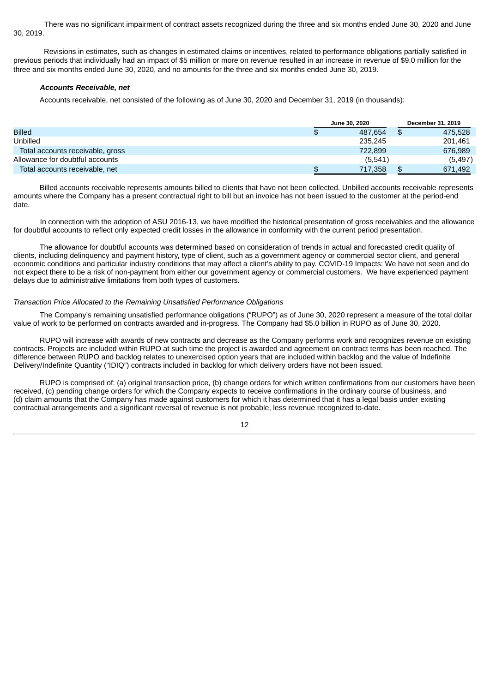There was no significant impairment of contract assets recognized during the three and six months ended June 30, 2020 and June 30, 2019.

Revisions in estimates, such as changes in estimated claims or incentives, related to performance obligations partially satisfied in previous periods that individually had an impact of \$5 million or more on revenue resulted in an increase in revenue of \$9.0 million for the three and six months ended June 30, 2020, and no amounts for the three and six months ended June 30, 2019.

#### *Accounts Receivable, net*

Accounts receivable, net consisted of the following as of June 30, 2020 and December 31, 2019 (in thousands):

|                                  | <b>June 30, 2020</b> | December 31, 2019 |         |
|----------------------------------|----------------------|-------------------|---------|
| <b>Billed</b>                    | 487.654              |                   | 475.528 |
| Unbilled                         | 235.245              |                   | 201.461 |
| Total accounts receivable, gross | 722.899              |                   | 676,989 |
| Allowance for doubtful accounts  | (5,541)              |                   | (5.497) |
| Total accounts receivable, net   | 717,358              |                   | 671,492 |

Billed accounts receivable represents amounts billed to clients that have not been collected. Unbilled accounts receivable represents amounts where the Company has a present contractual right to bill but an invoice has not been issued to the customer at the period-end date.

In connection with the adoption of ASU 2016-13, we have modified the historical presentation of gross receivables and the allowance for doubtful accounts to reflect only expected credit losses in the allowance in conformity with the current period presentation.

The allowance for doubtful accounts was determined based on consideration of trends in actual and forecasted credit quality of clients, including delinquency and payment history, type of client, such as a government agency or commercial sector client, and general economic conditions and particular industry conditions that may affect a client's ability to pay. COVID-19 Impacts: We have not seen and do not expect there to be a risk of non-payment from either our government agency or commercial customers. We have experienced payment delays due to administrative limitations from both types of customers.

#### *Transaction Price Allocated to the Remaining Unsatisfied Performance Obligations*

The Company's remaining unsatisfied performance obligations ("RUPO") as of June 30, 2020 represent a measure of the total dollar value of work to be performed on contracts awarded and in-progress. The Company had \$5.0 billion in RUPO as of June 30, 2020.

RUPO will increase with awards of new contracts and decrease as the Company performs work and recognizes revenue on existing contracts. Projects are included within RUPO at such time the project is awarded and agreement on contract terms has been reached. The difference between RUPO and backlog relates to unexercised option years that are included within backlog and the value of Indefinite Delivery/Indefinite Quantity ("IDIQ") contracts included in backlog for which delivery orders have not been issued.

RUPO is comprised of: (a) original transaction price, (b) change orders for which written confirmations from our customers have been received, (c) pending change orders for which the Company expects to receive confirmations in the ordinary course of business, and (d) claim amounts that the Company has made against customers for which it has determined that it has a legal basis under existing contractual arrangements and a significant reversal of revenue is not probable, less revenue recognized to-date.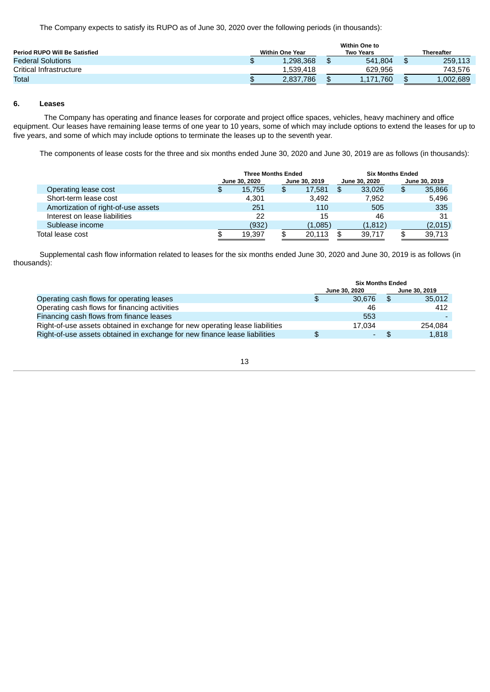The Company expects to satisfy its RUPO as of June 30, 2020 over the following periods (in thousands):

|                                      |                        | <b>Within One to</b> |                 |
|--------------------------------------|------------------------|----------------------|-----------------|
| <b>Period RUPO Will Be Satisfied</b> | <b>Within One Year</b> | <b>Two Years</b>     | Thereafter      |
| <b>Federal Solutions</b>             | 1.298.368              | 541.804              | \$<br>259.113   |
| Critical Infrastructure              | 1,539,418              | 629.956              | 743.576         |
| Total                                | 2.837.786              | 1.171.760            | \$<br>1,002,689 |

#### **6. Leases**

 The Company has operating and finance leases for corporate and project office spaces, vehicles, heavy machinery and office equipment. Our leases have remaining lease terms of one year to 10 years, some of which may include options to extend the leases for up to five years, and some of which may include options to terminate the leases up to the seventh year.

The components of lease costs for the three and six months ended June 30, 2020 and June 30, 2019 are as follows (in thousands):

|                                     | <b>Three Months Ended</b> |    | <b>Six Months Ended</b> |               |         |    |               |
|-------------------------------------|---------------------------|----|-------------------------|---------------|---------|----|---------------|
|                                     | June 30, 2020             |    | June 30, 2019           | June 30, 2020 |         |    | June 30, 2019 |
| Operating lease cost                | \$<br>15.755              | \$ | 17,581                  | \$            | 33,026  | \$ | 35,866        |
| Short-term lease cost               | 4.301                     |    | 3.492                   |               | 7.952   |    | 5.496         |
| Amortization of right-of-use assets | 251                       |    | 110                     |               | 505     |    | 335           |
| Interest on lease liabilities       | 22                        |    | 15                      |               | 46      |    | 31            |
| Sublease income                     | (932)                     |    | (1.085)                 |               | (1,812) |    | (2,015)       |
| Total lease cost                    | 19,397                    | \$ | 20.113                  |               | 39,717  | \$ | 39,713        |

Supplemental cash flow information related to leases for the six months ended June 30, 2020 and June 30, 2019 is as follows (in thousands):

|                                                                              | <b>Six Months Ended</b> |                          |  |               |  |  |
|------------------------------------------------------------------------------|-------------------------|--------------------------|--|---------------|--|--|
|                                                                              |                         | June 30, 2020            |  | June 30, 2019 |  |  |
| Operating cash flows for operating leases                                    | \$                      | 30.676                   |  | 35,012        |  |  |
| Operating cash flows for financing activities                                |                         | 46                       |  | 412           |  |  |
| Financing cash flows from finance leases                                     |                         | 553                      |  |               |  |  |
| Right-of-use assets obtained in exchange for new operating lease liabilities |                         | 17.034                   |  | 254.084       |  |  |
| Right-of-use assets obtained in exchange for new finance lease liabilities   | \$.                     | $\overline{\phantom{0}}$ |  | 1,818         |  |  |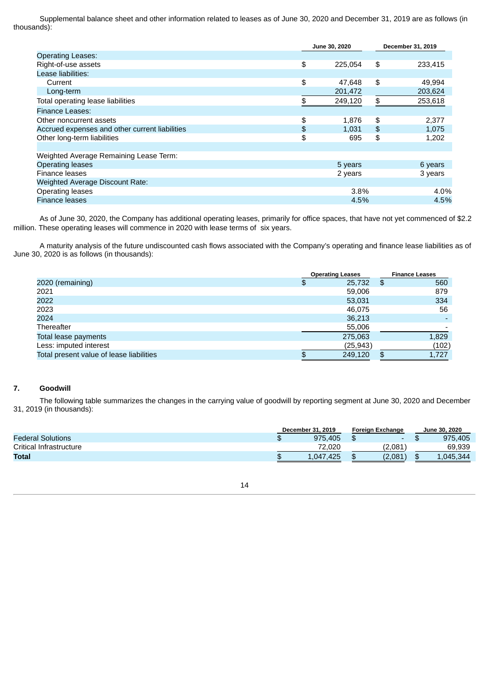Supplemental balance sheet and other information related to leases as of June 30, 2020 and December 31, 2019 are as follows (in thousands):

|                                                | June 30, 2020  |         | December 31, 2019           |         |
|------------------------------------------------|----------------|---------|-----------------------------|---------|
| <b>Operating Leases:</b>                       |                |         |                             |         |
| Right-of-use assets                            | \$             | 225,054 | \$                          | 233,415 |
| Lease liabilities:                             |                |         |                             |         |
| Current                                        | \$             | 47.648  | \$                          | 49,994  |
| Long-term                                      |                | 201,472 |                             | 203,624 |
| Total operating lease liabilities              | \$             | 249,120 | $\boldsymbol{\mathfrak{s}}$ | 253,618 |
| Finance Leases:                                |                |         |                             |         |
| Other noncurrent assets                        | \$             | 1,876   | \$                          | 2,377   |
| Accrued expenses and other current liabilities | $\mathfrak{P}$ | 1,031   | \$                          | 1,075   |
| Other long-term liabilities                    | \$             | 695     | \$                          | 1,202   |
|                                                |                |         |                             |         |
| Weighted Average Remaining Lease Term:         |                |         |                             |         |
| <b>Operating leases</b>                        |                | 5 years |                             | 6 years |
| Finance leases                                 |                | 2 years |                             | 3 years |
| Weighted Average Discount Rate:                |                |         |                             |         |
| <b>Operating leases</b>                        |                | 3.8%    |                             | 4.0%    |
| <b>Finance leases</b>                          |                | 4.5%    |                             | 4.5%    |

As of June 30, 2020, the Company has additional operating leases, primarily for office spaces, that have not yet commenced of \$2.2 million. These operating leases will commence in 2020 with lease terms of six years.

A maturity analysis of the future undiscounted cash flows associated with the Company's operating and finance lease liabilities as of June 30, 2020 is as follows (in thousands):

|                                          | <b>Operating Leases</b> |     | <b>Finance Leases</b> |
|------------------------------------------|-------------------------|-----|-----------------------|
| 2020 (remaining)                         | \$<br>$25,732$ \$       |     | 560                   |
| 2021                                     | 59.006                  |     | 879                   |
| 2022                                     | 53,031                  |     | 334                   |
| 2023                                     | 46.075                  |     | 56                    |
| 2024                                     | 36,213                  |     |                       |
| Thereafter                               | 55,006                  |     |                       |
| Total lease payments                     | 275,063                 |     | 1,829                 |
| Less: imputed interest                   | (25, 943)               |     | (102)                 |
| Total present value of lease liabilities | 249,120                 | \$. | 1,727                 |

#### **7. Goodwill**

The following table summarizes the changes in the carrying value of goodwill by reporting segment at June 30, 2020 and December 31, 2019 (in thousands):

|                          | December 31, 2019 | <b>Foreign Exchange</b> |                          | June 30, 2020 |           |
|--------------------------|-------------------|-------------------------|--------------------------|---------------|-----------|
| <b>Federal Solutions</b> | 975.405           | Ф                       | $\overline{\phantom{0}}$ |               | 975,405   |
| Critical Infrastructure  | 72.020            |                         | (2,081)                  |               | 69.939    |
| Total                    | .047.425          | ъD                      | (2.081)                  |               | 1.045.344 |

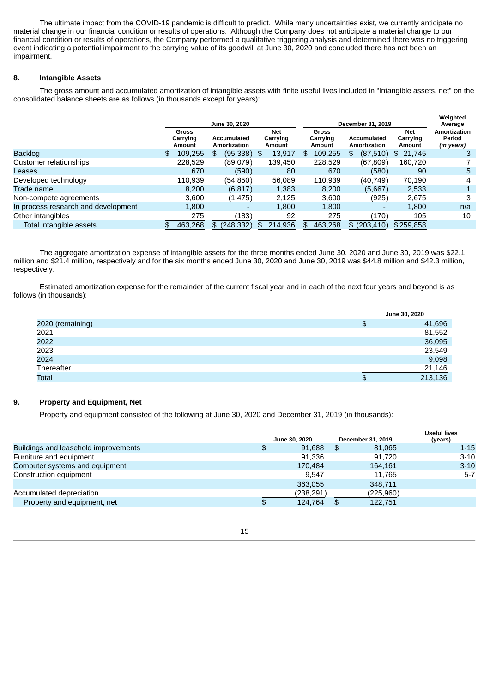The ultimate impact from the COVID-19 pandemic is difficult to predict. While many uncertainties exist, we currently anticipate no material change in our financial condition or results of operations. Although the Company does not anticipate a material change to our financial condition or results of operations, the Company performed a qualitative triggering analysis and determined there was no triggering event indicating a potential impairment to the carrying value of its goodwill at June 30, 2020 and concluded there has not been an impairment.

#### **8. Intangible Assets**

The gross amount and accumulated amortization of intangible assets with finite useful lives included in "Intangible assets, net" on the consolidated balance sheets are as follows (in thousands except for years):

|                                     |                                    |     | June 30, 2020                      |     |                                  |                                    |   | December 31, 2019                  |                                  | Weighted<br>Average                  |
|-------------------------------------|------------------------------------|-----|------------------------------------|-----|----------------------------------|------------------------------------|---|------------------------------------|----------------------------------|--------------------------------------|
|                                     | <b>Gross</b><br>Carrying<br>Amount |     | <b>Accumulated</b><br>Amortization |     | <b>Net</b><br>Carrying<br>Amount | <b>Gross</b><br>Carrying<br>Amount |   | <b>Accumulated</b><br>Amortization | <b>Net</b><br>Carrying<br>Amount | Amortization<br>Period<br>(in years) |
| Backlog                             | 109,255                            | \$. | (95, 338)                          | \$. | 13,917                           | \$<br>109,255                      | £ | (87,510)                           | \$21,745                         |                                      |
| Customer relationships              | 228.529                            |     | (89,079)                           |     | 139.450                          | 228,529                            |   | (67,809)                           | 160.720                          |                                      |
| Leases                              | 670                                |     | (590)                              |     | 80                               | 670                                |   | (580)                              | 90                               | 5.                                   |
| Developed technology                | 110.939                            |     | (54,850)                           |     | 56,089                           | 110,939                            |   | (40,749)                           | 70,190                           | 4                                    |
| Trade name                          | 8,200                              |     | (6.817)                            |     | 1,383                            | 8,200                              |   | (5,667)                            | 2,533                            |                                      |
| Non-compete agreements              | 3.600                              |     | (1, 475)                           |     | 2.125                            | 3.600                              |   | (925)                              | 2,675                            | 3                                    |
| In process research and development | 1,800                              |     |                                    |     | 1.800                            | 1,800                              |   | ٠                                  | 1,800                            | n/a                                  |
| Other intangibles                   | 275                                |     | (183)                              |     | 92                               | 275                                |   | (170)                              | 105                              | 10                                   |
| Total intangible assets             | 463,268                            |     | (248, 332)                         | £.  | 214,936                          | \$<br>463,268                      |   | \$ (203, 410)                      | \$259,858                        |                                      |

The aggregate amortization expense of intangible assets for the three months ended June 30, 2020 and June 30, 2019 was \$22.1 million and \$21.4 million, respectively and for the six months ended June 30, 2020 and June 30, 2019 was \$44.8 million and \$42.3 million, respectively.

Estimated amortization expense for the remainder of the current fiscal year and in each of the next four years and beyond is as follows (in thousands):

|                  | June 30, 2020 |
|------------------|---------------|
| 2020 (remaining) | 41,696        |
| 2021             | 81,552        |
| 2022             | 36,095        |
| 2023             | 23,549        |
| 2024             | 9,098         |
| Thereafter       | 21,146        |
| <b>Total</b>     | 213,136       |

#### **9. Property and Equipment, Net**

Property and equipment consisted of the following at June 30, 2020 and December 31, 2019 (in thousands):

|              |               | <b>Useful lives</b><br>(years) |                   |
|--------------|---------------|--------------------------------|-------------------|
| \$<br>91,688 | \$            | 81,065                         | $1 - 15$          |
| 91.336       |               | 91.720                         | $3 - 10$          |
| 170,484      |               | 164,161                        | $3 - 10$          |
| 9.547        |               | 11,765                         | $5 - 7$           |
| 363.055      |               | 348,711                        |                   |
| (238,291)    |               | (225,960)                      |                   |
| 124.764      |               | 122,751                        |                   |
|              | June 30, 2020 |                                | December 31, 2019 |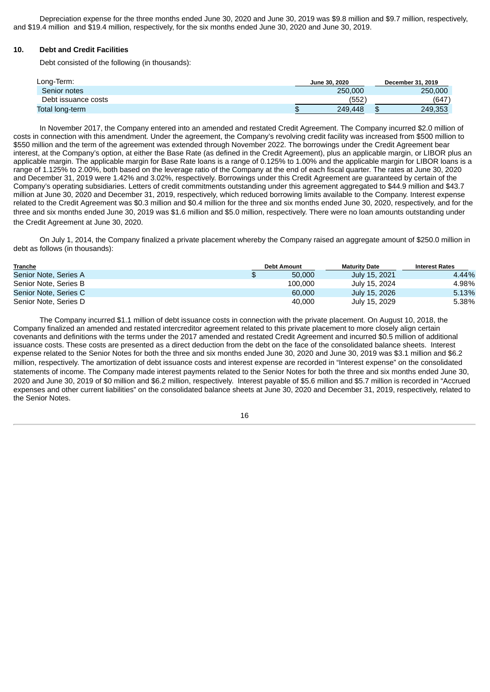Depreciation expense for the three months ended June 30, 2020 and June 30, 2019 was \$9.8 million and \$9.7 million, respectively, and \$19.4 million and \$19.4 million, respectively, for the six months ended June 30, 2020 and June 30, 2019.

#### **10. Debt and Credit Facilities**

Debt consisted of the following (in thousands):

| Long-Term:             | June 30, 2020 | December 31, 2019 |
|------------------------|---------------|-------------------|
| Senior notes           | 250,000       | 250,000           |
| Debt issuance costs    | (552)         | (647)             |
| <b>Total long-term</b> | 249.448       | 249,353           |

In November 2017, the Company entered into an amended and restated Credit Agreement. The Company incurred \$2.0 million of costs in connection with this amendment. Under the agreement, the Company's revolving credit facility was increased from \$500 million to \$550 million and the term of the agreement was extended through November 2022. The borrowings under the Credit Agreement bear interest, at the Company's option, at either the Base Rate (as defined in the Credit Agreement), plus an applicable margin, or LIBOR plus an applicable margin. The applicable margin for Base Rate loans is a range of 0.125% to 1.00% and the applicable margin for LIBOR loans is a range of 1.125% to 2.00%, both based on the leverage ratio of the Company at the end of each fiscal quarter. The rates at June 30, 2020 and December 31, 2019 were 1.42% and 3.02%, respectively. Borrowings under this Credit Agreement are guaranteed by certain of the Company's operating subsidiaries. Letters of credit commitments outstanding under this agreement aggregated to \$44.9 million and \$43.7 million at June 30, 2020 and December 31, 2019, respectively, which reduced borrowing limits available to the Company. Interest expense related to the Credit Agreement was \$0.3 million and \$0.4 million for the three and six months ended June 30, 2020, respectively, and for the three and six months ended June 30, 2019 was \$1.6 million and \$5.0 million, respectively. There were no loan amounts outstanding under the Credit Agreement at June 30, 2020.

On July 1, 2014, the Company finalized a private placement whereby the Company raised an aggregate amount of \$250.0 million in debt as follows (in thousands):

| <b>Tranche</b>        | <b>Debt Amount</b> | <b>Maturity Date</b> | <b>Interest Rates</b> |
|-----------------------|--------------------|----------------------|-----------------------|
| Senior Note, Series A | 50,000             | July 15, 2021        | 4.44%                 |
| Senior Note, Series B | 100.000            | July 15, 2024        | 4.98%                 |
| Senior Note, Series C | 60,000             | July 15, 2026        | 5.13%                 |
| Senior Note, Series D | 40,000             | July 15, 2029        | 5.38%                 |

The Company incurred \$1.1 million of debt issuance costs in connection with the private placement. On August 10, 2018, the Company finalized an amended and restated intercreditor agreement related to this private placement to more closely align certain covenants and definitions with the terms under the 2017 amended and restated Credit Agreement and incurred \$0.5 million of additional issuance costs. These costs are presented as a direct deduction from the debt on the face of the consolidated balance sheets. Interest expense related to the Senior Notes for both the three and six months ended June 30, 2020 and June 30, 2019 was \$3.1 million and \$6.2 million, respectively. The amortization of debt issuance costs and interest expense are recorded in "Interest expense" on the consolidated statements of income. The Company made interest payments related to the Senior Notes for both the three and six months ended June 30, 2020 and June 30, 2019 of \$0 million and \$6.2 million, respectively. Interest payable of \$5.6 million and \$5.7 million is recorded in "Accrued expenses and other current liabilities" on the consolidated balance sheets at June 30, 2020 and December 31, 2019, respectively, related to the Senior Notes.

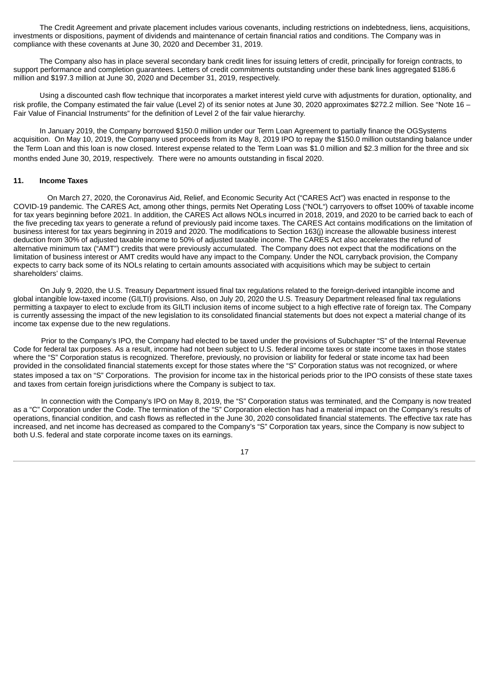The Credit Agreement and private placement includes various covenants, including restrictions on indebtedness, liens, acquisitions, investments or dispositions, payment of dividends and maintenance of certain financial ratios and conditions. The Company was in compliance with these covenants at June 30, 2020 and December 31, 2019.

The Company also has in place several secondary bank credit lines for issuing letters of credit, principally for foreign contracts, to support performance and completion guarantees. Letters of credit commitments outstanding under these bank lines aggregated \$186.6 million and \$197.3 million at June 30, 2020 and December 31, 2019, respectively.

Using a discounted cash flow technique that incorporates a market interest yield curve with adjustments for duration, optionality, and risk profile, the Company estimated the fair value (Level 2) of its senior notes at June 30, 2020 approximates \$272.2 million. See "Note 16 – Fair Value of Financial Instruments" for the definition of Level 2 of the fair value hierarchy.

In January 2019, the Company borrowed \$150.0 million under our Term Loan Agreement to partially finance the OGSystems acquisition. On May 10, 2019, the Company used proceeds from its May 8, 2019 IPO to repay the \$150.0 million outstanding balance under the Term Loan and this loan is now closed. Interest expense related to the Term Loan was \$1.0 million and \$2.3 million for the three and six months ended June 30, 2019, respectively. There were no amounts outstanding in fiscal 2020.

#### **11. Income Taxes**

On March 27, 2020, the Coronavirus Aid, Relief, and Economic Security Act ("CARES Act") was enacted in response to the COVID-19 pandemic. The CARES Act, among other things, permits Net Operating Loss ("NOL") carryovers to offset 100% of taxable income for tax years beginning before 2021. In addition, the CARES Act allows NOLs incurred in 2018, 2019, and 2020 to be carried back to each of the five preceding tax years to generate a refund of previously paid income taxes. The CARES Act contains modifications on the limitation of business interest for tax years beginning in 2019 and 2020. The modifications to Section 163(j) increase the allowable business interest deduction from 30% of adjusted taxable income to 50% of adjusted taxable income. The CARES Act also accelerates the refund of alternative minimum tax ("AMT") credits that were previously accumulated. The Company does not expect that the modifications on the limitation of business interest or AMT credits would have any impact to the Company. Under the NOL carryback provision, the Company expects to carry back some of its NOLs relating to certain amounts associated with acquisitions which may be subject to certain shareholders' claims.

On July 9, 2020, the U.S. Treasury Department issued final tax regulations related to the foreign-derived intangible income and global intangible low-taxed income (GILTI) provisions. Also, on July 20, 2020 the U.S. Treasury Department released final tax regulations permitting a taxpayer to elect to exclude from its GILTI inclusion items of income subject to a high effective rate of foreign tax. The Company is currently assessing the impact of the new legislation to its consolidated financial statements but does not expect a material change of its income tax expense due to the new regulations.

Prior to the Company's IPO, the Company had elected to be taxed under the provisions of Subchapter "S" of the Internal Revenue Code for federal tax purposes. As a result, income had not been subject to U.S. federal income taxes or state income taxes in those states where the "S" Corporation status is recognized. Therefore, previously, no provision or liability for federal or state income tax had been provided in the consolidated financial statements except for those states where the "S" Corporation status was not recognized, or where states imposed a tax on "S" Corporations. The provision for income tax in the historical periods prior to the IPO consists of these state taxes and taxes from certain foreign jurisdictions where the Company is subject to tax.

In connection with the Company's IPO on May 8, 2019, the "S" Corporation status was terminated, and the Company is now treated as a "C" Corporation under the Code. The termination of the "S" Corporation election has had a material impact on the Company's results of operations, financial condition, and cash flows as reflected in the June 30, 2020 consolidated financial statements. The effective tax rate has increased, and net income has decreased as compared to the Company's "S" Corporation tax years, since the Company is now subject to both U.S. federal and state corporate income taxes on its earnings.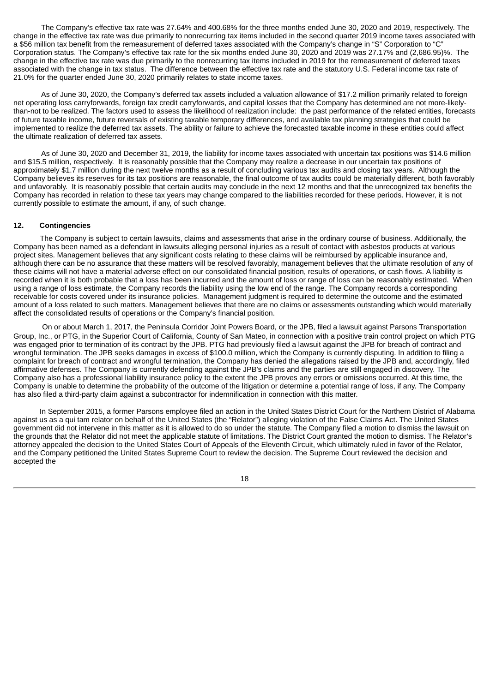The Company's effective tax rate was 27.64% and 400.68% for the three months ended June 30, 2020 and 2019, respectively. The change in the effective tax rate was due primarily to nonrecurring tax items included in the second quarter 2019 income taxes associated with a \$56 million tax benefit from the remeasurement of deferred taxes associated with the Company's change in "S" Corporation to "C" Corporation status. The Company's effective tax rate for the six months ended June 30, 2020 and 2019 was 27.17% and (2,686.95)%. The change in the effective tax rate was due primarily to the nonrecurring tax items included in 2019 for the remeasurement of deferred taxes associated with the change in tax status. The difference between the effective tax rate and the statutory U.S. Federal income tax rate of 21.0% for the quarter ended June 30, 2020 primarily relates to state income taxes.

As of June 30, 2020, the Company's deferred tax assets included a valuation allowance of \$17.2 million primarily related to foreign net operating loss carryforwards, foreign tax credit carryforwards, and capital losses that the Company has determined are not more-likelythan-not to be realized. The factors used to assess the likelihood of realization include: the past performance of the related entities, forecasts of future taxable income, future reversals of existing taxable temporary differences, and available tax planning strategies that could be implemented to realize the deferred tax assets. The ability or failure to achieve the forecasted taxable income in these entities could affect the ultimate realization of deferred tax assets.

As of June 30, 2020 and December 31, 2019, the liability for income taxes associated with uncertain tax positions was \$14.6 million and \$15.5 million, respectively. It is reasonably possible that the Company may realize a decrease in our uncertain tax positions of approximately \$1.7 million during the next twelve months as a result of concluding various tax audits and closing tax years. Although the Company believes its reserves for its tax positions are reasonable, the final outcome of tax audits could be materially different, both favorably and unfavorably. It is reasonably possible that certain audits may conclude in the next 12 months and that the unrecognized tax benefits the Company has recorded in relation to these tax years may change compared to the liabilities recorded for these periods. However, it is not currently possible to estimate the amount, if any, of such change.

#### **12. Contingencies**

The Company is subject to certain lawsuits, claims and assessments that arise in the ordinary course of business. Additionally, the Company has been named as a defendant in lawsuits alleging personal injuries as a result of contact with asbestos products at various project sites. Management believes that any significant costs relating to these claims will be reimbursed by applicable insurance and, although there can be no assurance that these matters will be resolved favorably, management believes that the ultimate resolution of any of these claims will not have a material adverse effect on our consolidated financial position, results of operations, or cash flows. A liability is recorded when it is both probable that a loss has been incurred and the amount of loss or range of loss can be reasonably estimated. When using a range of loss estimate, the Company records the liability using the low end of the range. The Company records a corresponding receivable for costs covered under its insurance policies. Management judgment is required to determine the outcome and the estimated amount of a loss related to such matters. Management believes that there are no claims or assessments outstanding which would materially affect the consolidated results of operations or the Company's financial position.

On or about March 1, 2017, the Peninsula Corridor Joint Powers Board, or the JPB, filed a lawsuit against Parsons Transportation Group, Inc., or PTG, in the Superior Court of California, County of San Mateo, in connection with a positive train control project on which PTG was engaged prior to termination of its contract by the JPB. PTG had previously filed a lawsuit against the JPB for breach of contract and wrongful termination. The JPB seeks damages in excess of \$100.0 million, which the Company is currently disputing. In addition to filing a complaint for breach of contract and wrongful termination, the Company has denied the allegations raised by the JPB and, accordingly, filed affirmative defenses. The Company is currently defending against the JPB's claims and the parties are still engaged in discovery. The Company also has a professional liability insurance policy to the extent the JPB proves any errors or omissions occurred. At this time, the Company is unable to determine the probability of the outcome of the litigation or determine a potential range of loss, if any. The Company has also filed a third-party claim against a subcontractor for indemnification in connection with this matter.

In September 2015, a former Parsons employee filed an action in the United States District Court for the Northern District of Alabama against us as a qui tam relator on behalf of the United States (the "Relator") alleging violation of the False Claims Act. The United States government did not intervene in this matter as it is allowed to do so under the statute. The Company filed a motion to dismiss the lawsuit on the grounds that the Relator did not meet the applicable statute of limitations. The District Court granted the motion to dismiss. The Relator's attorney appealed the decision to the United States Court of Appeals of the Eleventh Circuit, which ultimately ruled in favor of the Relator, and the Company petitioned the United States Supreme Court to review the decision. The Supreme Court reviewed the decision and accepted the

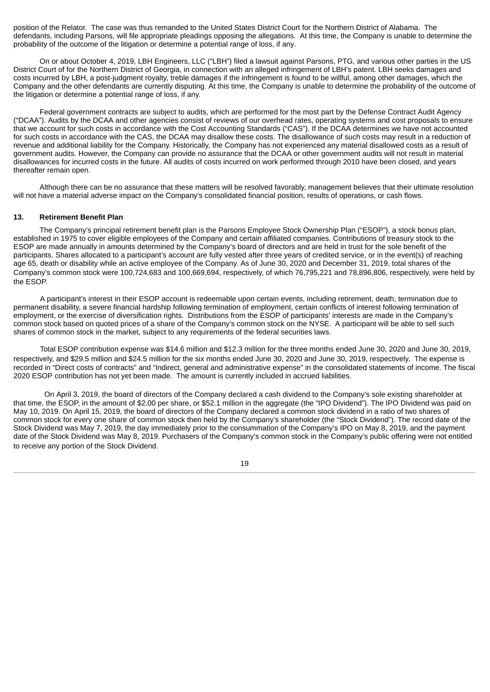position of the Relator. The case was thus remanded to the United States District Court for the Northern District of Alabama. The defendants, including Parsons, will file appropriate pleadings opposing the allegations. At this time, the Company is unable to determine the probability of the outcome of the litigation or determine a potential range of loss, if any.

On or about October 4, 2019, LBH Engineers, LLC ("LBH") filed a lawsuit against Parsons, PTG, and various other parties in the US District Court of for the Northern District of Georgia, in connection with an alleged infringement of LBH's patent. LBH seeks damages and costs incurred by LBH, a post-judgment royalty, treble damages if the infringement is found to be willful, among other damages, which the Company and the other defendants are currently disputing. At this time, the Company is unable to determine the probability of the outcome of the litigation or determine a potential range of loss, if any.

Federal government contracts are subject to audits, which are performed for the most part by the Defense Contract Audit Agency ("DCAA"). Audits by the DCAA and other agencies consist of reviews of our overhead rates, operating systems and cost proposals to ensure that we account for such costs in accordance with the Cost Accounting Standards ("CAS"). If the DCAA determines we have not accounted for such costs in accordance with the CAS, the DCAA may disallow these costs. The disallowance of such costs may result in a reduction of revenue and additional liability for the Company. Historically, the Company has not experienced any material disallowed costs as a result of government audits. However, the Company can provide no assurance that the DCAA or other government audits will not result in material disallowances for incurred costs in the future. All audits of costs incurred on work performed through 2010 have been closed, and years thereafter remain open.

Although there can be no assurance that these matters will be resolved favorably, management believes that their ultimate resolution will not have a material adverse impact on the Company's consolidated financial position, results of operations, or cash flows.

#### **13. Retirement Benefit Plan**

The Company's principal retirement benefit plan is the Parsons Employee Stock Ownership Plan ("ESOP"), a stock bonus plan, established in 1975 to cover eligible employees of the Company and certain affiliated companies. Contributions of treasury stock to the ESOP are made annually in amounts determined by the Company's board of directors and are held in trust for the sole benefit of the participants. Shares allocated to a participant's account are fully vested after three years of credited service, or in the event(s) of reaching age 65, death or disability while an active employee of the Company. As of June 30, 2020 and December 31, 2019, total shares of the Company's common stock were 100,724,683 and 100,669,694, respectively, of which 76,795,221 and 78,896,806, respectively, were held by the ESOP.

A participant's interest in their ESOP account is redeemable upon certain events, including retirement, death, termination due to permanent disability, a severe financial hardship following termination of employment, certain conflicts of interest following termination of employment, or the exercise of diversification rights. Distributions from the ESOP of participants' interests are made in the Company's common stock based on quoted prices of a share of the Company's common stock on the NYSE. A participant will be able to sell such shares of common stock in the market, subject to any requirements of the federal securities laws.

Total ESOP contribution expense was \$14.6 million and \$12.3 million for the three months ended June 30, 2020 and June 30, 2019, respectively, and \$29.5 million and \$24.5 million for the six months ended June 30, 2020 and June 30, 2019, respectively. The expense is recorded in "Direct costs of contracts" and "Indirect, general and administrative expense" in the consolidated statements of income. The fiscal 2020 ESOP contribution has not yet been made. The amount is currently included in accrued liabilities.

 On April 3, 2019, the board of directors of the Company declared a cash dividend to the Company's sole existing shareholder at that time, the ESOP, in the amount of \$2.00 per share, or \$52.1 million in the aggregate (the "IPO Dividend"). The IPO Dividend was paid on May 10, 2019. On April 15, 2019, the board of directors of the Company declared a common stock dividend in a ratio of two shares of common stock for every one share of common stock then held by the Company's shareholder (the "Stock Dividend"). The record date of the Stock Dividend was May 7, 2019, the day immediately prior to the consummation of the Company's IPO on May 8, 2019, and the payment date of the Stock Dividend was May 8, 2019. Purchasers of the Company's common stock in the Company's public offering were not entitled to receive any portion of the Stock Dividend.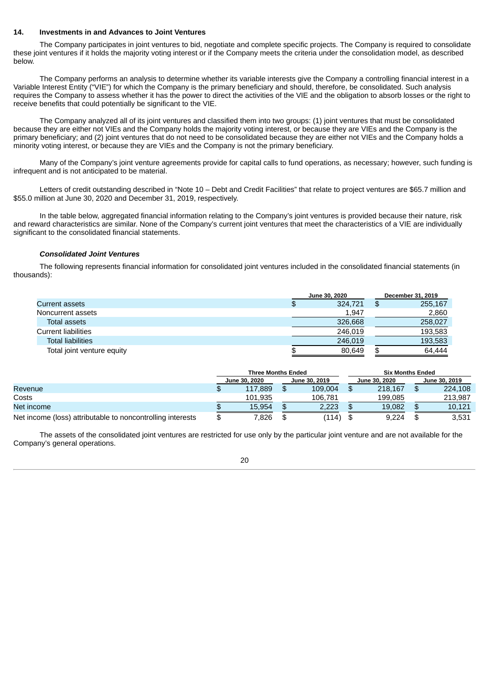#### **14. Investments in and Advances to Joint Ventures**

The Company participates in joint ventures to bid, negotiate and complete specific projects. The Company is required to consolidate these joint ventures if it holds the majority voting interest or if the Company meets the criteria under the consolidation model, as described below.

The Company performs an analysis to determine whether its variable interests give the Company a controlling financial interest in a Variable Interest Entity ("VIE") for which the Company is the primary beneficiary and should, therefore, be consolidated. Such analysis requires the Company to assess whether it has the power to direct the activities of the VIE and the obligation to absorb losses or the right to receive benefits that could potentially be significant to the VIE.

The Company analyzed all of its joint ventures and classified them into two groups: (1) joint ventures that must be consolidated because they are either not VIEs and the Company holds the majority voting interest, or because they are VIEs and the Company is the primary beneficiary; and (2) joint ventures that do not need to be consolidated because they are either not VIEs and the Company holds a minority voting interest, or because they are VIEs and the Company is not the primary beneficiary.

Many of the Company's joint venture agreements provide for capital calls to fund operations, as necessary; however, such funding is infrequent and is not anticipated to be material.

Letters of credit outstanding described in "Note 10 – Debt and Credit Facilities" that relate to project ventures are \$65.7 million and \$55.0 million at June 30, 2020 and December 31, 2019, respectively.

In the table below, aggregated financial information relating to the Company's joint ventures is provided because their nature, risk and reward characteristics are similar. None of the Company's current joint ventures that meet the characteristics of a VIE are individually significant to the consolidated financial statements.

#### *Consolidated Joint Ventures*

The following represents financial information for consolidated joint ventures included in the consolidated financial statements (in thousands):

|                            | June 30, 2020 |     | December 31, 2019 |
|----------------------------|---------------|-----|-------------------|
| Current assets             | \$<br>324.721 | \$. | 255,167           |
| Noncurrent assets          | 1.947         |     | 2,860             |
| Total assets               | 326,668       |     | 258,027           |
| <b>Current liabilities</b> | 246.019       |     | 193,583           |
| <b>Total liabilities</b>   | 246.019       |     | 193,583           |
| Total joint venture equity | 80,649        |     | 64,444            |

|                                                            | <b>Three Months Ended</b> |  |               |  |               | <b>Six Months Ended</b> |         |
|------------------------------------------------------------|---------------------------|--|---------------|--|---------------|-------------------------|---------|
|                                                            | June 30, 2020             |  | June 30, 2019 |  | June 30, 2020 | June 30, 2019           |         |
| Revenue                                                    | 117.889                   |  | 109.004       |  | 218.167       |                         | 224,108 |
| Costs                                                      | 101.935                   |  | 106.781       |  | 199.085       |                         | 213.987 |
| Net income                                                 | 15.954                    |  | 2.223         |  | 19.082        |                         | 10.121  |
| Net income (loss) attributable to noncontrolling interests | 826.'                     |  | (114          |  | 9.224         |                         | 3.531   |

The assets of the consolidated joint ventures are restricted for use only by the particular joint venture and are not available for the Company's general operations.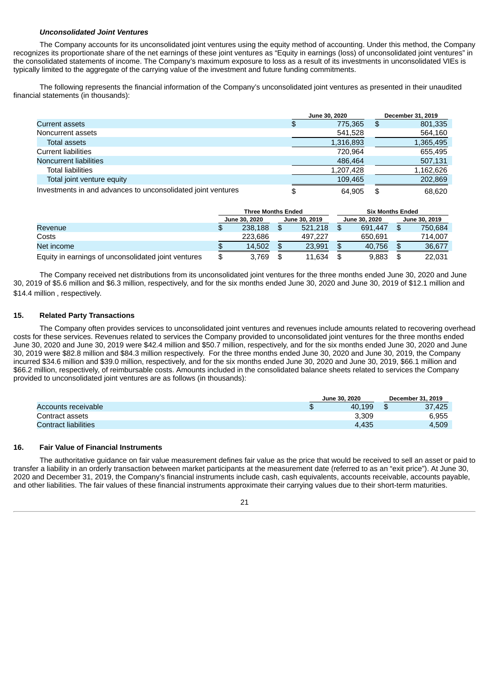#### *Unconsolidated Joint Ventures*

The Company accounts for its unconsolidated joint ventures using the equity method of accounting. Under this method, the Company recognizes its proportionate share of the net earnings of these joint ventures as "Equity in earnings (loss) of unconsolidated joint ventures" in the consolidated statements of income. The Company's maximum exposure to loss as a result of its investments in unconsolidated VIEs is typically limited to the aggregate of the carrying value of the investment and future funding commitments.

The following represents the financial information of the Company's unconsolidated joint ventures as presented in their unaudited financial statements (in thousands):

|                                                              | June 30, 2020 | December 31, 2019 |
|--------------------------------------------------------------|---------------|-------------------|
| <b>Current assets</b>                                        | \$<br>775,365 | \$<br>801,335     |
| Noncurrent assets                                            | 541,528       | 564,160           |
| <b>Total assets</b>                                          | 1,316,893     | 1,365,495         |
| <b>Current liabilities</b>                                   | 720.964       | 655.495           |
| Noncurrent liabilities                                       | 486,464       | 507,131           |
| <b>Total liabilities</b>                                     | 1,207,428     | 1,162,626         |
| Total joint venture equity                                   | 109.465       | 202.869           |
| Investments in and advances to unconsolidated joint ventures | \$<br>64.905  | \$<br>68.620      |

|                                                     | <b>Three Months Ended</b> |    | <b>Six Months Ended</b> |  |               |  |               |
|-----------------------------------------------------|---------------------------|----|-------------------------|--|---------------|--|---------------|
|                                                     | June 30, 2020             |    | June 30, 2019           |  | June 30, 2020 |  | June 30, 2019 |
| Revenue                                             | 238,188                   |    | 521,218                 |  | 691.447       |  | 750.684       |
| Costs                                               | 223.686                   |    | 497.227                 |  | 650.691       |  | 714.007       |
| Net income                                          | 14.502                    |    | 23.991                  |  | 40.756        |  | 36.677        |
| Equity in earnings of unconsolidated joint ventures | 3.769                     | \$ | 11.634                  |  | 9,883         |  | 22,031        |

The Company received net distributions from its unconsolidated joint ventures for the three months ended June 30, 2020 and June 30, 2019 of \$5.6 million and \$6.3 million, respectively, and for the six months ended June 30, 2020 and June 30, 2019 of \$12.1 million and \$14.4 million, respectively.

#### **15. Related Party Transactions**

The Company often provides services to unconsolidated joint ventures and revenues include amounts related to recovering overhead costs for these services. Revenues related to services the Company provided to unconsolidated joint ventures for the three months ended June 30, 2020 and June 30, 2019 were \$42.4 million and \$50.7 million, respectively, and for the six months ended June 30, 2020 and June 30, 2019 were \$82.8 million and \$84.3 million respectively. For the three months ended June 30, 2020 and June 30, 2019, the Company incurred \$34.6 million and \$39.0 million, respectively, and for the six months ended June 30, 2020 and June 30, 2019, \$66.1 million and \$66.2 million, respectively, of reimbursable costs. Amounts included in the consolidated balance sheets related to services the Company provided to unconsolidated joint ventures are as follows (in thousands):

|                             | June 30, 2020 |   | December 31, 2019 |
|-----------------------------|---------------|---|-------------------|
| <b>Accounts receivable</b>  | \$<br>40.199  | ъ | 37.425            |
| Contract assets             | 3.309         |   | 6.955             |
| <b>Contract liabilities</b> | 4.435         |   | 4,509             |

#### **16. Fair Value of Financial Instruments**

The authoritative guidance on fair value measurement defines fair value as the price that would be received to sell an asset or paid to transfer a liability in an orderly transaction between market participants at the measurement date (referred to as an "exit price"). At June 30, 2020 and December 31, 2019, the Company's financial instruments include cash, cash equivalents, accounts receivable, accounts payable, and other liabilities. The fair values of these financial instruments approximate their carrying values due to their short-term maturities.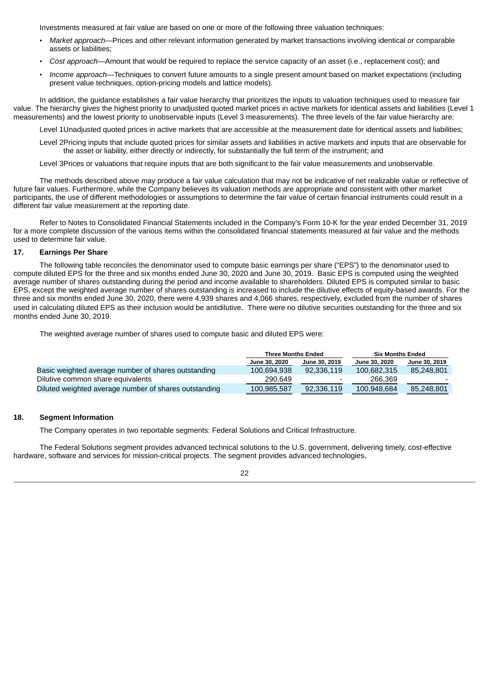Investments measured at fair value are based on one or more of the following three valuation techniques:

- *Market approach*—Prices and other relevant information generated by market transactions involving identical or comparable assets or liabilities;
- *Cost approach*—Amount that would be required to replace the service capacity of an asset (i.e., replacement cost); and
- *Income approach*—Techniques to convert future amounts to a single present amount based on market expectations (including present value techniques, option-pricing models and lattice models).

In addition, the guidance establishes a fair value hierarchy that prioritizes the inputs to valuation techniques used to measure fair value. The hierarchy gives the highest priority to unadjusted quoted market prices in active markets for identical assets and liabilities (Level 1 measurements) and the lowest priority to unobservable inputs (Level 3 measurements). The three levels of the fair value hierarchy are:

Level 1Unadjusted quoted prices in active markets that are accessible at the measurement date for identical assets and liabilities;

Level 2Pricing inputs that include quoted prices for similar assets and liabilities in active markets and inputs that are observable for the asset or liability, either directly or indirectly, for substantially the full term of the instrument; and

Level 3Prices or valuations that require inputs that are both significant to the fair value measurements and unobservable.

The methods described above may produce a fair value calculation that may not be indicative of net realizable value or reflective of future fair values. Furthermore, while the Company believes its valuation methods are appropriate and consistent with other market participants, the use of different methodologies or assumptions to determine the fair value of certain financial instruments could result in a different fair value measurement at the reporting date.

Refer to Notes to Consolidated Financial Statements included in the Company's Form 10-K for the year ended December 31, 2019 for a more complete discussion of the various items within the consolidated financial statements measured at fair value and the methods used to determine fair value.

#### **17. Earnings Per Share**

The following table reconciles the denominator used to compute basic earnings per share ("EPS") to the denominator used to compute diluted EPS for the three and six months ended June 30, 2020 and June 30, 2019. Basic EPS is computed using the weighted average number of shares outstanding during the period and income available to shareholders. Diluted EPS is computed similar to basic EPS, except the weighted average number of shares outstanding is increased to include the dilutive effects of equity-based awards. For the three and six months ended June 30, 2020, there were 4,939 shares and 4,066 shares, respectively, excluded from the number of shares used in calculating diluted EPS as their inclusion would be antidilutive. There were no dilutive securities outstanding for the three and six months ended June 30, 2019.

The weighted average number of shares used to compute basic and diluted EPS were:

|                                                       | <b>Three Months Ended</b> |               | <b>Six Months Ended</b> |               |  |
|-------------------------------------------------------|---------------------------|---------------|-------------------------|---------------|--|
|                                                       | June 30, 2020             | June 30, 2019 | June 30, 2020           | June 30, 2019 |  |
| Basic weighted average number of shares outstanding   | 100.694.938               | 92.336.119    | 100.682.315             | 85.248.801    |  |
| Dilutive common share equivalents                     | 290.649                   | -             | 266.369                 |               |  |
| Diluted weighted average number of shares outstanding | 100,985,587               | 92.336.119    | 100.948.684             | 85.248.801    |  |

#### **18. Segment Information**

The Company operates in two reportable segments: Federal Solutions and Critical Infrastructure.

The Federal Solutions segment provides advanced technical solutions to the U.S. government, delivering timely, cost-effective hardware, software and services for mission-critical projects. The segment provides advanced technologies,

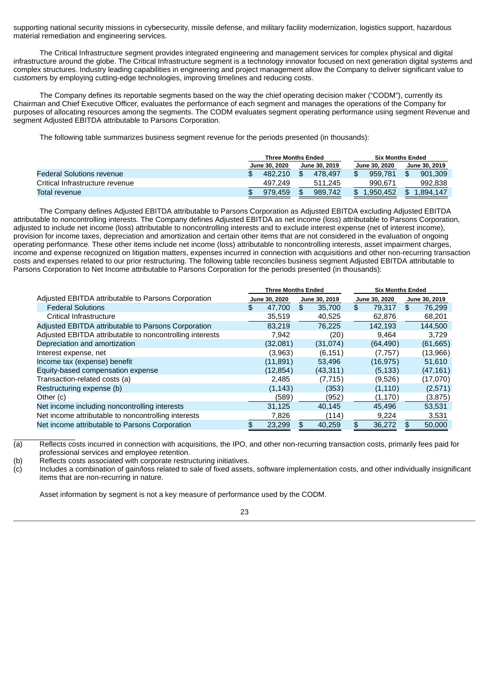supporting national security missions in cybersecurity, missile defense, and military facility modernization, logistics support, hazardous material remediation and engineering services.

The Critical Infrastructure segment provides integrated engineering and management services for complex physical and digital infrastructure around the globe. The Critical Infrastructure segment is a technology innovator focused on next generation digital systems and complex structures. Industry leading capabilities in engineering and project management allow the Company to deliver significant value to customers by employing cutting-edge technologies, improving timelines and reducing costs.

The Company defines its reportable segments based on the way the chief operating decision maker ("CODM"), currently its Chairman and Chief Executive Officer, evaluates the performance of each segment and manages the operations of the Company for purposes of allocating resources among the segments. The CODM evaluates segment operating performance using segment Revenue and segment Adjusted EBITDA attributable to Parsons Corporation.

The following table summarizes business segment revenue for the periods presented (in thousands):

|                                 | <b>Three Months Ended</b> |         |               |         |               |           | <b>Six Months Ended</b> |          |
|---------------------------------|---------------------------|---------|---------------|---------|---------------|-----------|-------------------------|----------|
|                                 | June 30, 2020             |         | June 30, 2019 |         | June 30, 2020 |           | June 30, 2019           |          |
| Federal Solutions revenue       |                           | 482.210 |               | 478.497 |               | 959.781   |                         | 901.309  |
| Critical Infrastructure revenue |                           | 497.249 |               | 511.245 |               | 990.671   |                         | 992.838  |
| Total revenue                   |                           | 979.459 |               | 989.742 |               | 1.950.452 |                         | .894.147 |

The Company defines Adjusted EBITDA attributable to Parsons Corporation as Adjusted EBITDA excluding Adjusted EBITDA attributable to noncontrolling interests. The Company defines Adjusted EBITDA as net income (loss) attributable to Parsons Corporation, adjusted to include net income (loss) attributable to noncontrolling interests and to exclude interest expense (net of interest income), provision for income taxes, depreciation and amortization and certain other items that are not considered in the evaluation of ongoing operating performance. These other items include net income (loss) attributable to noncontrolling interests, asset impairment charges, income and expense recognized on litigation matters, expenses incurred in connection with acquisitions and other non-recurring transaction costs and expenses related to our prior restructuring. The following table reconciles business segment Adjusted EBITDA attributable to Parsons Corporation to Net Income attributable to Parsons Corporation for the periods presented (in thousands):

|                                                          | <b>Three Months Ended</b> |               |               |           | <b>Six Months Ended</b> |           |               |           |
|----------------------------------------------------------|---------------------------|---------------|---------------|-----------|-------------------------|-----------|---------------|-----------|
| Adjusted EBITDA attributable to Parsons Corporation      |                           | June 30, 2020 | June 30, 2019 |           | June 30, 2020           |           | June 30, 2019 |           |
| <b>Federal Solutions</b>                                 | \$                        | 47.700        | \$            | 35,700    | \$                      | 79,317    | \$            | 76,299    |
| Critical Infrastructure                                  |                           | 35,519        |               | 40,525    |                         | 62,876    |               | 68,201    |
| Adjusted EBITDA attributable to Parsons Corporation      |                           | 83.219        |               | 76.225    |                         | 142,193   |               | 144.500   |
| Adjusted EBITDA attributable to noncontrolling interests |                           | 7.942         |               | (20)      |                         | 9,464     |               | 3,729     |
| Depreciation and amortization                            |                           | (32,081)      |               | (31,074)  |                         | (64, 490) |               | (61, 665) |
| Interest expense, net                                    |                           | (3,963)       |               | (6, 151)  |                         | (7, 757)  |               | (13,966)  |
| Income tax (expense) benefit                             |                           | (11, 891)     |               | 53,496    |                         | (16, 975) |               | 51,610    |
| Equity-based compensation expense                        |                           | (12, 854)     |               | (43, 311) |                         | (5, 133)  |               | (47, 161) |
| Transaction-related costs (a)                            |                           | 2.485         |               | (7, 715)  |                         | (9,526)   |               | (17,070)  |
| Restructuring expense (b)                                |                           | (1, 143)      |               | (353)     |                         | (1,110)   |               | (2,571)   |
| Other (c)                                                |                           | (589)         |               | (952)     |                         | (1, 170)  |               | (3,875)   |
| Net income including noncontrolling interests            |                           | 31.125        |               | 40,145    |                         | 45.496    |               | 53,531    |
| Net income attributable to noncontrolling interests      |                           | 7,826         |               | (114)     |                         | 9,224     |               | 3,531     |
| Net income attributable to Parsons Corporation           | \$                        | 23.299        | \$            | 40.259    | \$                      | 36,272    | \$            | 50,000    |

(a) Reflects costs incurred in connection with acquisitions, the IPO, and other non-recurring transaction costs, primarily fees paid for professional services and employee retention.

(b) Reflects costs associated with corporate restructuring initiatives.

(c) Includes a combination of gain/loss related to sale of fixed assets, software implementation costs, and other individually insignificant items that are non-recurring in nature.

Asset information by segment is not a key measure of performance used by the CODM.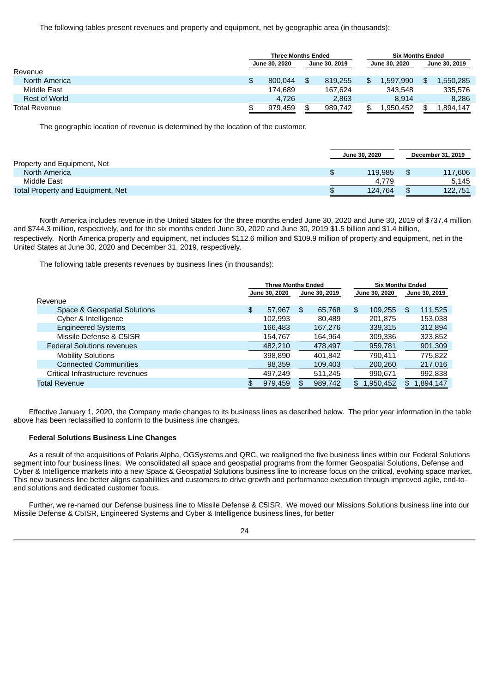The following tables present revenues and property and equipment, net by geographic area (in thousands):

|                      |               | <b>Three Months Ended</b> |               | <b>Six Months Ended</b> |
|----------------------|---------------|---------------------------|---------------|-------------------------|
|                      | June 30, 2020 | June 30, 2019             | June 30, 2020 | June 30, 2019           |
| Revenue              |               |                           |               |                         |
| North America        | 800.044<br>\$ | 819.255                   | 1.597.990     | 1.550.285               |
| Middle East          | 174.689       | 167.624                   | 343.548       | 335.576                 |
| Rest of World        | 4.726         | 2,863                     | 8.914         | 8,286                   |
| <b>Total Revenue</b> | 979.459       | 989.742<br>\$.            | .950.452<br>œ | 1,894,147<br>\$         |

The geographic location of revenue is determined by the location of the customer.

| Property and Equipment, Net       | June 30, 2020 | December 31, 2019 |
|-----------------------------------|---------------|-------------------|
| North America                     | 119.985       | \$<br>117,606     |
| Middle East                       | 4.779         | 5.145             |
| Total Property and Equipment, Net | 124.764       | \$<br>122.751     |

North America includes revenue in the United States for the three months ended June 30, 2020 and June 30, 2019 of \$737.4 million and \$744.3 million, respectively, and for the six months ended June 30, 2020 and June 30, 2019 \$1.5 billion and \$1.4 billion, respectively. North America property and equipment, net includes \$112.6 million and \$109.9 million of property and equipment, net in the United States at June 30, 2020 and December 31, 2019, respectively.

The following table presents revenues by business lines (in thousands):

|                                   | <b>Three Months Ended</b> |         |               |         | <b>Six Months Ended</b> |           |    |               |
|-----------------------------------|---------------------------|---------|---------------|---------|-------------------------|-----------|----|---------------|
|                                   | June 30, 2020             |         | June 30, 2019 |         | June 30, 2020           |           |    | June 30, 2019 |
| Revenue                           |                           |         |               |         |                         |           |    |               |
| Space & Geospatial Solutions      | \$                        | 57.967  | \$            | 65.768  | \$                      | 109.255   | \$ | 111,525       |
| Cyber & Intelligence              |                           | 102.993 |               | 80.489  |                         | 201.875   |    | 153,038       |
| <b>Engineered Systems</b>         |                           | 166,483 |               | 167,276 |                         | 339,315   |    | 312,894       |
| Missile Defense & C5ISR           |                           | 154,767 |               | 164,964 |                         | 309,336   |    | 323,852       |
| <b>Federal Solutions revenues</b> |                           | 482,210 |               | 478,497 |                         | 959,781   |    | 901,309       |
| <b>Mobility Solutions</b>         |                           | 398,890 |               | 401.842 |                         | 790.411   |    | 775,822       |
| <b>Connected Communities</b>      |                           | 98,359  |               | 109,403 |                         | 200,260   |    | 217,016       |
| Critical Infrastructure revenues  |                           | 497.249 |               | 511,245 |                         | 990,671   |    | 992,838       |
| <b>Total Revenue</b>              |                           | 979.459 | \$            | 989,742 | \$                      | 1,950,452 | £. | 1,894,147     |

Effective January 1, 2020, the Company made changes to its business lines as described below. The prior year information in the table above has been reclassified to conform to the business line changes.

#### **Federal Solutions Business Line Changes**

As a result of the acquisitions of Polaris Alpha, OGSystems and QRC, we realigned the five business lines within our Federal Solutions segment into four business lines. We consolidated all space and geospatial programs from the former Geospatial Solutions, Defense and Cyber & Intelligence markets into a new Space & Geospatial Solutions business line to increase focus on the critical, evolving space market. This new business line better aligns capabilities and customers to drive growth and performance execution through improved agile, end-toend solutions and dedicated customer focus.

Further, we re-named our Defense business line to Missile Defense & C5ISR. We moved our Missions Solutions business line into our Missile Defense & C5ISR, Engineered Systems and Cyber & Intelligence business lines, for better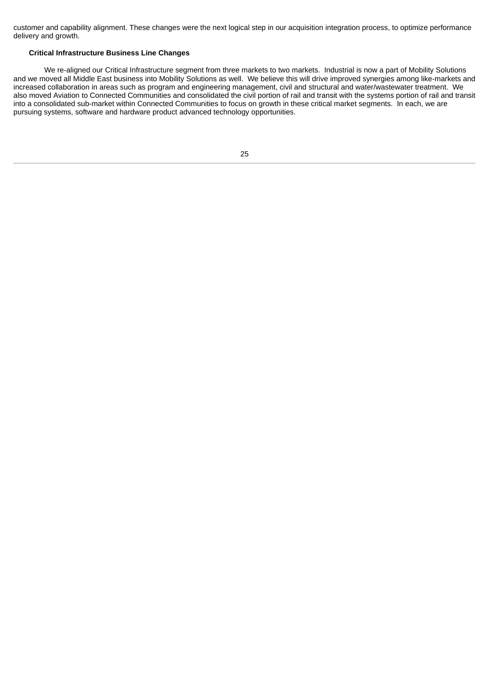customer and capability alignment. These changes were the next logical step in our acquisition integration process, to optimize performance delivery and growth.

### **Critical Infrastructure Business Line Changes**

We re-aligned our Critical Infrastructure segment from three markets to two markets. Industrial is now a part of Mobility Solutions and we moved all Middle East business into Mobility Solutions as well. We believe this will drive improved synergies among like-markets and increased collaboration in areas such as program and engineering management, civil and structural and water/wastewater treatment. We also moved Aviation to Connected Communities and consolidated the civil portion of rail and transit with the systems portion of rail and transit into a consolidated sub-market within Connected Communities to focus on growth in these critical market segments. In each, we are pursuing systems, software and hardware product advanced technology opportunities.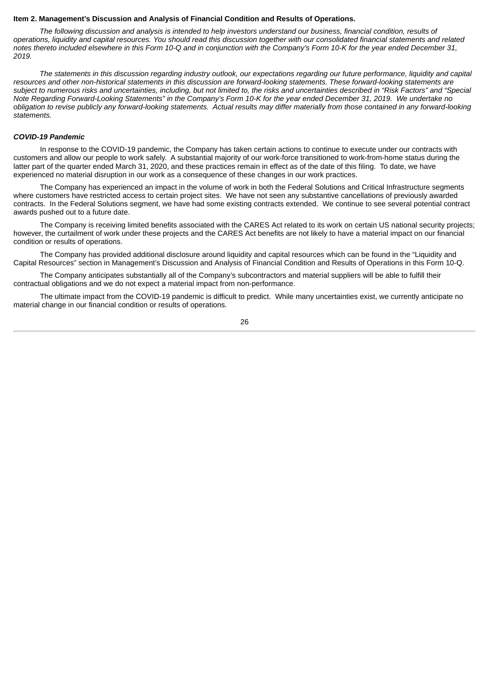#### <span id="page-27-0"></span>**Item 2. Management's Discussion and Analysis of Financial Condition and Results of Operations.**

The following discussion and analysis is intended to help investors understand our business, financial condition, results of operations, liquidity and capital resources. You should read this discussion together with our consolidated financial statements and related notes thereto included elsewhere in this Form 10-Q and in conjunction with the Company's Form 10-K for the year ended December 31, *2019.*

The statements in this discussion regarding industry outlook, our expectations regarding our future performance, liquidity and capital resources and other non-historical statements in this discussion are forward-looking statements. These forward-looking statements are subject to numerous risks and uncertainties, including, but not limited to, the risks and uncertainties described in "Risk Factors" and "Special Note Regarding Forward-Looking Statements" in the Company's Form 10-K for the year ended December 31, 2019. We undertake no obligation to revise publicly any forward-looking statements. Actual results may differ materially from those contained in any forward-looking *statements.*

#### *COVID-19 Pandemic*

In response to the COVID-19 pandemic, the Company has taken certain actions to continue to execute under our contracts with customers and allow our people to work safely. A substantial majority of our work-force transitioned to work-from-home status during the latter part of the quarter ended March 31, 2020, and these practices remain in effect as of the date of this filing. To date, we have experienced no material disruption in our work as a consequence of these changes in our work practices.

The Company has experienced an impact in the volume of work in both the Federal Solutions and Critical Infrastructure segments where customers have restricted access to certain project sites. We have not seen any substantive cancellations of previously awarded contracts. In the Federal Solutions segment, we have had some existing contracts extended. We continue to see several potential contract awards pushed out to a future date.

The Company is receiving limited benefits associated with the CARES Act related to its work on certain US national security projects; however, the curtailment of work under these projects and the CARES Act benefits are not likely to have a material impact on our financial condition or results of operations.

The Company has provided additional disclosure around liquidity and capital resources which can be found in the "Liquidity and Capital Resources" section in Management's Discussion and Analysis of Financial Condition and Results of Operations in this Form 10-Q.

The Company anticipates substantially all of the Company's subcontractors and material suppliers will be able to fulfill their contractual obligations and we do not expect a material impact from non-performance.

The ultimate impact from the COVID-19 pandemic is difficult to predict. While many uncertainties exist, we currently anticipate no material change in our financial condition or results of operations.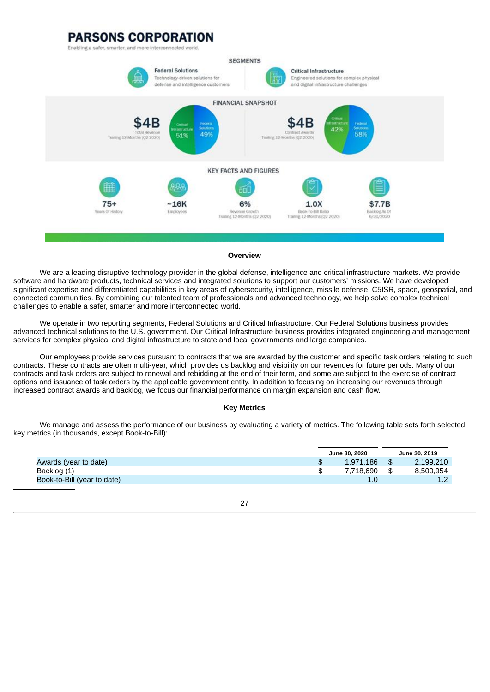

Enabling a safer smarter, and more interconnected world.



#### **Overview**

We are a leading disruptive technology provider in the global defense, intelligence and critical infrastructure markets. We provide software and hardware products, technical services and integrated solutions to support our customers' missions. We have developed significant expertise and differentiated capabilities in key areas of cybersecurity, intelligence, missile defense, C5ISR, space, geospatial, and connected communities. By combining our talented team of professionals and advanced technology, we help solve complex technical challenges to enable a safer, smarter and more interconnected world.

We operate in two reporting segments, Federal Solutions and Critical Infrastructure. Our Federal Solutions business provides advanced technical solutions to the U.S. government. Our Critical Infrastructure business provides integrated engineering and management services for complex physical and digital infrastructure to state and local governments and large companies.

Our employees provide services pursuant to contracts that we are awarded by the customer and specific task orders relating to such contracts. These contracts are often multi-year, which provides us backlog and visibility on our revenues for future periods. Many of our contracts and task orders are subject to renewal and rebidding at the end of their term, and some are subject to the exercise of contract options and issuance of task orders by the applicable government entity. In addition to focusing on increasing our revenues through increased contract awards and backlog, we focus our financial performance on margin expansion and cash flow.

#### **Key Metrics**

We manage and assess the performance of our business by evaluating a variety of metrics. The following table sets forth selected key metrics (in thousands, except Book-to-Bill):

|                             | June 30, 2020 | June 30, 2019   |
|-----------------------------|---------------|-----------------|
| Awards (year to date)       | 1.971.186     | \$<br>2.199.210 |
| Backlog (1)                 | 7.718.690     | \$<br>8,500,954 |
| Book-to-Bill (year to date) |               | 1.2             |
|                             |               |                 |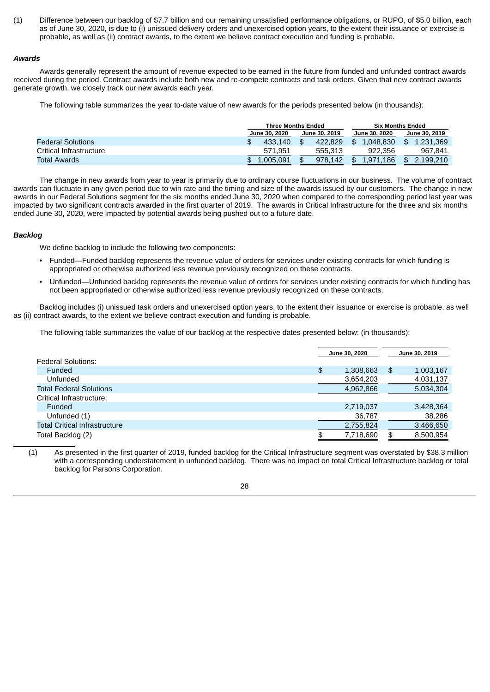(1) Difference between our backlog of \$7.7 billion and our remaining unsatisfied performance obligations, or RUPO, of \$5.0 billion, each as of June 30, 2020, is due to (i) unissued delivery orders and unexercised option years, to the extent their issuance or exercise is probable, as well as (ii) contract awards, to the extent we believe contract execution and funding is probable.

#### *Awards*

Awards generally represent the amount of revenue expected to be earned in the future from funded and unfunded contract awards received during the period. Contract awards include both new and re-compete contracts and task orders. Given that new contract awards generate growth, we closely track our new awards each year.

The following table summarizes the year to-date value of new awards for the periods presented below (in thousands):

|                         |               | <b>Three Months Ended</b> |               | <b>Six Months Ended</b> |
|-------------------------|---------------|---------------------------|---------------|-------------------------|
|                         | June 30, 2020 | June 30, 2019             | June 30, 2020 | June 30, 2019           |
| Federal Solutions       | 433.140       | 422,829                   | 1.048.830     | 231.369                 |
| Critical Infrastructure | 571.951       | 555.313                   | 922.356       | 967,841                 |
| <b>Total Awards</b>     | 1.005.091     | 978.142                   | 1.971.186     | .199.210                |

The change in new awards from year to year is primarily due to ordinary course fluctuations in our business. The volume of contract awards can fluctuate in any given period due to win rate and the timing and size of the awards issued by our customers. The change in new awards in our Federal Solutions segment for the six months ended June 30, 2020 when compared to the corresponding period last year was impacted by two significant contracts awarded in the first quarter of 2019. The awards in Critical Infrastructure for the three and six months ended June 30, 2020, were impacted by potential awards being pushed out to a future date.

#### *Backlog*

We define backlog to include the following two components:

- Funded—Funded backlog represents the revenue value of orders for services under existing contracts for which funding is appropriated or otherwise authorized less revenue previously recognized on these contracts.
- Unfunded—Unfunded backlog represents the revenue value of orders for services under existing contracts for which funding has not been appropriated or otherwise authorized less revenue previously recognized on these contracts.

Backlog includes (i) unissued task orders and unexercised option years, to the extent their issuance or exercise is probable, as well as (ii) contract awards, to the extent we believe contract execution and funding is probable.

The following table summarizes the value of our backlog at the respective dates presented below: (in thousands):

|                                      | June 30, 2020   | June 30, 2019   |
|--------------------------------------|-----------------|-----------------|
| <b>Federal Solutions:</b>            |                 |                 |
| <b>Funded</b>                        | \$<br>1,308,663 | \$<br>1,003,167 |
| Unfunded                             | 3,654,203       | 4,031,137       |
| <b>Total Federal Solutions</b>       | 4,962,866       | 5,034,304       |
| Critical Infrastructure:             |                 |                 |
| <b>Funded</b>                        | 2,719,037       | 3,428,364       |
| Unfunded (1)                         | 36,787          | 38,286          |
| <b>Total Critical Infrastructure</b> | 2,755,824       | 3,466,650       |
| Total Backlog (2)                    | 7,718,690       | \$<br>8,500,954 |

(1) As presented in the first quarter of 2019, funded backlog for the Critical Infrastructure segment was overstated by \$38.3 million with a corresponding understatement in unfunded backlog. There was no impact on total Critical Infrastructure backlog or total backlog for Parsons Corporation.

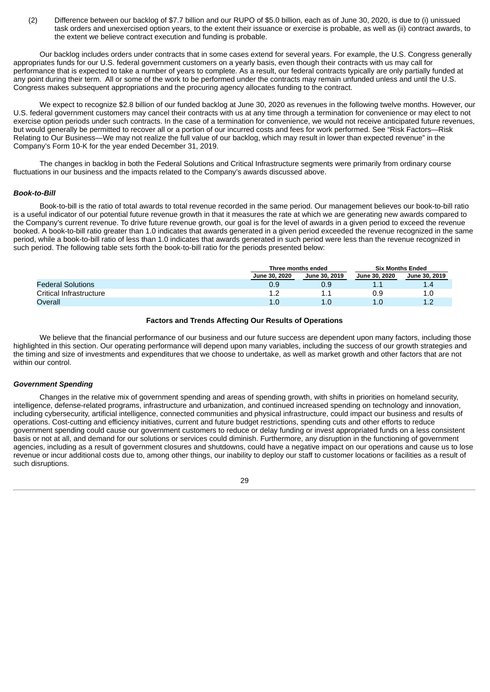(2) Difference between our backlog of \$7.7 billion and our RUPO of \$5.0 billion, each as of June 30, 2020, is due to (i) unissued task orders and unexercised option years, to the extent their issuance or exercise is probable, as well as (ii) contract awards, to the extent we believe contract execution and funding is probable.

Our backlog includes orders under contracts that in some cases extend for several years. For example, the U.S. Congress generally appropriates funds for our U.S. federal government customers on a yearly basis, even though their contracts with us may call for performance that is expected to take a number of years to complete. As a result, our federal contracts typically are only partially funded at any point during their term. All or some of the work to be performed under the contracts may remain unfunded unless and until the U.S. Congress makes subsequent appropriations and the procuring agency allocates funding to the contract.

We expect to recognize \$2.8 billion of our funded backlog at June 30, 2020 as revenues in the following twelve months. However, our U.S. federal government customers may cancel their contracts with us at any time through a termination for convenience or may elect to not exercise option periods under such contracts. In the case of a termination for convenience, we would not receive anticipated future revenues, but would generally be permitted to recover all or a portion of our incurred costs and fees for work performed. See "Risk Factors—Risk Relating to Our Business—We may not realize the full value of our backlog, which may result in lower than expected revenue" in the Company's Form 10-K for the year ended December 31, 2019.

The changes in backlog in both the Federal Solutions and Critical Infrastructure segments were primarily from ordinary course fluctuations in our business and the impacts related to the Company's awards discussed above.

#### *Book-to-Bill*

Book-to-bill is the ratio of total awards to total revenue recorded in the same period. Our management believes our book-to-bill ratio is a useful indicator of our potential future revenue growth in that it measures the rate at which we are generating new awards compared to the Company's current revenue. To drive future revenue growth, our goal is for the level of awards in a given period to exceed the revenue booked. A book-to-bill ratio greater than 1.0 indicates that awards generated in a given period exceeded the revenue recognized in the same period, while a book-to-bill ratio of less than 1.0 indicates that awards generated in such period were less than the revenue recognized in such period. The following table sets forth the book-to-bill ratio for the periods presented below:

|                          |               | Three months ended | <b>Six Months Ended</b> |               |  |
|--------------------------|---------------|--------------------|-------------------------|---------------|--|
|                          | June 30, 2020 | June 30, 2019      | June 30, 2020           | June 30, 2019 |  |
| <b>Federal Solutions</b> | 0.9           | 0.9                | .                       | 1.4           |  |
| Critical Infrastructure  |               |                    | 0.9                     | 1.C           |  |
| Overall                  |               |                    |                         | . <u>.</u>    |  |

#### **Factors and Trends Affecting Our Results of Operations**

We believe that the financial performance of our business and our future success are dependent upon many factors, including those highlighted in this section. Our operating performance will depend upon many variables, including the success of our growth strategies and the timing and size of investments and expenditures that we choose to undertake, as well as market growth and other factors that are not within our control.

#### *Government Spending*

Changes in the relative mix of government spending and areas of spending growth, with shifts in priorities on homeland security, intelligence, defense-related programs, infrastructure and urbanization, and continued increased spending on technology and innovation, including cybersecurity, artificial intelligence, connected communities and physical infrastructure, could impact our business and results of operations. Cost-cutting and efficiency initiatives, current and future budget restrictions, spending cuts and other efforts to reduce government spending could cause our government customers to reduce or delay funding or invest appropriated funds on a less consistent basis or not at all, and demand for our solutions or services could diminish. Furthermore, any disruption in the functioning of government agencies, including as a result of government closures and shutdowns, could have a negative impact on our operations and cause us to lose revenue or incur additional costs due to, among other things, our inability to deploy our staff to customer locations or facilities as a result of such disruptions.

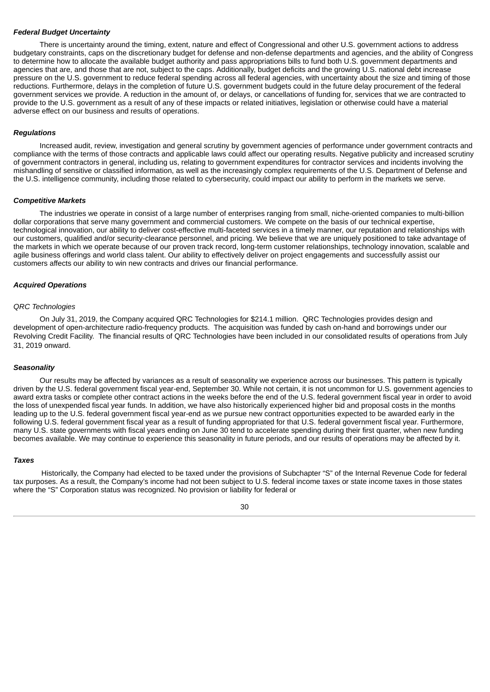#### *Federal Budget Uncertainty*

There is uncertainty around the timing, extent, nature and effect of Congressional and other U.S. government actions to address budgetary constraints, caps on the discretionary budget for defense and non-defense departments and agencies, and the ability of Congress to determine how to allocate the available budget authority and pass appropriations bills to fund both U.S. government departments and agencies that are, and those that are not, subject to the caps. Additionally, budget deficits and the growing U.S. national debt increase pressure on the U.S. government to reduce federal spending across all federal agencies, with uncertainty about the size and timing of those reductions. Furthermore, delays in the completion of future U.S. government budgets could in the future delay procurement of the federal government services we provide. A reduction in the amount of, or delays, or cancellations of funding for, services that we are contracted to provide to the U.S. government as a result of any of these impacts or related initiatives, legislation or otherwise could have a material adverse effect on our business and results of operations.

#### *Regulations*

Increased audit, review, investigation and general scrutiny by government agencies of performance under government contracts and compliance with the terms of those contracts and applicable laws could affect our operating results. Negative publicity and increased scrutiny of government contractors in general, including us, relating to government expenditures for contractor services and incidents involving the mishandling of sensitive or classified information, as well as the increasingly complex requirements of the U.S. Department of Defense and the U.S. intelligence community, including those related to cybersecurity, could impact our ability to perform in the markets we serve.

#### *Competitive Markets*

The industries we operate in consist of a large number of enterprises ranging from small, niche-oriented companies to multi-billion dollar corporations that serve many government and commercial customers. We compete on the basis of our technical expertise, technological innovation, our ability to deliver cost-effective multi-faceted services in a timely manner, our reputation and relationships with our customers, qualified and/or security-clearance personnel, and pricing. We believe that we are uniquely positioned to take advantage of the markets in which we operate because of our proven track record, long-term customer relationships, technology innovation, scalable and agile business offerings and world class talent. Our ability to effectively deliver on project engagements and successfully assist our customers affects our ability to win new contracts and drives our financial performance.

#### *Acquired Operations*

#### *QRC Technologies*

On July 31, 2019, the Company acquired QRC Technologies for \$214.1 million. QRC Technologies provides design and development of open-architecture radio-frequency products. The acquisition was funded by cash on-hand and borrowings under our Revolving Credit Facility. The financial results of QRC Technologies have been included in our consolidated results of operations from July 31, 2019 onward.

#### *Seasonality*

Our results may be affected by variances as a result of seasonality we experience across our businesses. This pattern is typically driven by the U.S. federal government fiscal year-end, September 30. While not certain, it is not uncommon for U.S. government agencies to award extra tasks or complete other contract actions in the weeks before the end of the U.S. federal government fiscal year in order to avoid the loss of unexpended fiscal year funds. In addition, we have also historically experienced higher bid and proposal costs in the months leading up to the U.S. federal government fiscal year-end as we pursue new contract opportunities expected to be awarded early in the following U.S. federal government fiscal year as a result of funding appropriated for that U.S. federal government fiscal year. Furthermore, many U.S. state governments with fiscal years ending on June 30 tend to accelerate spending during their first quarter, when new funding becomes available. We may continue to experience this seasonality in future periods, and our results of operations may be affected by it.

#### *Taxes*

Historically, the Company had elected to be taxed under the provisions of Subchapter "S" of the Internal Revenue Code for federal tax purposes. As a result, the Company's income had not been subject to U.S. federal income taxes or state income taxes in those states where the "S" Corporation status was recognized. No provision or liability for federal or

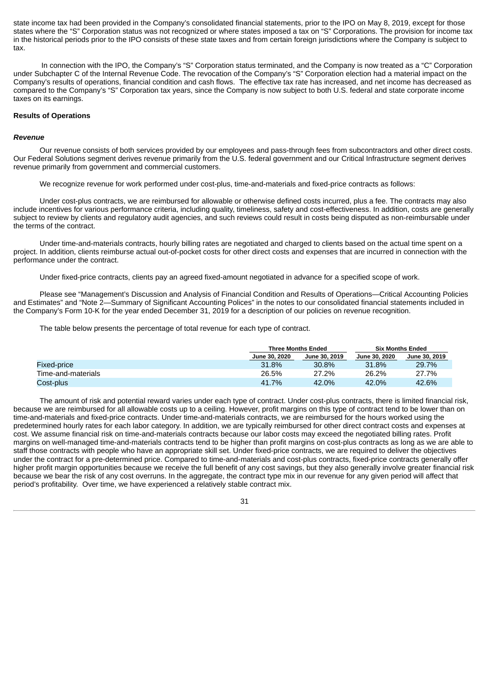state income tax had been provided in the Company's consolidated financial statements, prior to the IPO on May 8, 2019, except for those states where the "S" Corporation status was not recognized or where states imposed a tax on "S" Corporations. The provision for income tax in the historical periods prior to the IPO consists of these state taxes and from certain foreign jurisdictions where the Company is subject to tax.

In connection with the IPO, the Company's "S" Corporation status terminated, and the Company is now treated as a "C" Corporation under Subchapter C of the Internal Revenue Code. The revocation of the Company's "S" Corporation election had a material impact on the Company's results of operations, financial condition and cash flows. The effective tax rate has increased, and net income has decreased as compared to the Company's "S" Corporation tax years, since the Company is now subject to both U.S. federal and state corporate income taxes on its earnings.

#### **Results of Operations**

#### *Revenue*

Our revenue consists of both services provided by our employees and pass-through fees from subcontractors and other direct costs. Our Federal Solutions segment derives revenue primarily from the U.S. federal government and our Critical Infrastructure segment derives revenue primarily from government and commercial customers.

We recognize revenue for work performed under cost-plus, time-and-materials and fixed-price contracts as follows:

Under cost-plus contracts, we are reimbursed for allowable or otherwise defined costs incurred, plus a fee. The contracts may also include incentives for various performance criteria, including quality, timeliness, safety and cost-effectiveness. In addition, costs are generally subject to review by clients and regulatory audit agencies, and such reviews could result in costs being disputed as non-reimbursable under the terms of the contract.

Under time-and-materials contracts, hourly billing rates are negotiated and charged to clients based on the actual time spent on a project. In addition, clients reimburse actual out-of-pocket costs for other direct costs and expenses that are incurred in connection with the performance under the contract.

Under fixed-price contracts, clients pay an agreed fixed-amount negotiated in advance for a specified scope of work.

Please see "Management's Discussion and Analysis of Financial Condition and Results of Operations—Critical Accounting Policies and Estimates" and "Note 2—Summary of Significant Accounting Polices" in the notes to our consolidated financial statements included in the Company's Form 10-K for the year ended December 31, 2019 for a description of our policies on revenue recognition.

The table below presents the percentage of total revenue for each type of contract.

|                    | <b>Three Months Ended</b> |               | <b>Six Months Ended</b> |               |  |
|--------------------|---------------------------|---------------|-------------------------|---------------|--|
|                    | June 30, 2020             | June 30, 2019 | June 30, 2020           | June 30, 2019 |  |
| Fixed-price        | 31.8%                     | 30.8%         | 31.8%                   | 29.7%         |  |
| Time-and-materials | 26.5%                     | 27.2%         | 26.2%                   | 27.7%         |  |
| Cost-plus          | 41.7%                     | 42.0%         | 42.0%                   | 42.6%         |  |

The amount of risk and potential reward varies under each type of contract. Under cost-plus contracts, there is limited financial risk, because we are reimbursed for all allowable costs up to a ceiling. However, profit margins on this type of contract tend to be lower than on time-and-materials and fixed-price contracts. Under time-and-materials contracts, we are reimbursed for the hours worked using the predetermined hourly rates for each labor category. In addition, we are typically reimbursed for other direct contract costs and expenses at cost. We assume financial risk on time-and-materials contracts because our labor costs may exceed the negotiated billing rates. Profit margins on well-managed time-and-materials contracts tend to be higher than profit margins on cost-plus contracts as long as we are able to staff those contracts with people who have an appropriate skill set. Under fixed-price contracts, we are required to deliver the objectives under the contract for a pre-determined price. Compared to time-and-materials and cost-plus contracts, fixed-price contracts generally offer higher profit margin opportunities because we receive the full benefit of any cost savings, but they also generally involve greater financial risk because we bear the risk of any cost overruns. In the aggregate, the contract type mix in our revenue for any given period will affect that period's profitability. Over time, we have experienced a relatively stable contract mix.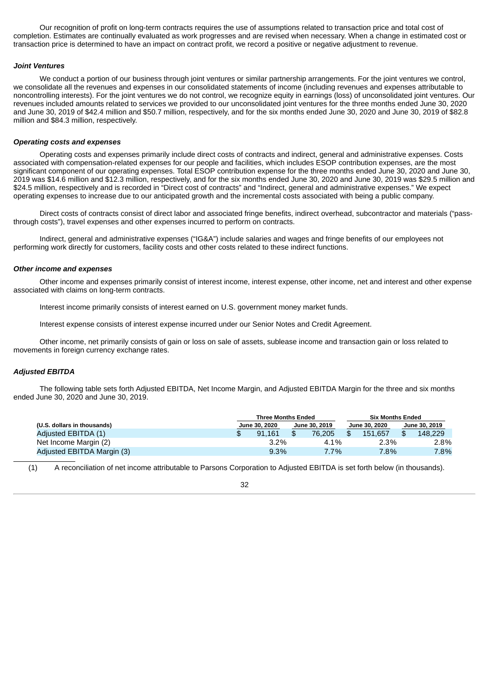Our recognition of profit on long-term contracts requires the use of assumptions related to transaction price and total cost of completion. Estimates are continually evaluated as work progresses and are revised when necessary. When a change in estimated cost or transaction price is determined to have an impact on contract profit, we record a positive or negative adjustment to revenue.

#### *Joint Ventures*

We conduct a portion of our business through joint ventures or similar partnership arrangements. For the joint ventures we control, we consolidate all the revenues and expenses in our consolidated statements of income (including revenues and expenses attributable to noncontrolling interests). For the joint ventures we do not control, we recognize equity in earnings (loss) of unconsolidated joint ventures. Our revenues included amounts related to services we provided to our unconsolidated joint ventures for the three months ended June 30, 2020 and June 30, 2019 of \$42.4 million and \$50.7 million, respectively, and for the six months ended June 30, 2020 and June 30, 2019 of \$82.8 million and \$84.3 million, respectively.

#### *Operating costs and expenses*

Operating costs and expenses primarily include direct costs of contracts and indirect, general and administrative expenses. Costs associated with compensation-related expenses for our people and facilities, which includes ESOP contribution expenses, are the most significant component of our operating expenses. Total ESOP contribution expense for the three months ended June 30, 2020 and June 30, 2019 was \$14.6 million and \$12.3 million, respectively, and for the six months ended June 30, 2020 and June 30, 2019 was \$29.5 million and \$24.5 million, respectively and is recorded in "Direct cost of contracts" and "Indirect, general and administrative expenses." We expect operating expenses to increase due to our anticipated growth and the incremental costs associated with being a public company.

Direct costs of contracts consist of direct labor and associated fringe benefits, indirect overhead, subcontractor and materials ("passthrough costs"), travel expenses and other expenses incurred to perform on contracts.

Indirect, general and administrative expenses ("IG&A") include salaries and wages and fringe benefits of our employees not performing work directly for customers, facility costs and other costs related to these indirect functions.

#### *Other income and expenses*

Other income and expenses primarily consist of interest income, interest expense, other income, net and interest and other expense associated with claims on long-term contracts.

Interest income primarily consists of interest earned on U.S. government money market funds.

Interest expense consists of interest expense incurred under our Senior Notes and Credit Agreement.

Other income, net primarily consists of gain or loss on sale of assets, sublease income and transaction gain or loss related to movements in foreign currency exchange rates.

#### *Adjusted EBITDA*

The following table sets forth Adjusted EBITDA, Net Income Margin, and Adjusted EBITDA Margin for the three and six months ended June 30, 2020 and June 30, 2019.

|                             | <b>Three Months Ended</b> |  |               |  | <b>Six Months Ended</b> |  |               |
|-----------------------------|---------------------------|--|---------------|--|-------------------------|--|---------------|
| (U.S. dollars in thousands) | June 30, 2020             |  | June 30, 2019 |  | June 30, 2020           |  | June 30, 2019 |
| Adjusted EBITDA (1)         | 91.161                    |  | 76.205        |  | 151.657                 |  | 148,229       |
| Net Income Margin (2)       | $3.2\%$                   |  | 4.1%          |  | 2.3%                    |  | 2.8%          |
| Adjusted EBITDA Margin (3)  | $9.3\%$                   |  | 7.7%          |  | 7.8%                    |  | 7.8%          |

(1) A reconciliation of net income attributable to Parsons Corporation to Adjusted EBITDA is set forth below (in thousands).

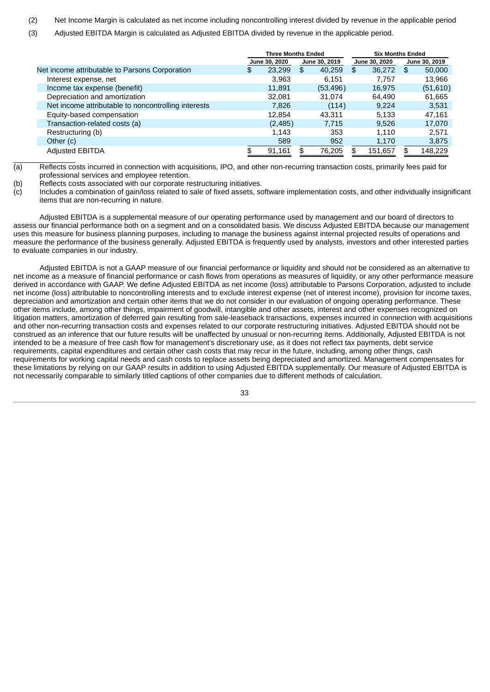- (2) Net Income Margin is calculated as net income including noncontrolling interest divided by revenue in the applicable period
- (3) Adjusted EBITDA Margin is calculated as Adjusted EBITDA divided by revenue in the applicable period.

|                                                     | <b>Three Months Ended</b> |         |               | <b>Six Months Ended</b> |               |         |    |               |
|-----------------------------------------------------|---------------------------|---------|---------------|-------------------------|---------------|---------|----|---------------|
|                                                     | June 30, 2020             |         | June 30, 2019 |                         | June 30, 2020 |         |    | June 30, 2019 |
| Net income attributable to Parsons Corporation      | \$                        | 23,299  | \$            | 40,259                  | \$            | 36,272  | \$ | 50,000        |
| Interest expense, net                               |                           | 3.963   |               | 6,151                   |               | 7.757   |    | 13,966        |
| Income tax expense (benefit)                        |                           | 11,891  |               | (53, 496)               |               | 16,975  |    | (51, 610)     |
| Depreciation and amortization                       |                           | 32,081  |               | 31.074                  |               | 64.490  |    | 61,665        |
| Net income attributable to noncontrolling interests |                           | 7,826   |               | (114)                   |               | 9,224   |    | 3,531         |
| Equity-based compensation                           |                           | 12.854  |               | 43.311                  |               | 5.133   |    | 47.161        |
| Transaction-related costs (a)                       |                           | (2,485) |               | 7.715                   |               | 9,526   |    | 17,070        |
| Restructuring (b)                                   |                           | 1,143   |               | 353                     |               | 1,110   |    | 2,571         |
| Other (c)                                           |                           | 589     |               | 952                     |               | 1,170   |    | 3,875         |
| <b>Adiusted EBITDA</b>                              |                           | 91,161  | \$            | 76,205                  |               | 151,657 |    | 148,229       |

- (a) Reflects costs incurred in connection with acquisitions, IPO, and other non-recurring transaction costs, primarily fees paid for professional services and employee retention.
- (b) Reflects costs associated with our corporate restructuring initiatives.<br>(c) Includes a combination of gain/loss related to sale of fixed assets, so
- Includes a combination of gain/loss related to sale of fixed assets, software implementation costs, and other individually insignificant items that are non-recurring in nature.

Adjusted EBITDA is a supplemental measure of our operating performance used by management and our board of directors to assess our financial performance both on a segment and on a consolidated basis. We discuss Adjusted EBITDA because our management uses this measure for business planning purposes, including to manage the business against internal projected results of operations and measure the performance of the business generally. Adjusted EBITDA is frequently used by analysts, investors and other interested parties to evaluate companies in our industry.

Adjusted EBITDA is not a GAAP measure of our financial performance or liquidity and should not be considered as an alternative to net income as a measure of financial performance or cash flows from operations as measures of liquidity, or any other performance measure derived in accordance with GAAP. We define Adjusted EBITDA as net income (loss) attributable to Parsons Corporation, adjusted to include net income (loss) attributable to noncontrolling interests and to exclude interest expense (net of interest income), provision for income taxes, depreciation and amortization and certain other items that we do not consider in our evaluation of ongoing operating performance. These other items include, among other things, impairment of goodwill, intangible and other assets, interest and other expenses recognized on litigation matters, amortization of deferred gain resulting from sale-leaseback transactions, expenses incurred in connection with acquisitions and other non-recurring transaction costs and expenses related to our corporate restructuring initiatives. Adjusted EBITDA should not be construed as an inference that our future results will be unaffected by unusual or non-recurring items. Additionally, Adjusted EBITDA is not intended to be a measure of free cash flow for management's discretionary use, as it does not reflect tax payments, debt service requirements, capital expenditures and certain other cash costs that may recur in the future, including, among other things, cash requirements for working capital needs and cash costs to replace assets being depreciated and amortized. Management compensates for these limitations by relying on our GAAP results in addition to using Adjusted EBITDA supplementally. Our measure of Adjusted EBITDA is not necessarily comparable to similarly titled captions of other companies due to different methods of calculation.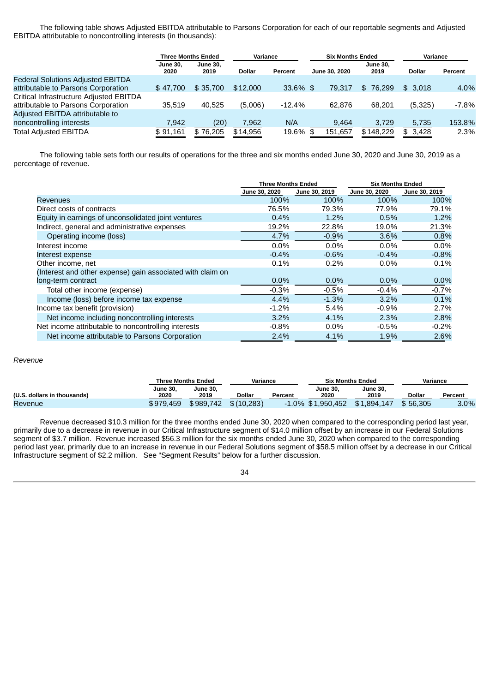The following table shows Adjusted EBITDA attributable to Parsons Corporation for each of our reportable segments and Adjusted EBITDA attributable to noncontrolling interests (in thousands):

|                                                                                 |                         | <b>Three Months Ended</b> | Variance<br><b>Six Months Ended</b> |             | Variance      |                         |               |         |
|---------------------------------------------------------------------------------|-------------------------|---------------------------|-------------------------------------|-------------|---------------|-------------------------|---------------|---------|
|                                                                                 | <b>June 30.</b><br>2020 | <b>June 30.</b><br>2019   | <b>Dollar</b>                       | Percent     | June 30, 2020 | <b>June 30.</b><br>2019 | <b>Dollar</b> | Percent |
| <b>Federal Solutions Adjusted EBITDA</b><br>attributable to Parsons Corporation | \$47.700                | \$35,700                  | \$12,000                            | $33.6\%$ \$ | 79.317        | 76.299<br>\$            | \$3.018       | 4.0%    |
| Critical Infrastructure Adjusted EBITDA<br>attributable to Parsons Corporation  | 35.519                  | 40.525                    | (5,006)                             | $-12.4\%$   | 62.876        | 68.201                  | (5,325)       | -7.8%   |
| Adjusted EBITDA attributable to<br>noncontrolling interests                     | 7,942                   | (20)                      | 7,962                               | N/A         | 9.464         | 3,729                   | 5,735         | 153.8%  |
| <b>Total Adjusted EBITDA</b>                                                    | \$91,161                | \$76,205                  | \$14.956                            | 19.6%       | 151.657       | \$148.229               | \$3,428       | 2.3%    |

The following table sets forth our results of operations for the three and six months ended June 30, 2020 and June 30, 2019 as a percentage of revenue.

|                                                            | <b>Three Months Ended</b> |               | <b>Six Months Ended</b> |               |  |  |
|------------------------------------------------------------|---------------------------|---------------|-------------------------|---------------|--|--|
|                                                            | June 30, 2020             | June 30, 2019 | June 30, 2020           | June 30, 2019 |  |  |
| <b>Revenues</b>                                            | 100%                      | 100%          | 100%                    | 100%          |  |  |
| Direct costs of contracts                                  | 76.5%                     | 79.3%         | 77.9%                   | 79.1%         |  |  |
| Equity in earnings of unconsolidated joint ventures        | $0.4\%$                   | 1.2%          | 0.5%                    | 1.2%          |  |  |
| Indirect, general and administrative expenses              | 19.2%                     | 22.8%         | 19.0%                   | 21.3%         |  |  |
| Operating income (loss)                                    | 4.7%                      | $-0.9%$       | $3.6\%$                 | 0.8%          |  |  |
| Interest income                                            | $0.0\%$                   | $0.0\%$       | $0.0\%$                 | $0.0\%$       |  |  |
| Interest expense                                           | $-0.4%$                   | $-0.6%$       | $-0.4%$                 | $-0.8%$       |  |  |
| Other income, net                                          | $0.1\%$                   | $0.2\%$       | $0.0\%$                 | $0.1\%$       |  |  |
| (Interest and other expense) gain associated with claim on |                           |               |                         |               |  |  |
| long-term contract                                         | $0.0\%$                   | $0.0\%$       | $0.0\%$                 | $0.0\%$       |  |  |
| Total other income (expense)                               | $-0.3%$                   | $-0.5%$       | $-0.4\%$                | $-0.7%$       |  |  |
| Income (loss) before income tax expense                    | 4.4%                      | $-1.3%$       | $3.2\%$                 | 0.1%          |  |  |
| Income tax benefit (provision)                             | $-1.2\%$                  | 5.4%          | $-0.9%$                 | 2.7%          |  |  |
| Net income including noncontrolling interests              | $3.2\%$                   | 4.1%          | 2.3%                    | 2.8%          |  |  |
| Net income attributable to noncontrolling interests        | $-0.8%$                   | $0.0\%$       | $-0.5%$                 | $-0.2%$       |  |  |
| Net income attributable to Parsons Corporation             | 2.4%                      | 4.1%          | 1.9%                    | 2.6%          |  |  |

#### *Revenue*

|                             |                         | <b>Three Months Ended</b> |            | Variance | <b>Six Months Ended</b> |                  | Variance |         |  |
|-----------------------------|-------------------------|---------------------------|------------|----------|-------------------------|------------------|----------|---------|--|
| (U.S. dollars in thousands) | <b>June 30.</b><br>2020 | June 30.<br>2019          | Dollar     | Percent  | <b>June 30.</b><br>2020 | June 30.<br>2019 | Dollar   | Percent |  |
| Revenue                     | \$979.459               | \$989.742                 | \$(10.283) |          | $-1.0\%$ \$1.950.452    | \$1.894.147      | \$56.305 | $3.0\%$ |  |

Revenue decreased \$10.3 million for the three months ended June 30, 2020 when compared to the corresponding period last year, primarily due to a decrease in revenue in our Critical Infrastructure segment of \$14.0 million offset by an increase in our Federal Solutions segment of \$3.7 million. Revenue increased \$56.3 million for the six months ended June 30, 2020 when compared to the corresponding period last year, primarily due to an increase in revenue in our Federal Solutions segment of \$58.5 million offset by a decrease in our Critical Infrastructure segment of \$2.2 million. See "Segment Results" below for a further discussion.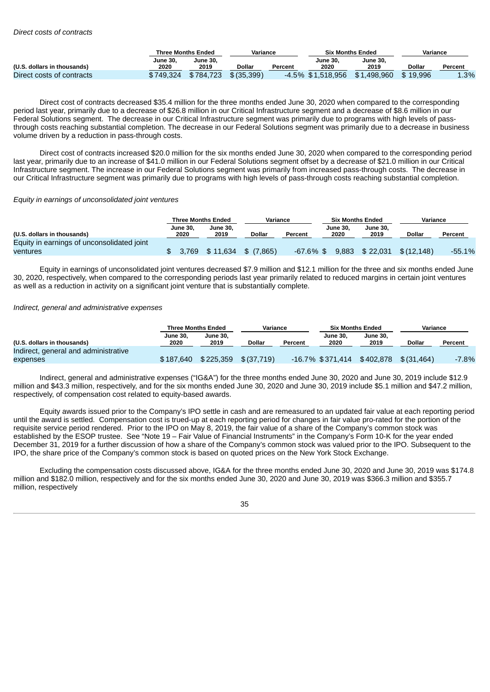|                             | Three Months Ended |                 | Variance      |         | <b>Six Months Ended</b> |                 | Variance |         |
|-----------------------------|--------------------|-----------------|---------------|---------|-------------------------|-----------------|----------|---------|
|                             | June 30            | <b>June 30.</b> |               |         | June 30.                | <b>June 30.</b> |          |         |
| (U.S. dollars in thousands) | 2020               | 2019            | <b>Dollar</b> | Percent | 2020                    | 2019            | Dollar   | Percent |
| Direct costs of contracts   | \$749.324          | \$784.723       | \$ (35.399)   |         | -4.5% \$1.518.956       | \$1,498,960     | \$19.996 | 1.3%    |

Direct cost of contracts decreased \$35.4 million for the three months ended June 30, 2020 when compared to the corresponding period last year, primarily due to a decrease of \$26.8 million in our Critical Infrastructure segment and a decrease of \$8.6 million in our Federal Solutions segment. The decrease in our Critical Infrastructure segment was primarily due to programs with high levels of passthrough costs reaching substantial completion. The decrease in our Federal Solutions segment was primarily due to a decrease in business volume driven by a reduction in pass-through costs.

Direct cost of contracts increased \$20.0 million for the six months ended June 30, 2020 when compared to the corresponding period last year, primarily due to an increase of \$41.0 million in our Federal Solutions segment offset by a decrease of \$21.0 million in our Critical Infrastructure segment. The increase in our Federal Solutions segment was primarily from increased pass-through costs. The decrease in our Critical Infrastructure segment was primarily due to programs with high levels of pass-through costs reaching substantial completion.

#### *Equity in earnings of unconsolidated joint ventures*

|                                            |                         | <b>Three Months Ended</b> | Variance  |              | <b>Six Months Ended</b> |                         | Variance   |          |
|--------------------------------------------|-------------------------|---------------------------|-----------|--------------|-------------------------|-------------------------|------------|----------|
| (U.S. dollars in thousands)                | <b>June 30.</b><br>2020 | <b>June 30.</b><br>2019   | Dollar    | Percent      | <b>June 30.</b><br>2020 | <b>June 30.</b><br>2019 | Dollar     | Percent  |
| Equity in earnings of unconsolidated joint |                         |                           |           |              |                         |                         |            |          |
| ventures                                   | 3.769                   | \$11,634                  | \$(7.865) | $-67.6\%$ \$ | 9,883                   | \$22,031                | \$(12.148) | $-55.1%$ |

Equity in earnings of unconsolidated joint ventures decreased \$7.9 million and \$12.1 million for the three and six months ended June 30, 2020, respectively, when compared to the corresponding periods last year primarily related to reduced margins in certain joint ventures as well as a reduction in activity on a significant joint venture that is substantially complete.

#### *Indirect, general and administrative expenses*

|                                      |           | <b>Three Months Ended</b> | Variance      |         |                  | <b>Six Months Ended</b> | Variance     |         |
|--------------------------------------|-----------|---------------------------|---------------|---------|------------------|-------------------------|--------------|---------|
|                                      | June 30.  | <b>June 30.</b>           |               |         | June 30.         | <b>June 30.</b>         |              |         |
| (U.S. dollars in thousands)          | 2020      | 2019                      | <b>Dollar</b> | Percent | 2020             | 2019                    | Dollar       | Percent |
| Indirect, general and administrative |           |                           |               |         |                  |                         |              |         |
| expenses                             | \$187.640 | \$225.359                 | \$ (37,719)   |         | -16.7% \$371,414 | \$402,878               | $$$ (31,464) | -7.8%   |

Indirect, general and administrative expenses ("IG&A") for the three months ended June 30, 2020 and June 30, 2019 include \$12.9 million and \$43.3 million, respectively, and for the six months ended June 30, 2020 and June 30, 2019 include \$5.1 million and \$47.2 million, respectively, of compensation cost related to equity-based awards.

Equity awards issued prior to the Company's IPO settle in cash and are remeasured to an updated fair value at each reporting period until the award is settled. Compensation cost is trued-up at each reporting period for changes in fair value pro-rated for the portion of the requisite service period rendered. Prior to the IPO on May 8, 2019, the fair value of a share of the Company's common stock was established by the ESOP trustee. See "Note 19 – Fair Value of Financial Instruments" in the Company's Form 10-K for the year ended December 31, 2019 for a further discussion of how a share of the Company's common stock was valued prior to the IPO. Subsequent to the IPO, the share price of the Company's common stock is based on quoted prices on the New York Stock Exchange.

Excluding the compensation costs discussed above, IG&A for the three months ended June 30, 2020 and June 30, 2019 was \$174.8 million and \$182.0 million, respectively and for the six months ended June 30, 2020 and June 30, 2019 was \$366.3 million and \$355.7 million, respectively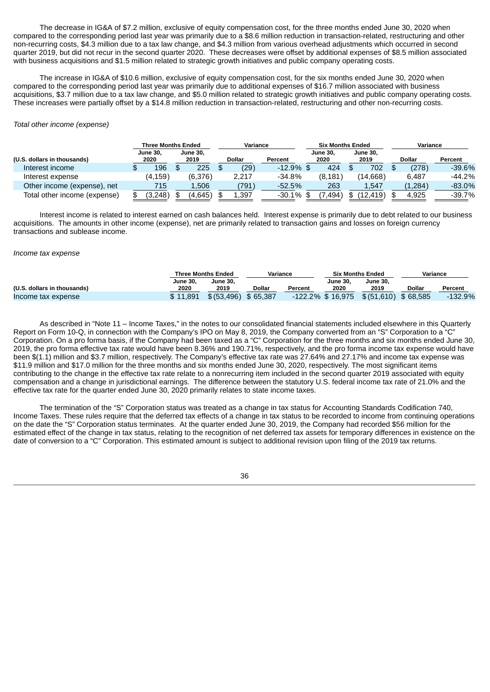The decrease in IG&A of \$7.2 million, exclusive of equity compensation cost, for the three months ended June 30, 2020 when compared to the corresponding period last year was primarily due to a \$8.6 million reduction in transaction-related, restructuring and other non-recurring costs, \$4.3 million due to a tax law change, and \$4.3 million from various overhead adjustments which occurred in second quarter 2019, but did not recur in the second quarter 2020. These decreases were offset by additional expenses of \$8.5 million associated with business acquisitions and \$1.5 million related to strategic growth initiatives and public company operating costs.

The increase in IG&A of \$10.6 million, exclusive of equity compensation cost, for the six months ended June 30, 2020 when compared to the corresponding period last year was primarily due to additional expenses of \$16.7 million associated with business acquisitions, \$3.7 million due to a tax law change, and \$5.0 million related to strategic growth initiatives and public company operating costs. These increases were partially offset by a \$14.8 million reduction in transaction-related, restructuring and other non-recurring costs.

#### *Total other income (expense)*

|                              | <b>Three Months Ended</b> |                                          |  |       | Variance     | <b>Six Months Ended</b> |          |                  |           |  | Variance      |           |
|------------------------------|---------------------------|------------------------------------------|--|-------|--------------|-------------------------|----------|------------------|-----------|--|---------------|-----------|
| (U.S. dollars in thousands)  | <b>June 30.</b><br>2020   | <b>June 30.</b><br>2019<br><b>Dollar</b> |  |       | Percent      | <b>June 30.</b><br>2020 |          | June 30,<br>2019 |           |  | <b>Dollar</b> | Percent   |
| Interest income              | 196                       | 225                                      |  | (29)  | $-12.9\%$ \$ |                         | 424      |                  | 702       |  | (278)         | $-39.6%$  |
| Interest expense             | (4,159)                   | (6,376)                                  |  | 2.217 | $-34.8%$     |                         | (8, 181) |                  | (14, 668) |  | 6.487         | -44.2%    |
| Other income (expense), net  | 715                       | 1,506                                    |  | (791) | $-52.5%$     |                         | 263      |                  | 1.547     |  | (1,284)       | $-83.0\%$ |
| Total other income (expense) | 3,248                     | (4,645)                                  |  | ⊥,397 | -30.1%       |                         | .494`    |                  | (12, 419) |  | 4,925         | -39.7%    |

Interest income is related to interest earned on cash balances held. Interest expense is primarily due to debt related to our business acquisitions. The amounts in other income (expense), net are primarily related to transaction gains and losses on foreign currency transactions and sublease income.

#### *Income tax expense*

|                             | <b>Three Months Ended</b> |                     | Variance |                  | <b>Six Months Ended</b> |                     | Variance |           |
|-----------------------------|---------------------------|---------------------|----------|------------------|-------------------------|---------------------|----------|-----------|
|                             | <b>June 30.</b>           | <b>June 30.</b>     |          |                  | <b>June 30.</b>         | <b>June 30.</b>     |          |           |
| (U.S. dollars in thousands) | 2020                      | 2019                | Dollar   | Percent          | 2020                    | 2019                | Dollar   | Percent   |
| Income tax expense          | \$11.891                  | \$(53.496) \$65.387 |          | -122.2% \$16.975 |                         | \$(51,610) \$68,585 |          | $-132.9%$ |

As described in "Note 11 – Income Taxes," in the notes to our consolidated financial statements included elsewhere in this Quarterly Report on Form 10-Q, in connection with the Company's IPO on May 8, 2019, the Company converted from an "S" Corporation to a "C" Corporation. On a pro forma basis, if the Company had been taxed as a "C" Corporation for the three months and six months ended June 30, 2019, the pro forma effective tax rate would have been 8.36% and 190.71%, respectively, and the pro forma income tax expense would have been \$(1.1) million and \$3.7 million, respectively. The Company's effective tax rate was 27.64% and 27.17% and income tax expense was \$11.9 million and \$17.0 million for the three months and six months ended June 30, 2020, respectively. The most significant items contributing to the change in the effective tax rate relate to a nonrecurring item included in the second quarter 2019 associated with equity compensation and a change in jurisdictional earnings. The difference between the statutory U.S. federal income tax rate of 21.0% and the effective tax rate for the quarter ended June 30, 2020 primarily relates to state income taxes.

The termination of the "S" Corporation status was treated as a change in tax status for Accounting Standards Codification 740, Income Taxes. These rules require that the deferred tax effects of a change in tax status to be recorded to income from continuing operations on the date the "S" Corporation status terminates. At the quarter ended June 30, 2019, the Company had recorded \$56 million for the estimated effect of the change in tax status, relating to the recognition of net deferred tax assets for temporary differences in existence on the date of conversion to a "C" Corporation. This estimated amount is subject to additional revision upon filing of the 2019 tax returns.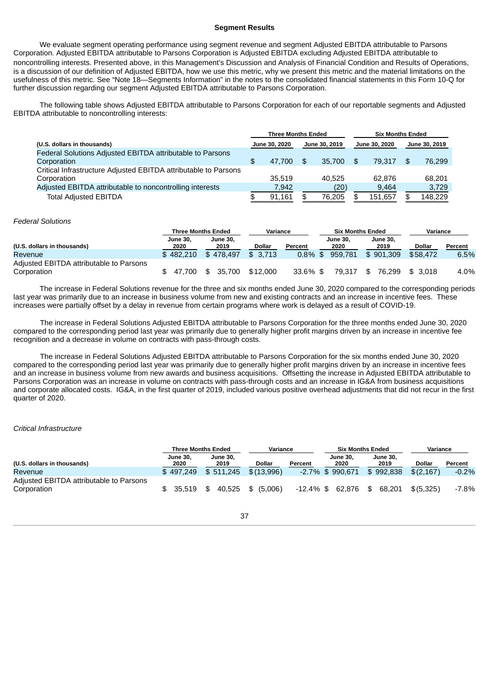#### **Segment Results**

We evaluate segment operating performance using segment revenue and segment Adjusted EBITDA attributable to Parsons Corporation. Adjusted EBITDA attributable to Parsons Corporation is Adjusted EBITDA excluding Adjusted EBITDA attributable to noncontrolling interests. Presented above, in this Management's Discussion and Analysis of Financial Condition and Results of Operations, is a discussion of our definition of Adjusted EBITDA, how we use this metric, why we present this metric and the material limitations on the usefulness of this metric. See "Note 18—Segments Information" in the notes to the consolidated financial statements in this Form 10-Q for further discussion regarding our segment Adjusted EBITDA attributable to Parsons Corporation.

The following table shows Adjusted EBITDA attributable to Parsons Corporation for each of our reportable segments and Adjusted EBITDA attributable to noncontrolling interests:

|                                                                 | <b>Three Months Ended</b> |               |    |               |     | <b>Six Months Ended</b> |               |  |  |
|-----------------------------------------------------------------|---------------------------|---------------|----|---------------|-----|-------------------------|---------------|--|--|
| (U.S. dollars in thousands)                                     |                           | June 30, 2020 |    | June 30, 2019 |     | June 30, 2020           | June 30, 2019 |  |  |
| Federal Solutions Adjusted EBITDA attributable to Parsons       |                           |               |    |               |     |                         |               |  |  |
| Corporation                                                     |                           | 47.700        | \$ | 35.700        | \$. | 79.317                  | 76.299        |  |  |
| Critical Infrastructure Adjusted EBITDA attributable to Parsons |                           |               |    |               |     |                         |               |  |  |
| Corporation                                                     |                           | 35.519        |    | 40.525        |     | 62.876                  | 68.201        |  |  |
| Adjusted EBITDA attributable to noncontrolling interests        |                           | 7,942         |    | (20)          |     | 9.464                   | 3,729         |  |  |
| <b>Total Adjusted EBITDA</b>                                    |                           | 91.161        |    | 76.205        |     | 151.657                 | 148.229       |  |  |

#### *Federal Solutions*

|                                                        |                         | <b>Three Months Ended</b> | Variance |             | <b>Six Months Ended</b> |                         | Variance |         |
|--------------------------------------------------------|-------------------------|---------------------------|----------|-------------|-------------------------|-------------------------|----------|---------|
| (U.S. dollars in thousands)                            | <b>June 30.</b><br>2020 | <b>June 30.</b><br>2019   | Dollar   | Percent     | <b>June 30.</b><br>2020 | <b>June 30.</b><br>2019 | Dollar   | Percent |
| Revenue                                                | \$482.210               | \$478.497                 | \$3.713  | $0.8\%$ \$  | 959.781                 | \$901.309               | \$58.472 | 6.5%    |
| Adjusted EBITDA attributable to Parsons<br>Corporation | 47.700                  | 35.700<br>\$              | \$12.000 | $33.6\%$ \$ | 79.317                  | 76.299<br>\$            | \$ 3.018 | 4.0%    |

The increase in Federal Solutions revenue for the three and six months ended June 30, 2020 compared to the corresponding periods last year was primarily due to an increase in business volume from new and existing contracts and an increase in incentive fees. These increases were partially offset by a delay in revenue from certain programs where work is delayed as a result of COVID-19.

The increase in Federal Solutions Adjusted EBITDA attributable to Parsons Corporation for the three months ended June 30, 2020 compared to the corresponding period last year was primarily due to generally higher profit margins driven by an increase in incentive fee recognition and a decrease in volume on contracts with pass-through costs.

The increase in Federal Solutions Adjusted EBITDA attributable to Parsons Corporation for the six months ended June 30, 2020 compared to the corresponding period last year was primarily due to generally higher profit margins driven by an increase in incentive fees and an increase in business volume from new awards and business acquisitions. Offsetting the increase in Adjusted EBITDA attributable to Parsons Corporation was an increase in volume on contracts with pass-through costs and an increase in IG&A from business acquisitions and corporate allocated costs. IG&A, in the first quarter of 2019, included various positive overhead adjustments that did not recur in the first quarter of 2020.

#### *Critical Infrastructure*

|                                                        |                         | <b>Three Months Ended</b> | Variance      |           |                         | <b>Six Months Ended</b> | <b>Variance</b> |          |
|--------------------------------------------------------|-------------------------|---------------------------|---------------|-----------|-------------------------|-------------------------|-----------------|----------|
| (U.S. dollars in thousands)                            | <b>June 30.</b><br>2020 | <b>June 30.</b><br>2019   | <b>Dollar</b> | Percent   | <b>June 30.</b><br>2020 | <b>June 30.</b><br>2019 | Dollar          | Percent  |
| Revenue                                                | \$497.249               | \$511.245                 | \$(13.996)    |           | $-2.7\%$ \$990.671      | \$992.838               | \$(2.167)       | $-0.2\%$ |
| Adjusted EBITDA attributable to Parsons<br>Corporation | 35.519                  | 40.525<br>\$              | \$ (5.006)    | -12.4% \$ | 62.876                  | 68.201<br>-\$           | \$ (5.325)      | -7.8%    |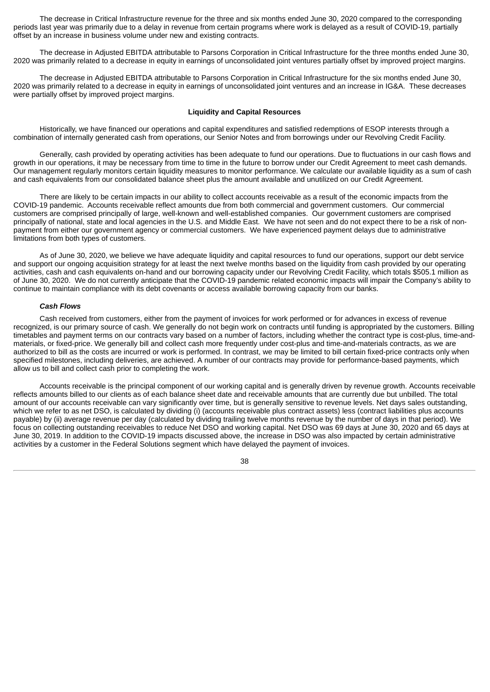The decrease in Critical Infrastructure revenue for the three and six months ended June 30, 2020 compared to the corresponding periods last year was primarily due to a delay in revenue from certain programs where work is delayed as a result of COVID-19, partially offset by an increase in business volume under new and existing contracts.

The decrease in Adjusted EBITDA attributable to Parsons Corporation in Critical Infrastructure for the three months ended June 30, 2020 was primarily related to a decrease in equity in earnings of unconsolidated joint ventures partially offset by improved project margins.

The decrease in Adjusted EBITDA attributable to Parsons Corporation in Critical Infrastructure for the six months ended June 30, 2020 was primarily related to a decrease in equity in earnings of unconsolidated joint ventures and an increase in IG&A. These decreases were partially offset by improved project margins.

#### **Liquidity and Capital Resources**

Historically, we have financed our operations and capital expenditures and satisfied redemptions of ESOP interests through a combination of internally generated cash from operations, our Senior Notes and from borrowings under our Revolving Credit Facility.

Generally, cash provided by operating activities has been adequate to fund our operations. Due to fluctuations in our cash flows and growth in our operations, it may be necessary from time to time in the future to borrow under our Credit Agreement to meet cash demands. Our management regularly monitors certain liquidity measures to monitor performance. We calculate our available liquidity as a sum of cash and cash equivalents from our consolidated balance sheet plus the amount available and unutilized on our Credit Agreement.

There are likely to be certain impacts in our ability to collect accounts receivable as a result of the economic impacts from the COVID-19 pandemic. Accounts receivable reflect amounts due from both commercial and government customers. Our commercial customers are comprised principally of large, well-known and well-established companies. Our government customers are comprised principally of national, state and local agencies in the U.S. and Middle East. We have not seen and do not expect there to be a risk of nonpayment from either our government agency or commercial customers. We have experienced payment delays due to administrative limitations from both types of customers.

As of June 30, 2020, we believe we have adequate liquidity and capital resources to fund our operations, support our debt service and support our ongoing acquisition strategy for at least the next twelve months based on the liquidity from cash provided by our operating activities, cash and cash equivalents on-hand and our borrowing capacity under our Revolving Credit Facility, which totals \$505.1 million as of June 30, 2020. We do not currently anticipate that the COVID-19 pandemic related economic impacts will impair the Company's ability to continue to maintain compliance with its debt covenants or access available borrowing capacity from our banks.

#### *Cash Flows*

Cash received from customers, either from the payment of invoices for work performed or for advances in excess of revenue recognized, is our primary source of cash. We generally do not begin work on contracts until funding is appropriated by the customers. Billing timetables and payment terms on our contracts vary based on a number of factors, including whether the contract type is cost-plus, time-andmaterials, or fixed-price. We generally bill and collect cash more frequently under cost-plus and time-and-materials contracts, as we are authorized to bill as the costs are incurred or work is performed. In contrast, we may be limited to bill certain fixed-price contracts only when specified milestones, including deliveries, are achieved. A number of our contracts may provide for performance-based payments, which allow us to bill and collect cash prior to completing the work.

Accounts receivable is the principal component of our working capital and is generally driven by revenue growth. Accounts receivable reflects amounts billed to our clients as of each balance sheet date and receivable amounts that are currently due but unbilled. The total amount of our accounts receivable can vary significantly over time, but is generally sensitive to revenue levels. Net days sales outstanding, which we refer to as net DSO, is calculated by dividing (i) (accounts receivable plus contract assets) less (contract liabilities plus accounts payable) by (ii) average revenue per day (calculated by dividing trailing twelve months revenue by the number of days in that period). We focus on collecting outstanding receivables to reduce Net DSO and working capital. Net DSO was 69 days at June 30, 2020 and 65 days at June 30, 2019. In addition to the COVID-19 impacts discussed above, the increase in DSO was also impacted by certain administrative activities by a customer in the Federal Solutions segment which have delayed the payment of invoices.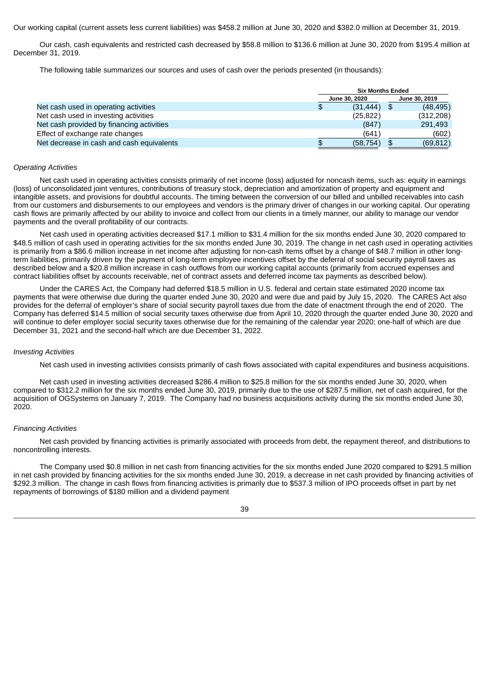Our working capital (current assets less current liabilities) was \$458.2 million at June 30, 2020 and \$382.0 million at December 31, 2019.

Our cash, cash equivalents and restricted cash decreased by \$58.8 million to \$136.6 million at June 30, 2020 from \$195.4 million at December 31, 2019.

The following table summarizes our sources and uses of cash over the periods presented (in thousands):

|                                           | <b>Six Months Ended</b> |          |               |
|-------------------------------------------|-------------------------|----------|---------------|
|                                           | June 30, 2020           |          | June 30, 2019 |
| Net cash used in operating activities     | (31, 444)               | <b>S</b> | (48, 495)     |
| Net cash used in investing activities     | (25, 822)               |          | (312, 208)    |
| Net cash provided by financing activities | (847)                   |          | 291,493       |
| Effect of exchange rate changes           | (641)                   |          | (602)         |
| Net decrease in cash and cash equivalents | (58, 754)               |          | (69, 812)     |

#### *Operating Activities*

Net cash used in operating activities consists primarily of net income (loss) adjusted for noncash items, such as: equity in earnings (loss) of unconsolidated joint ventures, contributions of treasury stock, depreciation and amortization of property and equipment and intangible assets, and provisions for doubtful accounts. The timing between the conversion of our billed and unbilled receivables into cash from our customers and disbursements to our employees and vendors is the primary driver of changes in our working capital. Our operating cash flows are primarily affected by our ability to invoice and collect from our clients in a timely manner, our ability to manage our vendor payments and the overall profitability of our contracts.

Net cash used in operating activities decreased \$17.1 million to \$31.4 million for the six months ended June 30, 2020 compared to \$48.5 million of cash used in operating activities for the six months ended June 30, 2019. The change in net cash used in operating activities is primarily from a \$86.6 million increase in net income after adjusting for non-cash items offset by a change of \$48.7 million in other longterm liabilities, primarily driven by the payment of long-term employee incentives offset by the deferral of social security payroll taxes as described below and a \$20.8 million increase in cash outflows from our working capital accounts (primarily from accrued expenses and contract liabilities offset by accounts receivable, net of contract assets and deferred income tax payments as described below).

Under the CARES Act, the Company had deferred \$18.5 million in U.S. federal and certain state estimated 2020 income tax payments that were otherwise due during the quarter ended June 30, 2020 and were due and paid by July 15, 2020. The CARES Act also provides for the deferral of employer's share of social security payroll taxes due from the date of enactment through the end of 2020. The Company has deferred \$14.5 million of social security taxes otherwise due from April 10, 2020 through the quarter ended June 30, 2020 and will continue to defer employer social security taxes otherwise due for the remaining of the calendar year 2020; one-half of which are due December 31, 2021 and the second-half which are due December 31, 2022.

#### *Investing Activities*

Net cash used in investing activities consists primarily of cash flows associated with capital expenditures and business acquisitions.

Net cash used in investing activities decreased \$286.4 million to \$25.8 million for the six months ended June 30, 2020, when compared to \$312.2 million for the six months ended June 30, 2019, primarily due to the use of \$287.5 million, net of cash acquired, for the acquisition of OGSystems on January 7, 2019. The Company had no business acquisitions activity during the six months ended June 30, 2020.

#### *Financing Activities*

Net cash provided by financing activities is primarily associated with proceeds from debt, the repayment thereof, and distributions to noncontrolling interests.

The Company used \$0.8 million in net cash from financing activities for the six months ended June 2020 compared to \$291.5 million in net cash provided by financing activities for the six months ended June 30, 2019, a decrease in net cash provided by financing activities of \$292.3 million. The change in cash flows from financing activities is primarily due to \$537.3 million of IPO proceeds offset in part by net repayments of borrowings of \$180 million and a dividend payment

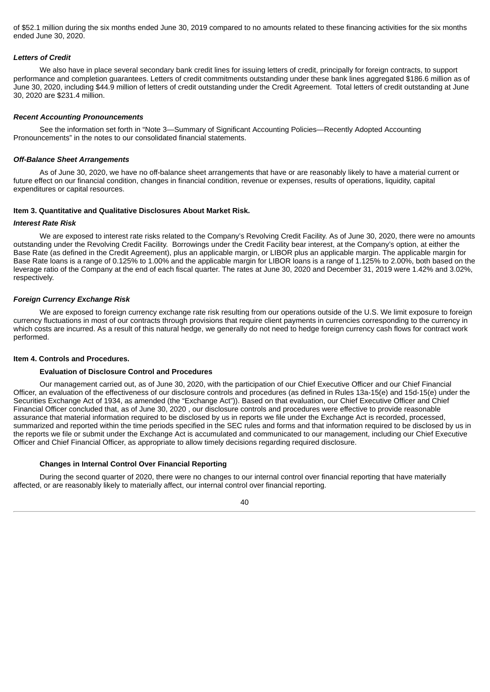of \$52.1 million during the six months ended June 30, 2019 compared to no amounts related to these financing activities for the six months ended June 30, 2020.

#### *Letters of Credit*

We also have in place several secondary bank credit lines for issuing letters of credit, principally for foreign contracts, to support performance and completion guarantees. Letters of credit commitments outstanding under these bank lines aggregated \$186.6 million as of June 30, 2020, including \$44.9 million of letters of credit outstanding under the Credit Agreement. Total letters of credit outstanding at June 30, 2020 are \$231.4 million.

#### *Recent Accounting Pronouncements*

See the information set forth in "Note 3—Summary of Significant Accounting Policies—Recently Adopted Accounting Pronouncements" in the notes to our consolidated financial statements.

#### *Off-Balance Sheet Arrangements*

As of June 30, 2020, we have no off-balance sheet arrangements that have or are reasonably likely to have a material current or future effect on our financial condition, changes in financial condition, revenue or expenses, results of operations, liquidity, capital expenditures or capital resources.

#### <span id="page-41-0"></span>**Item 3. Quantitative and Qualitative Disclosures About Market Risk.**

#### *Interest Rate Risk*

We are exposed to interest rate risks related to the Company's Revolving Credit Facility. As of June 30, 2020, there were no amounts outstanding under the Revolving Credit Facility. Borrowings under the Credit Facility bear interest, at the Company's option, at either the Base Rate (as defined in the Credit Agreement), plus an applicable margin, or LIBOR plus an applicable margin. The applicable margin for Base Rate loans is a range of 0.125% to 1.00% and the applicable margin for LIBOR loans is a range of 1.125% to 2.00%, both based on the leverage ratio of the Company at the end of each fiscal quarter. The rates at June 30, 2020 and December 31, 2019 were 1.42% and 3.02%, respectively.

#### *Foreign Currency Exchange Risk*

We are exposed to foreign currency exchange rate risk resulting from our operations outside of the U.S. We limit exposure to foreign currency fluctuations in most of our contracts through provisions that require client payments in currencies corresponding to the currency in which costs are incurred. As a result of this natural hedge, we generally do not need to hedge foreign currency cash flows for contract work performed.

#### <span id="page-41-1"></span>**Item 4. Controls and Procedures.**

#### **Evaluation of Disclosure Control and Procedures**

Our management carried out, as of June 30, 2020, with the participation of our Chief Executive Officer and our Chief Financial Officer, an evaluation of the effectiveness of our disclosure controls and procedures (as defined in Rules 13a-15(e) and 15d-15(e) under the Securities Exchange Act of 1934, as amended (the "Exchange Act")). Based on that evaluation, our Chief Executive Officer and Chief Financial Officer concluded that, as of June 30, 2020, our disclosure controls and procedures were effective to provide reasonable assurance that material information required to be disclosed by us in reports we file under the Exchange Act is recorded, processed, summarized and reported within the time periods specified in the SEC rules and forms and that information required to be disclosed by us in the reports we file or submit under the Exchange Act is accumulated and communicated to our management, including our Chief Executive Officer and Chief Financial Officer, as appropriate to allow timely decisions regarding required disclosure.

#### **Changes in Internal Control Over Financial Reporting**

During the second quarter of 2020, there were no changes to our internal control over financial reporting that have materially affected, or are reasonably likely to materially affect, our internal control over financial reporting.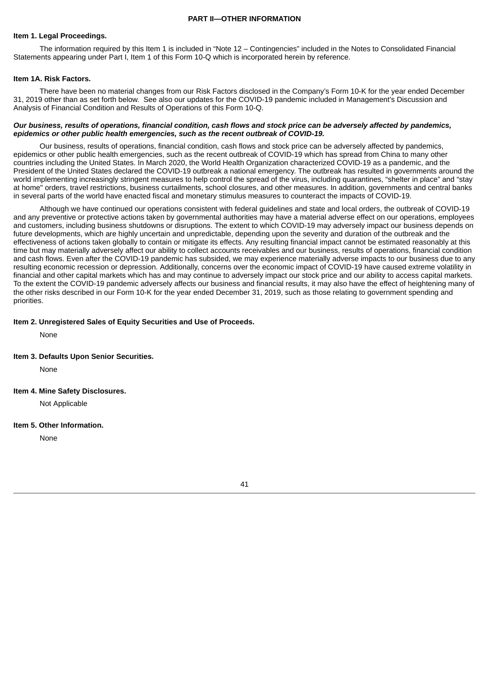#### **PART II—OTHER INFORMATION**

#### <span id="page-42-1"></span><span id="page-42-0"></span>**Item 1. Legal Proceedings.**

The information required by this Item 1 is included in "Note 12 – Contingencies" included in the Notes to Consolidated Financial Statements appearing under Part I, Item 1 of this Form 10-Q which is incorporated herein by reference.

#### <span id="page-42-2"></span>**Item 1A. Risk Factors.**

There have been no material changes from our Risk Factors disclosed in the Company's Form 10-K for the year ended December 31, 2019 other than as set forth below. See also our updates for the COVID-19 pandemic included in Management's Discussion and Analysis of Financial Condition and Results of Operations of this Form 10-Q.

#### Our business, results of operations, financial condition, cash flows and stock price can be adversely affected by pandemics. *epidemics or other public health emergencies, such as the recent outbreak of COVID-19.*

Our business, results of operations, financial condition, cash flows and stock price can be adversely affected by pandemics, epidemics or other public health emergencies, such as the recent outbreak of COVID-19 which has spread from China to many other countries including the United States. In March 2020, the World Health Organization characterized COVID-19 as a pandemic, and the President of the United States declared the COVID-19 outbreak a national emergency. The outbreak has resulted in governments around the world implementing increasingly stringent measures to help control the spread of the virus, including quarantines, "shelter in place" and "stay at home" orders, travel restrictions, business curtailments, school closures, and other measures. In addition, governments and central banks in several parts of the world have enacted fiscal and monetary stimulus measures to counteract the impacts of COVID-19.

Although we have continued our operations consistent with federal guidelines and state and local orders, the outbreak of COVID-19 and any preventive or protective actions taken by governmental authorities may have a material adverse effect on our operations, employees and customers, including business shutdowns or disruptions. The extent to which COVID-19 may adversely impact our business depends on future developments, which are highly uncertain and unpredictable, depending upon the severity and duration of the outbreak and the effectiveness of actions taken globally to contain or mitigate its effects. Any resulting financial impact cannot be estimated reasonably at this time but may materially adversely affect our ability to collect accounts receivables and our business, results of operations, financial condition and cash flows. Even after the COVID-19 pandemic has subsided, we may experience materially adverse impacts to our business due to any resulting economic recession or depression. Additionally, concerns over the economic impact of COVID-19 have caused extreme volatility in financial and other capital markets which has and may continue to adversely impact our stock price and our ability to access capital markets. To the extent the COVID-19 pandemic adversely affects our business and financial results, it may also have the effect of heightening many of the other risks described in our Form 10-K for the year ended December 31, 2019, such as those relating to government spending and priorities.

#### <span id="page-42-3"></span>**Item 2. Unregistered Sales of Equity Securities and Use of Proceeds.**

None

#### <span id="page-42-4"></span>**Item 3. Defaults Upon Senior Securities.**

None

<span id="page-42-5"></span>**Item 4. Mine Safety Disclosures.**

Not Applicable

#### <span id="page-42-6"></span>**Item 5. Other Information.**

None

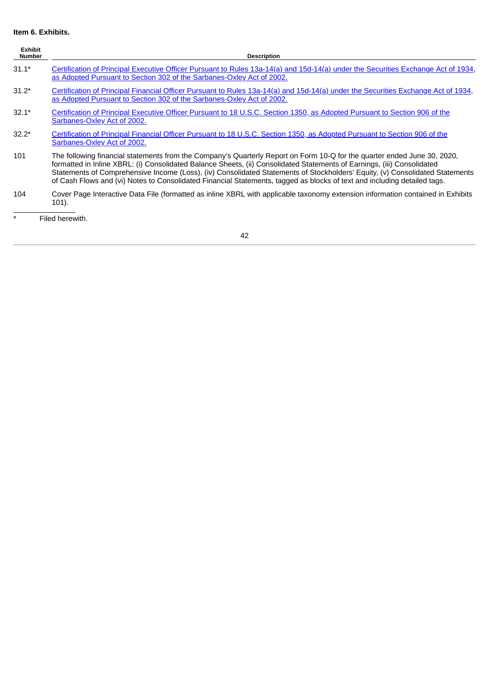## <span id="page-43-0"></span>**Item 6. Exhibits.**

| <b>Exhibit</b><br>Number | <b>Description</b>                                                                                                                                                                                                                                                                                                                                                                                                                                                                                              |
|--------------------------|-----------------------------------------------------------------------------------------------------------------------------------------------------------------------------------------------------------------------------------------------------------------------------------------------------------------------------------------------------------------------------------------------------------------------------------------------------------------------------------------------------------------|
| $31.1*$                  | Certification of Principal Executive Officer Pursuant to Rules 13a-14(a) and 15d-14(a) under the Securities Exchange Act of 1934,<br>as Adopted Pursuant to Section 302 of the Sarbanes-Oxley Act of 2002.                                                                                                                                                                                                                                                                                                      |
| $31.2*$                  | Certification of Principal Financial Officer Pursuant to Rules 13a-14(a) and 15d-14(a) under the Securities Exchange Act of 1934,<br>as Adopted Pursuant to Section 302 of the Sarbanes-Oxley Act of 2002.                                                                                                                                                                                                                                                                                                      |
| $32.1*$                  | Certification of Principal Executive Officer Pursuant to 18 U.S.C. Section 1350, as Adopted Pursuant to Section 906 of the<br>Sarbanes-Oxley Act of 2002.                                                                                                                                                                                                                                                                                                                                                       |
| $32.2*$                  | Certification of Principal Financial Officer Pursuant to 18 U.S.C. Section 1350, as Adopted Pursuant to Section 906 of the<br>Sarbanes-Oxley Act of 2002.                                                                                                                                                                                                                                                                                                                                                       |
| 101                      | The following financial statements from the Company's Quarterly Report on Form 10-Q for the quarter ended June 30, 2020,<br>formatted in Inline XBRL: (i) Consolidated Balance Sheets, (ii) Consolidated Statements of Earnings, (iii) Consolidated<br>Statements of Comprehensive Income (Loss), (iv) Consolidated Statements of Stockholders' Equity, (v) Consolidated Statements<br>of Cash Flows and (vi) Notes to Consolidated Financial Statements, tagged as blocks of text and including detailed tags. |
| 104                      | Cover Page Interactive Data File (formatted as inline XBRL with applicable taxonomy extension information contained in Exhibits<br>101).                                                                                                                                                                                                                                                                                                                                                                        |
| $\star$                  | Filed herewith.                                                                                                                                                                                                                                                                                                                                                                                                                                                                                                 |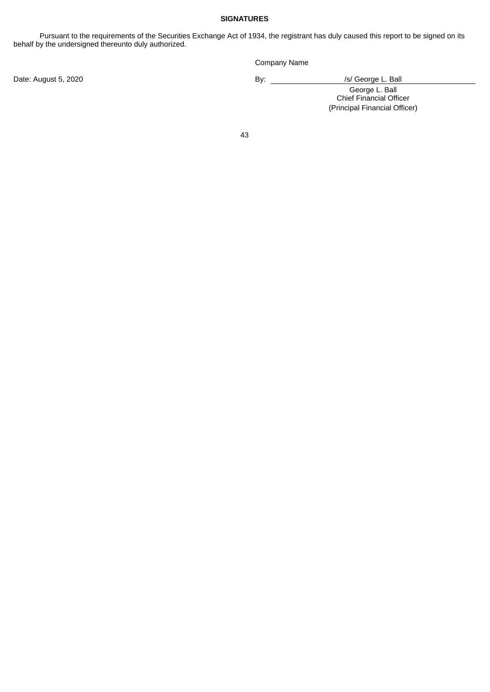#### **SIGNATURES**

<span id="page-44-0"></span>Pursuant to the requirements of the Securities Exchange Act of 1934, the registrant has duly caused this report to be signed on its behalf by the undersigned thereunto duly authorized.

Date: August 5, 2020 **By: By:** *By: By: Isl George L. Ball* 

Company Name

George L. Ball Chief Financial Officer (Principal Financial Officer)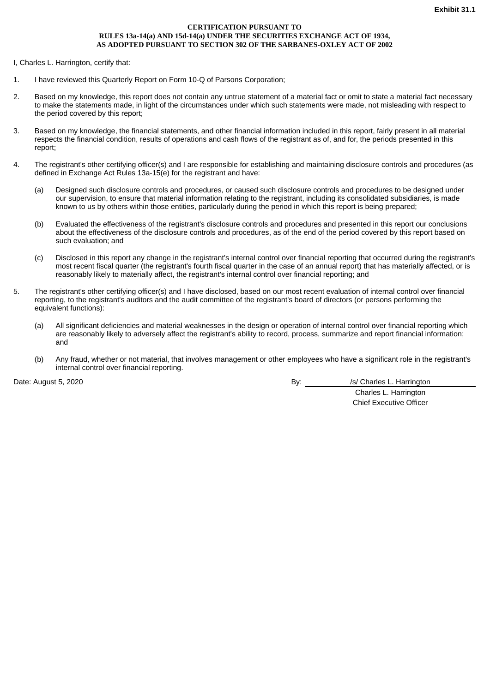#### **CERTIFICATION PURSUANT TO RULES 13a-14(a) AND 15d-14(a) UNDER THE SECURITIES EXCHANGE ACT OF 1934, AS ADOPTED PURSUANT TO SECTION 302 OF THE SARBANES-OXLEY ACT OF 2002**

<span id="page-45-0"></span>I, Charles L. Harrington, certify that:

- 1. I have reviewed this Quarterly Report on Form 10-Q of Parsons Corporation;
- 2. Based on my knowledge, this report does not contain any untrue statement of a material fact or omit to state a material fact necessary to make the statements made, in light of the circumstances under which such statements were made, not misleading with respect to the period covered by this report;
- 3. Based on my knowledge, the financial statements, and other financial information included in this report, fairly present in all material respects the financial condition, results of operations and cash flows of the registrant as of, and for, the periods presented in this report;
- 4. The registrant's other certifying officer(s) and I are responsible for establishing and maintaining disclosure controls and procedures (as defined in Exchange Act Rules 13a-15(e) for the registrant and have:
	- (a) Designed such disclosure controls and procedures, or caused such disclosure controls and procedures to be designed under our supervision, to ensure that material information relating to the registrant, including its consolidated subsidiaries, is made known to us by others within those entities, particularly during the period in which this report is being prepared;
	- (b) Evaluated the effectiveness of the registrant's disclosure controls and procedures and presented in this report our conclusions about the effectiveness of the disclosure controls and procedures, as of the end of the period covered by this report based on such evaluation; and
	- (c) Disclosed in this report any change in the registrant's internal control over financial reporting that occurred during the registrant's most recent fiscal quarter (the registrant's fourth fiscal quarter in the case of an annual report) that has materially affected, or is reasonably likely to materially affect, the registrant's internal control over financial reporting; and
- 5. The registrant's other certifying officer(s) and I have disclosed, based on our most recent evaluation of internal control over financial reporting, to the registrant's auditors and the audit committee of the registrant's board of directors (or persons performing the equivalent functions):
	- (a) All significant deficiencies and material weaknesses in the design or operation of internal control over financial reporting which are reasonably likely to adversely affect the registrant's ability to record, process, summarize and report financial information; and
	- (b) Any fraud, whether or not material, that involves management or other employees who have a significant role in the registrant's internal control over financial reporting.

Date: August 5, 2020 **By:** /s/ Charles L. Harrington

Charles L. Harrington Chief Executive Officer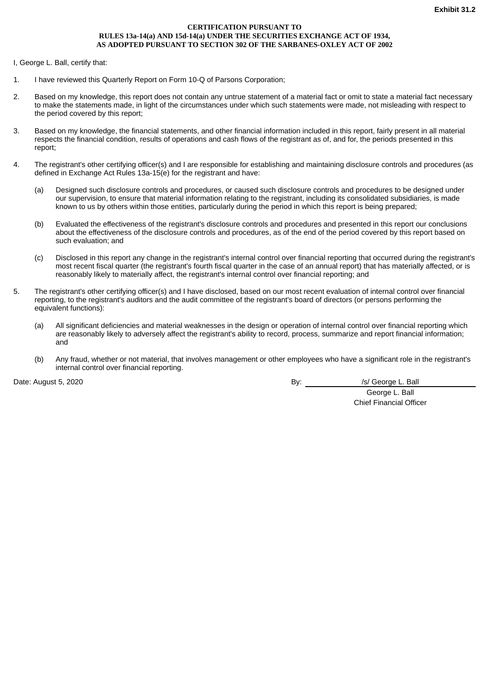#### **CERTIFICATION PURSUANT TO RULES 13a-14(a) AND 15d-14(a) UNDER THE SECURITIES EXCHANGE ACT OF 1934, AS ADOPTED PURSUANT TO SECTION 302 OF THE SARBANES-OXLEY ACT OF 2002**

<span id="page-46-0"></span>I, George L. Ball, certify that:

- 1. I have reviewed this Quarterly Report on Form 10-Q of Parsons Corporation;
- 2. Based on my knowledge, this report does not contain any untrue statement of a material fact or omit to state a material fact necessary to make the statements made, in light of the circumstances under which such statements were made, not misleading with respect to the period covered by this report;
- 3. Based on my knowledge, the financial statements, and other financial information included in this report, fairly present in all material respects the financial condition, results of operations and cash flows of the registrant as of, and for, the periods presented in this report;
- 4. The registrant's other certifying officer(s) and I are responsible for establishing and maintaining disclosure controls and procedures (as defined in Exchange Act Rules 13a-15(e) for the registrant and have:
	- (a) Designed such disclosure controls and procedures, or caused such disclosure controls and procedures to be designed under our supervision, to ensure that material information relating to the registrant, including its consolidated subsidiaries, is made known to us by others within those entities, particularly during the period in which this report is being prepared;
	- (b) Evaluated the effectiveness of the registrant's disclosure controls and procedures and presented in this report our conclusions about the effectiveness of the disclosure controls and procedures, as of the end of the period covered by this report based on such evaluation; and
	- (c) Disclosed in this report any change in the registrant's internal control over financial reporting that occurred during the registrant's most recent fiscal quarter (the registrant's fourth fiscal quarter in the case of an annual report) that has materially affected, or is reasonably likely to materially affect, the registrant's internal control over financial reporting; and
- 5. The registrant's other certifying officer(s) and I have disclosed, based on our most recent evaluation of internal control over financial reporting, to the registrant's auditors and the audit committee of the registrant's board of directors (or persons performing the equivalent functions):
	- (a) All significant deficiencies and material weaknesses in the design or operation of internal control over financial reporting which are reasonably likely to adversely affect the registrant's ability to record, process, summarize and report financial information; and
	- (b) Any fraud, whether or not material, that involves management or other employees who have a significant role in the registrant's internal control over financial reporting.

Date: August 5, 2020 **By:** /s/ George L. Ball

George L. Ball Chief Financial Officer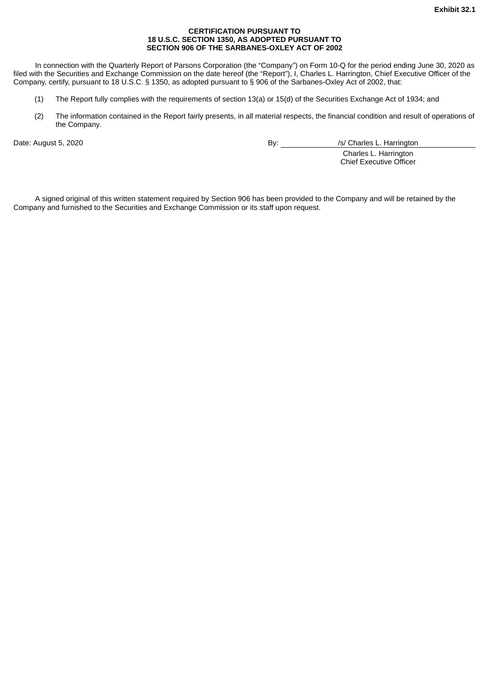#### **CERTIFICATION PURSUANT TO 18 U.S.C. SECTION 1350, AS ADOPTED PURSUANT TO SECTION 906 OF THE SARBANES-OXLEY ACT OF 2002**

<span id="page-47-0"></span>In connection with the Quarterly Report of Parsons Corporation (the "Company") on Form 10-Q for the period ending June 30, 2020 as filed with the Securities and Exchange Commission on the date hereof (the "Report"), I, Charles L. Harrington, Chief Executive Officer of the Company, certify, pursuant to 18 U.S.C. § 1350, as adopted pursuant to § 906 of the Sarbanes-Oxley Act of 2002, that:

- (1) The Report fully complies with the requirements of section 13(a) or 15(d) of the Securities Exchange Act of 1934; and
- (2) The information contained in the Report fairly presents, in all material respects, the financial condition and result of operations of the Company.

Date: August 5, 2020 **By:** /s/ Charles L. Harrington

Charles L. Harrington Chief Executive Officer

A signed original of this written statement required by Section 906 has been provided to the Company and will be retained by the Company and furnished to the Securities and Exchange Commission or its staff upon request.